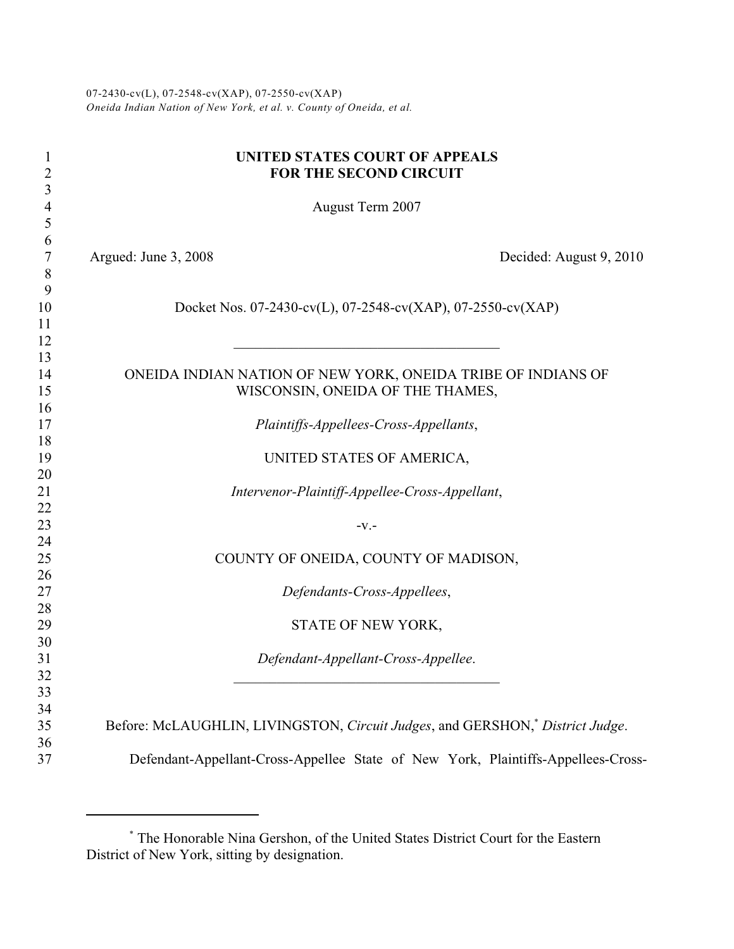07-2430-cv(L), 07-2548-cv(XAP), 07-2550-cv(XAP) *Oneida Indian Nation of New York, et al. v. County of Oneida, et al.*

| 1<br>$\overline{c}$ |                      | UNITED STATES COURT OF APPEALS<br>FOR THE SECOND CIRCUIT                                  |                         |
|---------------------|----------------------|-------------------------------------------------------------------------------------------|-------------------------|
| 3<br>$\overline{4}$ |                      | August Term 2007                                                                          |                         |
| 5                   |                      |                                                                                           |                         |
| 6                   |                      |                                                                                           |                         |
| 7                   | Argued: June 3, 2008 |                                                                                           | Decided: August 9, 2010 |
| 8                   |                      |                                                                                           |                         |
| 9                   |                      |                                                                                           |                         |
| 10                  |                      | Docket Nos. 07-2430-cv(L), 07-2548-cv(XAP), 07-2550-cv(XAP)                               |                         |
| 11                  |                      |                                                                                           |                         |
| 12                  |                      |                                                                                           |                         |
| 13                  |                      |                                                                                           |                         |
| 14                  |                      | ONEIDA INDIAN NATION OF NEW YORK, ONEIDA TRIBE OF INDIANS OF                              |                         |
| 15                  |                      | WISCONSIN, ONEIDA OF THE THAMES,                                                          |                         |
| 16                  |                      |                                                                                           |                         |
| 17                  |                      | Plaintiffs-Appellees-Cross-Appellants,                                                    |                         |
| 18<br>19            |                      |                                                                                           |                         |
| 20                  |                      | UNITED STATES OF AMERICA,                                                                 |                         |
| 21                  |                      | Intervenor-Plaintiff-Appellee-Cross-Appellant,                                            |                         |
| 22                  |                      |                                                                                           |                         |
| 23                  |                      | $-V.$ -                                                                                   |                         |
| 24                  |                      |                                                                                           |                         |
| 25                  |                      | COUNTY OF ONEIDA, COUNTY OF MADISON,                                                      |                         |
| 26                  |                      |                                                                                           |                         |
| 27                  |                      | Defendants-Cross-Appellees,                                                               |                         |
| 28                  |                      |                                                                                           |                         |
| 29                  |                      | STATE OF NEW YORK,                                                                        |                         |
| 30                  |                      |                                                                                           |                         |
| 31                  |                      | Defendant-Appellant-Cross-Appellee.                                                       |                         |
| 32                  |                      | the control of the control of the control of the control of the control of the control of |                         |
| 33                  |                      |                                                                                           |                         |
| 34                  |                      |                                                                                           |                         |
| 35<br>36            |                      | Before: McLAUGHLIN, LIVINGSTON, Circuit Judges, and GERSHON, <sup>*</sup> District Judge. |                         |
| 37                  |                      | Defendant-Appellant-Cross-Appellee State of New York, Plaintiffs-Appellees-Cross-         |                         |
|                     |                      |                                                                                           |                         |

The Honorable Nina Gershon, of the United States District Court for the Eastern \* District of New York, sitting by designation.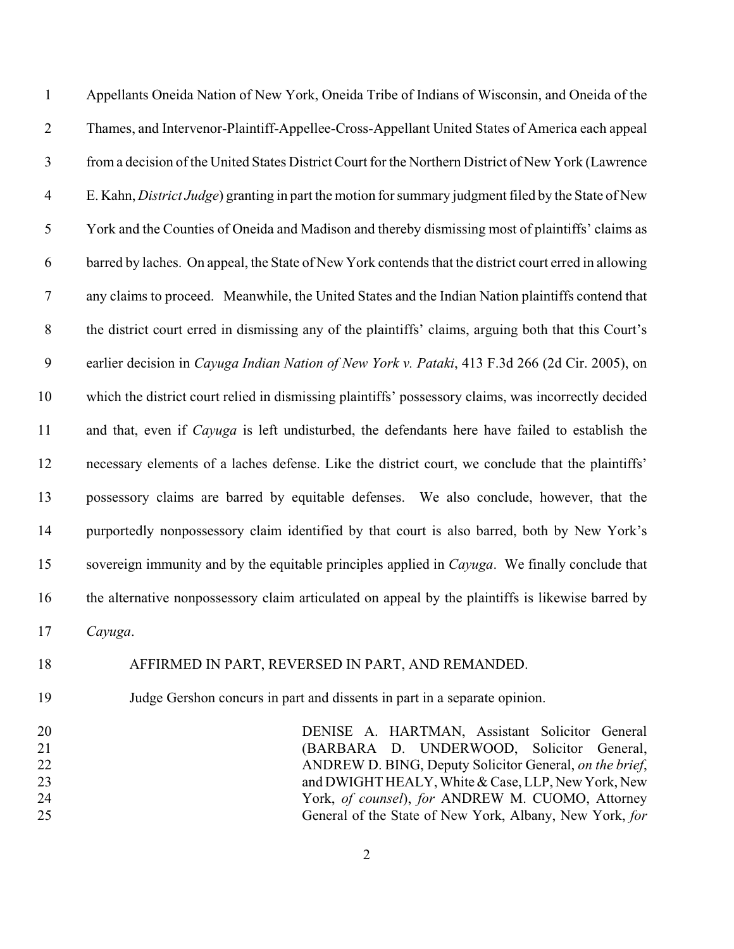Appellants Oneida Nation of New York, Oneida Tribe of Indians of Wisconsin, and Oneida of the Thames, and Intervenor-Plaintiff-Appellee-Cross-Appellant United States of America each appeal from a decision of the United States District Court for the Northern District of New York (Lawrence E. Kahn, *District Judge*) granting in part the motion for summary judgment filed by the State of New York and the Counties of Oneida and Madison and thereby dismissing most of plaintiffs' claims as barred by laches. On appeal, the State of New York contends that the district court erred in allowing any claims to proceed. Meanwhile, the United States and the Indian Nation plaintiffs contend that the district court erred in dismissing any of the plaintiffs' claims, arguing both that this Court's earlier decision in *Cayuga Indian Nation of New York v. Pataki*, 413 F.3d 266 (2d Cir. 2005), on which the district court relied in dismissing plaintiffs' possessory claims, was incorrectly decided and that, even if *Cayuga* is left undisturbed, the defendants here have failed to establish the necessary elements of a laches defense. Like the district court, we conclude that the plaintiffs' possessory claims are barred by equitable defenses. We also conclude, however, that the purportedly nonpossessory claim identified by that court is also barred, both by New York's sovereign immunity and by the equitable principles applied in *Cayuga*. We finally conclude that the alternative nonpossessory claim articulated on appeal by the plaintiffs is likewise barred by *Cayuga*.

### AFFIRMED IN PART, REVERSED IN PART, AND REMANDED.

### Judge Gershon concurs in part and dissents in part in a separate opinion.

 DENISE A. HARTMAN, Assistant Solicitor General (BARBARA D. UNDERWOOD, Solicitor General, ANDREW D. BING, Deputy Solicitor General, *on the brief*, and DWIGHT HEALY, White & Case, LLP, New York, New York, *of counsel*), *for* ANDREW M. CUOMO, Attorney General of the State of New York, Albany, New York, *for*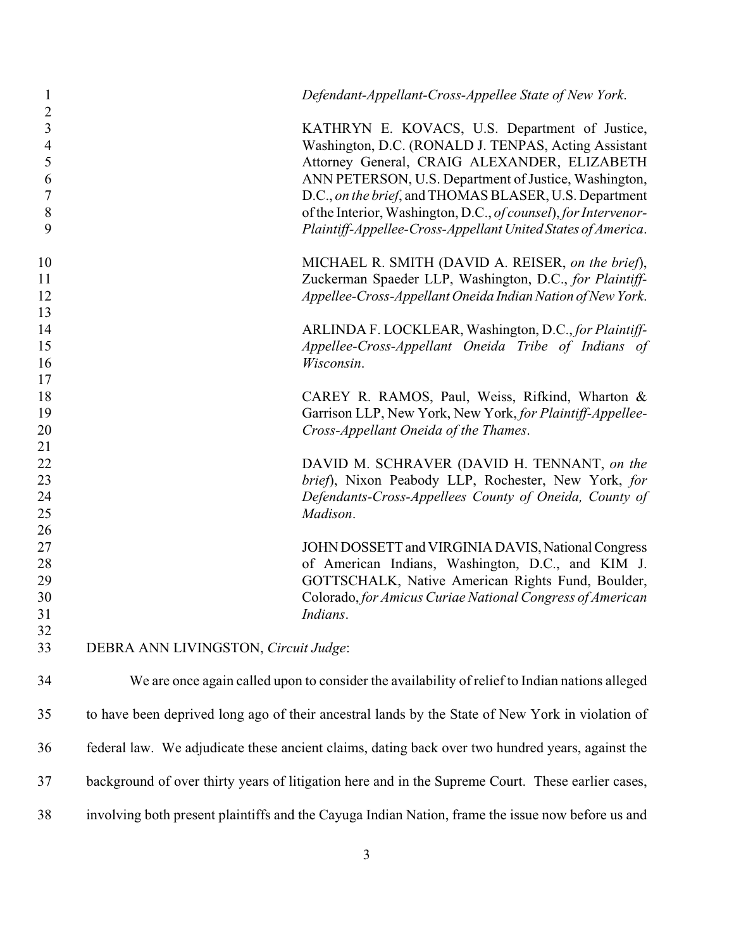| 1<br>$\overline{2}$                        |                                      | Defendant-Appellant-Cross-Appellee State of New York.                                                                                                                                                                                 |
|--------------------------------------------|--------------------------------------|---------------------------------------------------------------------------------------------------------------------------------------------------------------------------------------------------------------------------------------|
| $\mathfrak{Z}$<br>$\overline{4}$<br>5<br>6 |                                      | KATHRYN E. KOVACS, U.S. Department of Justice,<br>Washington, D.C. (RONALD J. TENPAS, Acting Assistant<br>Attorney General, CRAIG ALEXANDER, ELIZABETH<br>ANN PETERSON, U.S. Department of Justice, Washington,                       |
| 7<br>$8\,$<br>9                            |                                      | D.C., on the brief, and THOMAS BLASER, U.S. Department<br>of the Interior, Washington, D.C., of counsel), for Intervenor-<br>Plaintiff-Appellee-Cross-Appellant United States of America.                                             |
| 10                                         |                                      | MICHAEL R. SMITH (DAVID A. REISER, on the brief),                                                                                                                                                                                     |
| 11<br>12                                   |                                      | Zuckerman Spaeder LLP, Washington, D.C., for Plaintiff-<br>Appellee-Cross-Appellant Oneida Indian Nation of New York.                                                                                                                 |
| 13<br>14<br>15<br>16                       |                                      | ARLINDA F. LOCKLEAR, Washington, D.C., for Plaintiff-<br>Appellee-Cross-Appellant Oneida Tribe of Indians of<br>Wisconsin.                                                                                                            |
| 17<br>18<br>19<br>20                       |                                      | CAREY R. RAMOS, Paul, Weiss, Rifkind, Wharton &<br>Garrison LLP, New York, New York, for Plaintiff-Appellee-<br>Cross-Appellant Oneida of the Thames.                                                                                 |
| 21<br>22<br>23<br>24<br>25                 |                                      | DAVID M. SCHRAVER (DAVID H. TENNANT, on the<br>brief), Nixon Peabody LLP, Rochester, New York, for<br>Defendants-Cross-Appellees County of Oneida, County of<br>Madison.                                                              |
| 26<br>27<br>28<br>29<br>30<br>31           |                                      | JOHN DOSSETT and VIRGINIA DAVIS, National Congress<br>of American Indians, Washington, D.C., and KIM J.<br>GOTTSCHALK, Native American Rights Fund, Boulder,<br>Colorado, for Amicus Curiae National Congress of American<br>Indians. |
| 32<br>33                                   | DEBRA ANN LIVINGSTON, Circuit Judge: |                                                                                                                                                                                                                                       |
| 34                                         |                                      | We are once again called upon to consider the availability of relief to Indian nations alleged                                                                                                                                        |
| 35                                         |                                      | to have been deprived long ago of their ancestral lands by the State of New York in violation of                                                                                                                                      |
| 36                                         |                                      | federal law. We adjudicate these ancient claims, dating back over two hundred years, against the                                                                                                                                      |
| 37                                         |                                      | background of over thirty years of litigation here and in the Supreme Court. These earlier cases,                                                                                                                                     |
| 38                                         |                                      | involving both present plaintiffs and the Cayuga Indian Nation, frame the issue now before us and                                                                                                                                     |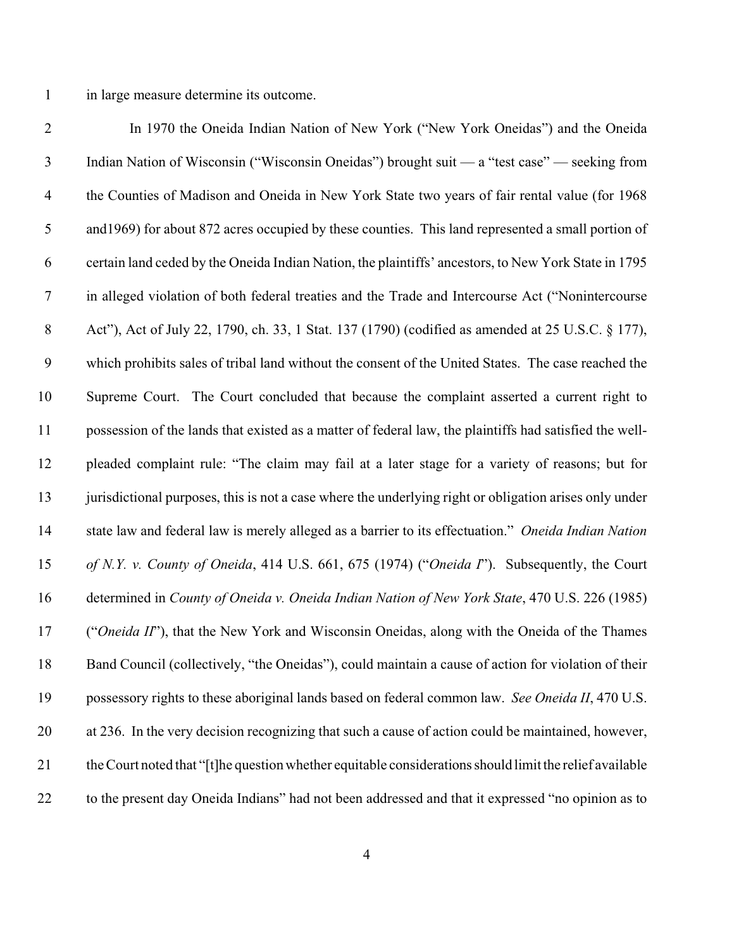in large measure determine its outcome.

 In 1970 the Oneida Indian Nation of New York ("New York Oneidas") and the Oneida Indian Nation of Wisconsin ("Wisconsin Oneidas") brought suit — a "test case" — seeking from the Counties of Madison and Oneida in New York State two years of fair rental value (for 1968 and1969) for about 872 acres occupied by these counties. This land represented a small portion of certain land ceded by the Oneida Indian Nation, the plaintiffs' ancestors, to New York State in 1795 in alleged violation of both federal treaties and the Trade and Intercourse Act ("Nonintercourse 8 Act"), Act of July 22, 1790, ch. 33, 1 Stat. 137 (1790) (codified as amended at 25 U.S.C. § 177), which prohibits sales of tribal land without the consent of the United States. The case reached the Supreme Court. The Court concluded that because the complaint asserted a current right to possession of the lands that existed as a matter of federal law, the plaintiffs had satisfied the well- pleaded complaint rule: "The claim may fail at a later stage for a variety of reasons; but for 13 jurisdictional purposes, this is not a case where the underlying right or obligation arises only under state law and federal law is merely alleged as a barrier to its effectuation." *Oneida Indian Nation of N.Y. v. County of Oneida*, 414 U.S. 661, 675 (1974) ("*Oneida I*"). Subsequently, the Court determined in *County of Oneida v. Oneida Indian Nation of New York State*, 470 U.S. 226 (1985) ("*Oneida II*"), that the New York and Wisconsin Oneidas, along with the Oneida of the Thames Band Council (collectively, "the Oneidas"), could maintain a cause of action for violation of their possessory rights to these aboriginal lands based on federal common law. *See Oneida II*, 470 U.S. at 236. In the very decision recognizing that such a cause of action could be maintained, however, the Court noted that "[t]he question whether equitable considerations should limit the relief available to the present day Oneida Indians" had not been addressed and that it expressed "no opinion as to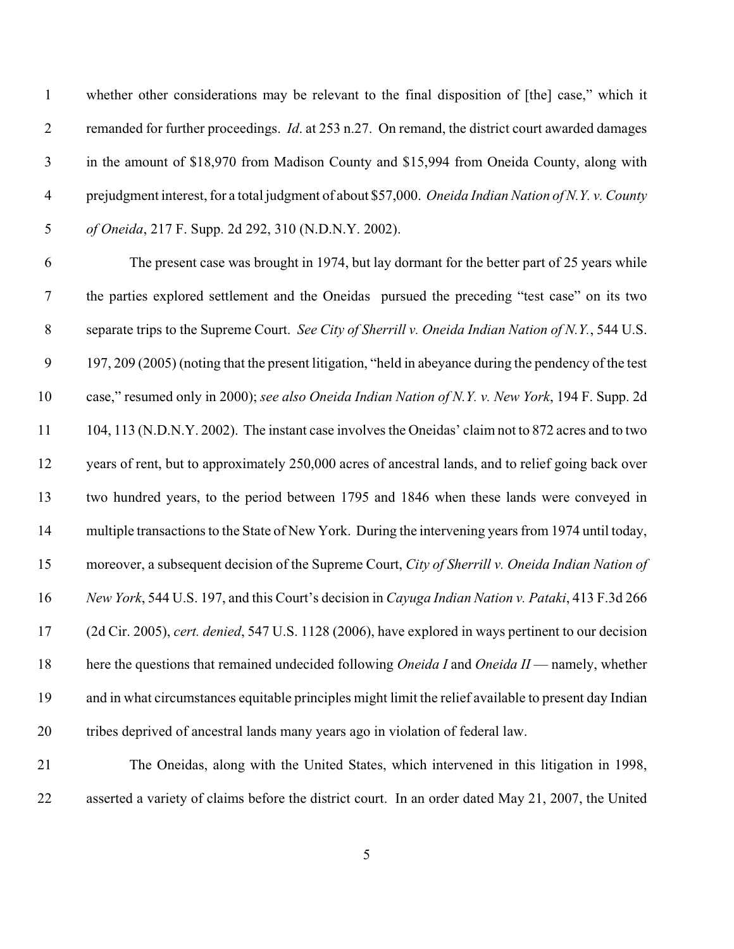whether other considerations may be relevant to the final disposition of [the] case," which it remanded for further proceedings. *Id*. at 253 n.27. On remand, the district court awarded damages in the amount of \$18,970 from Madison County and \$15,994 from Oneida County, along with prejudgment interest, for a total judgment of about \$57,000. *Oneida Indian Nation of N.Y. v. County of Oneida*, 217 F. Supp. 2d 292, 310 (N.D.N.Y. 2002).

 The present case was brought in 1974, but lay dormant for the better part of 25 years while the parties explored settlement and the Oneidas pursued the preceding "test case" on its two separate trips to the Supreme Court. *See City of Sherrill v. Oneida Indian Nation of N.Y.*, 544 U.S. 197, 209 (2005) (noting that the present litigation, "held in abeyance during the pendency of the test case," resumed only in 2000); *see also Oneida Indian Nation of N.Y. v. New York*, 194 F. Supp. 2d 104, 113 (N.D.N.Y. 2002). The instant case involves the Oneidas' claim not to 872 acres and to two years of rent, but to approximately 250,000 acres of ancestral lands, and to relief going back over two hundred years, to the period between 1795 and 1846 when these lands were conveyed in multiple transactions to the State of New York. During the intervening years from 1974 until today, moreover, a subsequent decision of the Supreme Court, *City of Sherrill v. Oneida Indian Nation of New York*, 544 U.S. 197, and this Court's decision in *Cayuga Indian Nation v. Pataki*, 413 F.3d 266 (2d Cir. 2005), *cert. denied*, 547 U.S. 1128 (2006), have explored in ways pertinent to our decision here the questions that remained undecided following *Oneida I* and *Oneida II* — namely, whether and in what circumstances equitable principles might limit the relief available to present day Indian tribes deprived of ancestral lands many years ago in violation of federal law.

 The Oneidas, along with the United States, which intervened in this litigation in 1998, asserted a variety of claims before the district court. In an order dated May 21, 2007, the United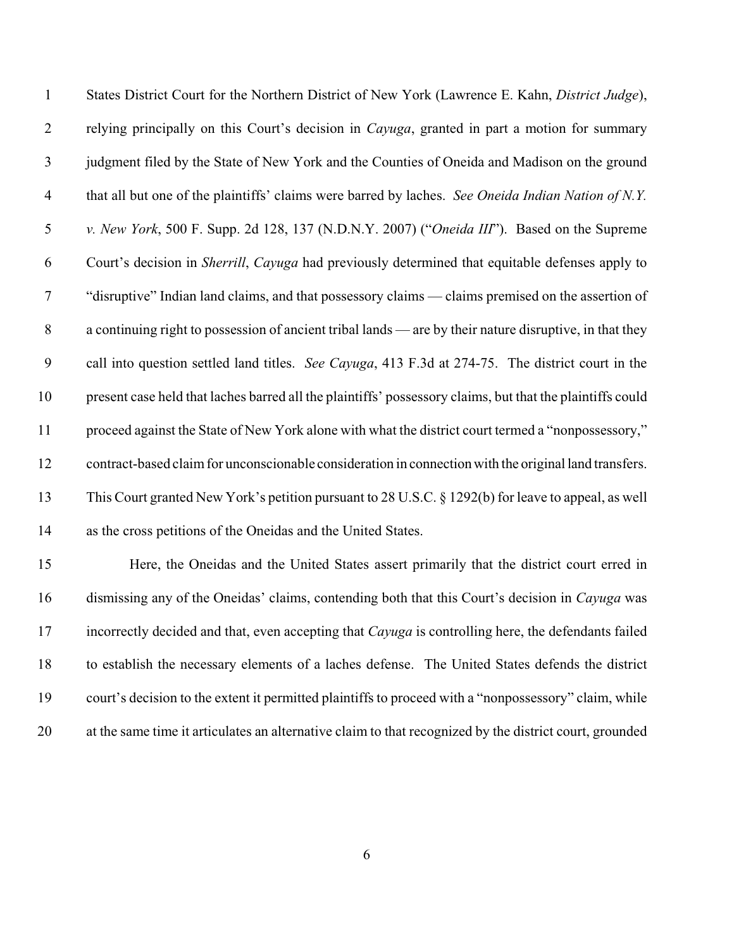| $\mathbf{1}$   | States District Court for the Northern District of New York (Lawrence E. Kahn, District Judge),           |
|----------------|-----------------------------------------------------------------------------------------------------------|
| $\overline{2}$ | relying principally on this Court's decision in <i>Cayuga</i> , granted in part a motion for summary      |
| $\mathfrak{Z}$ | judgment filed by the State of New York and the Counties of Oneida and Madison on the ground              |
| $\overline{4}$ | that all but one of the plaintiffs' claims were barred by laches. See Oneida Indian Nation of N.Y.        |
| 5              | v. New York, 500 F. Supp. 2d 128, 137 (N.D.N.Y. 2007) ("Oneida III"). Based on the Supreme                |
| 6              | Court's decision in Sherrill, Cayuga had previously determined that equitable defenses apply to           |
| $\overline{7}$ | "disruptive" Indian land claims, and that possessory claims — claims premised on the assertion of         |
| $8\,$          | a continuing right to possession of ancient tribal lands — are by their nature disruptive, in that they   |
| 9              | call into question settled land titles. See Cayuga, 413 F.3d at 274-75. The district court in the         |
| 10             | present case held that laches barred all the plaintiffs' possessory claims, but that the plaintiffs could |
| 11             | proceed against the State of New York alone with what the district court termed a "nonpossessory,"        |
| 12             | contract-based claim for unconscionable consideration in connection with the original land transfers.     |
| 13             | This Court granted New York's petition pursuant to 28 U.S.C. § 1292(b) for leave to appeal, as well       |
| 14             | as the cross petitions of the Oneidas and the United States.                                              |
| 15             | Here, the Oneidas and the United States assert primarily that the district court erred in                 |
| 16             | dismissing any of the Oneidas' claims, contending both that this Court's decision in Cayuga was           |
| $\blacksquare$ | t attentation variation and a strain and a                                                                |

 incorrectly decided and that, even accepting that *Cayuga* is controlling here, the defendants failed to establish the necessary elements of a laches defense. The United States defends the district court's decision to the extent it permitted plaintiffs to proceed with a "nonpossessory" claim, while at the same time it articulates an alternative claim to that recognized by the district court, grounded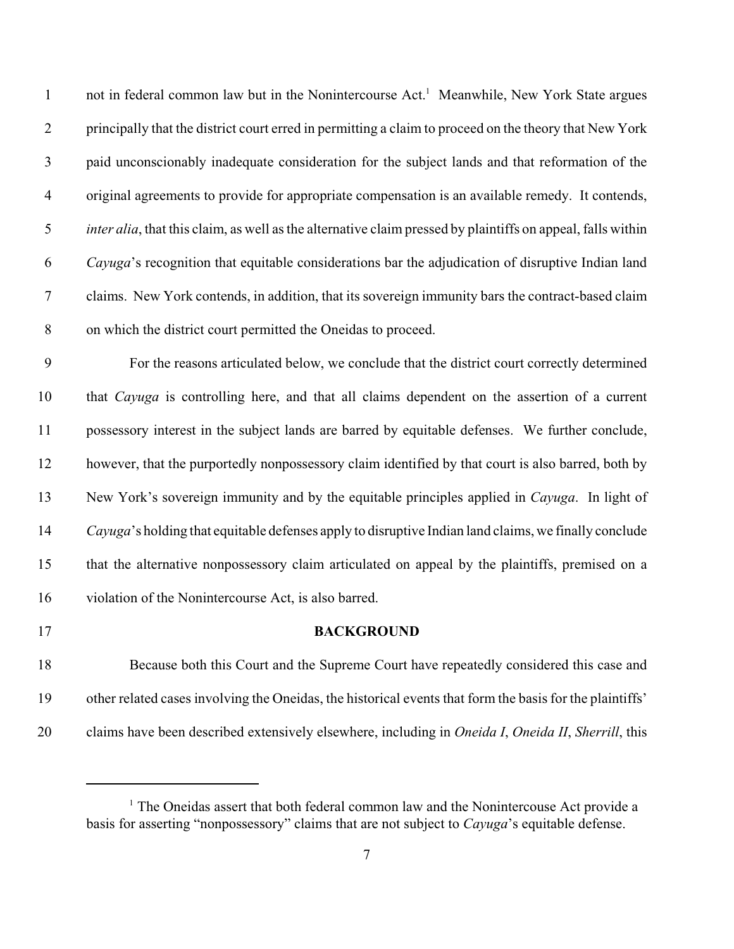1 not in federal common law but in the Nonintercourse Act.<sup>1</sup> Meanwhile, New York State argues principally that the district court erred in permitting a claim to proceed on the theory that New York paid unconscionably inadequate consideration for the subject lands and that reformation of the original agreements to provide for appropriate compensation is an available remedy. It contends, *inter alia*, that this claim, as well as the alternative claim pressed by plaintiffs on appeal, falls within *Cayuga*'s recognition that equitable considerations bar the adjudication of disruptive Indian land claims. New York contends, in addition, that its sovereign immunity bars the contract-based claim on which the district court permitted the Oneidas to proceed.

 For the reasons articulated below, we conclude that the district court correctly determined that *Cayuga* is controlling here, and that all claims dependent on the assertion of a current possessory interest in the subject lands are barred by equitable defenses. We further conclude, however, that the purportedly nonpossessory claim identified by that court is also barred, both by New York's sovereign immunity and by the equitable principles applied in *Cayuga*. In light of *Cayuga*'s holding that equitable defenses apply to disruptive Indian land claims, we finally conclude that the alternative nonpossessory claim articulated on appeal by the plaintiffs, premised on a violation of the Nonintercourse Act, is also barred.

#### **BACKGROUND**

 Because both this Court and the Supreme Court have repeatedly considered this case and other related cases involving the Oneidas, the historical events that form the basis for the plaintiffs' claims have been described extensively elsewhere, including in *Oneida I*, *Oneida II*, *Sherrill*, this

 The Oneidas assert that both federal common law and the Nonintercouse Act provide a basis for asserting "nonpossessory" claims that are not subject to *Cayuga*'s equitable defense.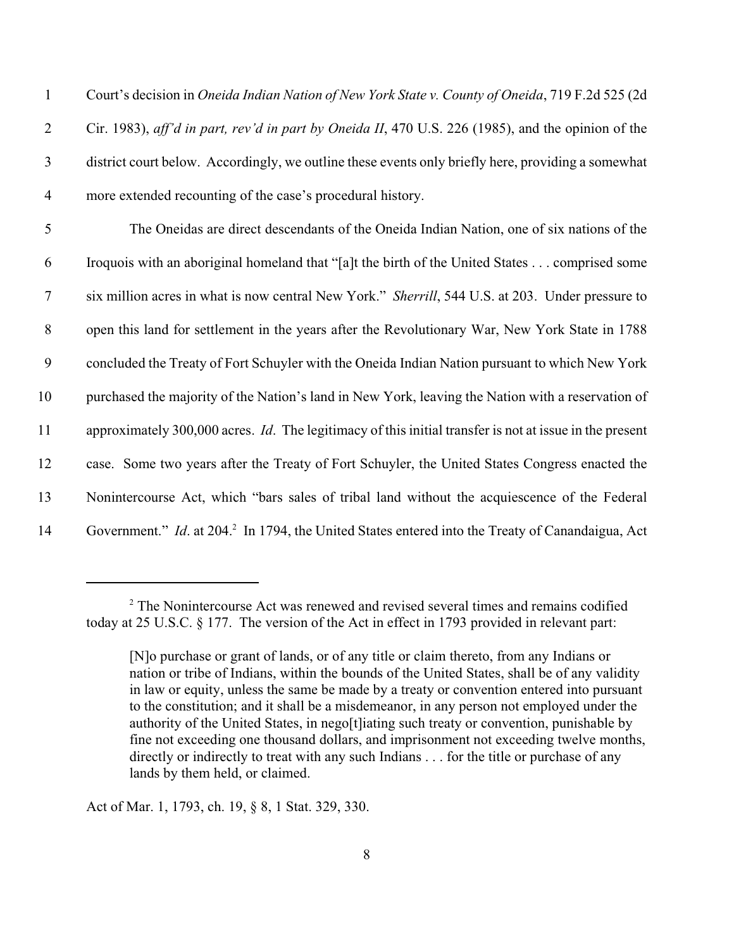Court's decision in *Oneida Indian Nation of New York State v. County of Oneida*, 719 F.2d 525 (2d Cir. 1983), *aff'd in part, rev'd in part by Oneida II*, 470 U.S. 226 (1985), and the opinion of the district court below. Accordingly, we outline these events only briefly here, providing a somewhat more extended recounting of the case's procedural history.

 The Oneidas are direct descendants of the Oneida Indian Nation, one of six nations of the Iroquois with an aboriginal homeland that "[a]t the birth of the United States . . . comprised some six million acres in what is now central New York." *Sherrill*, 544 U.S. at 203. Under pressure to open this land for settlement in the years after the Revolutionary War, New York State in 1788 concluded the Treaty of Fort Schuyler with the Oneida Indian Nation pursuant to which New York purchased the majority of the Nation's land in New York, leaving the Nation with a reservation of approximately 300,000 acres. *Id*. The legitimacy of this initial transfer is not at issue in the present case. Some two years after the Treaty of Fort Schuyler, the United States Congress enacted the Nonintercourse Act, which "bars sales of tribal land without the acquiescence of the Federal 14 Government." *Id.* at 204.<sup>2</sup> In 1794, the United States entered into the Treaty of Canandaigua, Act

Act of Mar. 1, 1793, ch. 19, § 8, 1 Stat. 329, 330.

 $<sup>2</sup>$  The Nonintercourse Act was renewed and revised several times and remains codified</sup> today at 25 U.S.C. § 177. The version of the Act in effect in 1793 provided in relevant part:

<sup>[</sup>N]o purchase or grant of lands, or of any title or claim thereto, from any Indians or nation or tribe of Indians, within the bounds of the United States, shall be of any validity in law or equity, unless the same be made by a treaty or convention entered into pursuant to the constitution; and it shall be a misdemeanor, in any person not employed under the authority of the United States, in nego[t]iating such treaty or convention, punishable by fine not exceeding one thousand dollars, and imprisonment not exceeding twelve months, directly or indirectly to treat with any such Indians . . . for the title or purchase of any lands by them held, or claimed.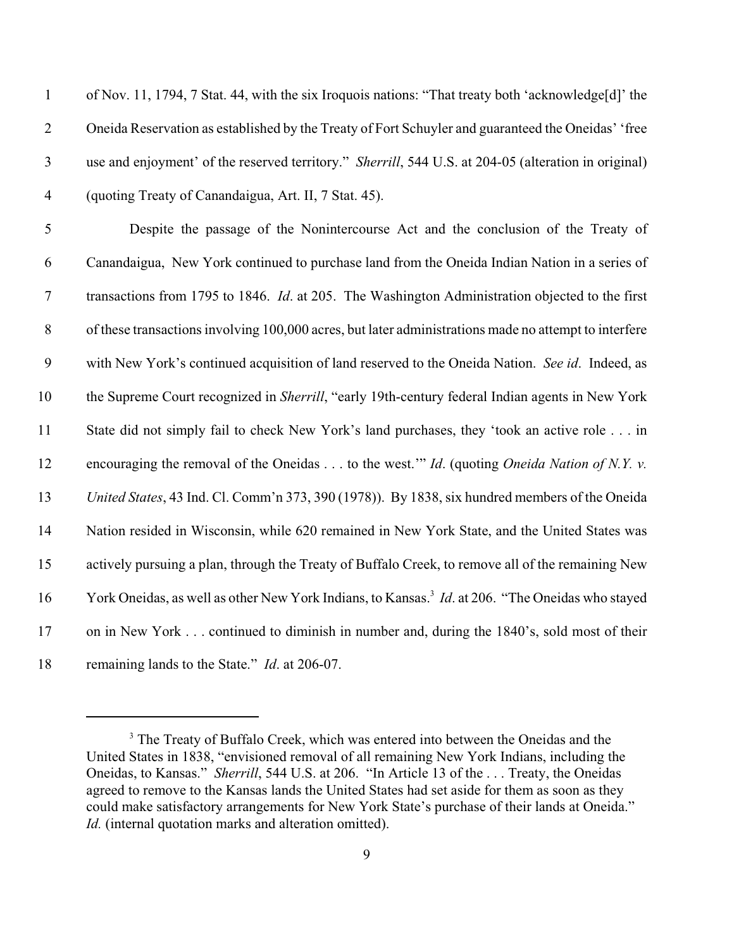| $\mathbf{1}$     | of Nov. 11, 1794, 7 Stat. 44, with the six Iroquois nations: "That treaty both 'acknowledge[d]' the              |
|------------------|------------------------------------------------------------------------------------------------------------------|
| $\mathbf{2}$     | Oneida Reservation as established by the Treaty of Fort Schuyler and guaranteed the Oneidas' 'free               |
| $\mathfrak{Z}$   | use and enjoyment' of the reserved territory." Sherrill, 544 U.S. at 204-05 (alteration in original)             |
| $\overline{4}$   | (quoting Treaty of Canandaigua, Art. II, 7 Stat. 45).                                                            |
| $\mathfrak{S}$   | Despite the passage of the Nonintercourse Act and the conclusion of the Treaty of                                |
| 6                | Canandaigua, New York continued to purchase land from the Oneida Indian Nation in a series of                    |
| $\boldsymbol{7}$ | transactions from 1795 to 1846. Id. at 205. The Washington Administration objected to the first                  |
| $8\,$            | of these transactions involving 100,000 acres, but later administrations made no attempt to interfere            |
| 9                | with New York's continued acquisition of land reserved to the Oneida Nation. See id. Indeed, as                  |
| 10               | the Supreme Court recognized in Sherrill, "early 19th-century federal Indian agents in New York                  |
| 11               | State did not simply fail to check New York's land purchases, they 'took an active role in                       |
| 12               | encouraging the removal of the Oneidas $\dots$ to the west." <i>Id.</i> (quoting <i>Oneida Nation of N.Y. v.</i> |
| 13               | United States, 43 Ind. Cl. Comm'n 373, 390 (1978)). By 1838, six hundred members of the Oneida                   |
| 14               | Nation resided in Wisconsin, while 620 remained in New York State, and the United States was                     |
| 15               | actively pursuing a plan, through the Treaty of Buffalo Creek, to remove all of the remaining New                |
| 16               | York Oneidas, as well as other New York Indians, to Kansas. <sup>3</sup> Id. at 206. "The Oneidas who stayed     |
| 17               | on in New York continued to diminish in number and, during the 1840's, sold most of their                        |
| 18               | remaining lands to the State." Id. at 206-07.                                                                    |

<sup>&</sup>lt;sup>3</sup> The Treaty of Buffalo Creek, which was entered into between the Oneidas and the United States in 1838, "envisioned removal of all remaining New York Indians, including the Oneidas, to Kansas." *Sherrill*, 544 U.S. at 206. "In Article 13 of the . . . Treaty, the Oneidas agreed to remove to the Kansas lands the United States had set aside for them as soon as they could make satisfactory arrangements for New York State's purchase of their lands at Oneida." *Id.* (internal quotation marks and alteration omitted).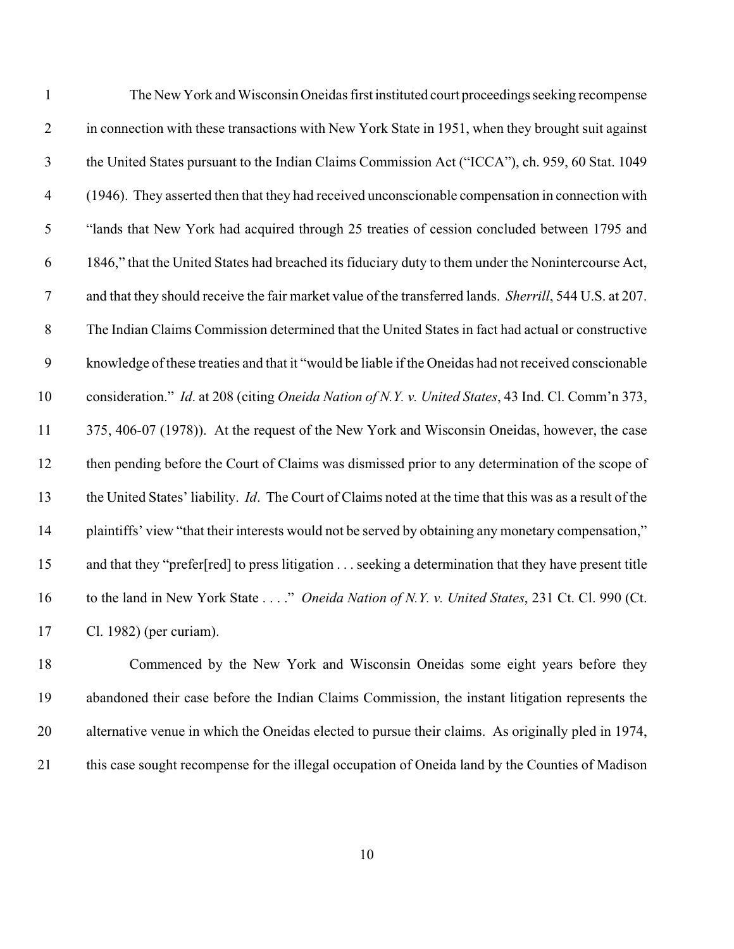| $\mathbf{1}$     | The New York and Wisconsin Oneidas first instituted court proceedings seeking recompense                 |
|------------------|----------------------------------------------------------------------------------------------------------|
| $\overline{2}$   | in connection with these transactions with New York State in 1951, when they brought suit against        |
| $\mathfrak{Z}$   | the United States pursuant to the Indian Claims Commission Act ("ICCA"), ch. 959, 60 Stat. 1049          |
| $\overline{4}$   | (1946). They asserted then that they had received unconscionable compensation in connection with         |
| $\mathfrak{S}$   | "lands that New York had acquired through 25 treaties of cession concluded between 1795 and              |
| 6                | 1846," that the United States had breached its fiduciary duty to them under the Nonintercourse Act,      |
| $\overline{7}$   | and that they should receive the fair market value of the transferred lands. Sherrill, 544 U.S. at 207.  |
| $8\,$            | The Indian Claims Commission determined that the United States in fact had actual or constructive        |
| $\boldsymbol{9}$ | knowledge of these treaties and that it "would be liable if the Oneidas had not received conscionable    |
| 10               | consideration." Id. at 208 (citing Oneida Nation of N.Y. v. United States, 43 Ind. Cl. Comm'n 373,       |
| 11               | 375, 406-07 (1978)). At the request of the New York and Wisconsin Oneidas, however, the case             |
| 12               | then pending before the Court of Claims was dismissed prior to any determination of the scope of         |
| 13               | the United States' liability. Id. The Court of Claims noted at the time that this was as a result of the |
| 14               | plaintiffs' view "that their interests would not be served by obtaining any monetary compensation,"      |
| 15               | and that they "prefer[red] to press litigation seeking a determination that they have present title      |
| 16               | to the land in New York State" Oneida Nation of N.Y. v. United States, 231 Ct. Cl. 990 (Ct.              |
| 17               | Cl. 1982) (per curiam).                                                                                  |
|                  |                                                                                                          |

 Commenced by the New York and Wisconsin Oneidas some eight years before they abandoned their case before the Indian Claims Commission, the instant litigation represents the alternative venue in which the Oneidas elected to pursue their claims. As originally pled in 1974, this case sought recompense for the illegal occupation of Oneida land by the Counties of Madison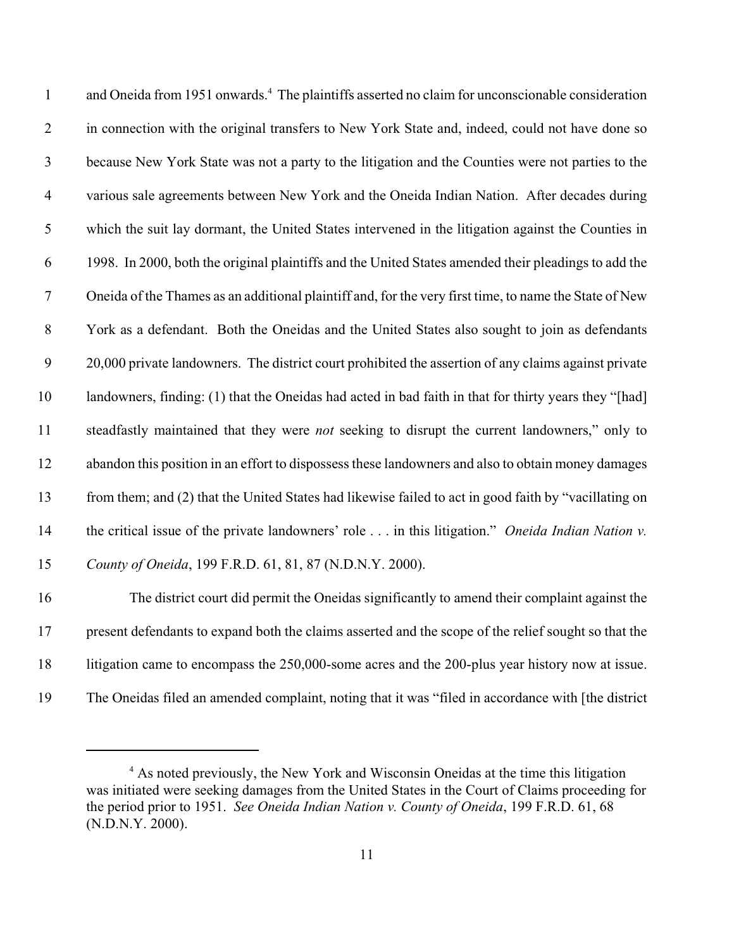| $\mathbf{1}$   | and Oneida from 1951 onwards. <sup>4</sup> The plaintiffs asserted no claim for unconscionable consideration   |
|----------------|----------------------------------------------------------------------------------------------------------------|
| $\overline{2}$ | in connection with the original transfers to New York State and, indeed, could not have done so                |
| $\mathfrak{Z}$ | because New York State was not a party to the litigation and the Counties were not parties to the              |
| $\overline{4}$ | various sale agreements between New York and the Oneida Indian Nation. After decades during                    |
| 5              | which the suit lay dormant, the United States intervened in the litigation against the Counties in             |
| 6              | 1998. In 2000, both the original plaintiffs and the United States amended their pleadings to add the           |
| $\tau$         | Oneida of the Thames as an additional plaintiff and, for the very first time, to name the State of New         |
| $8\,$          | York as a defendant. Both the Oneidas and the United States also sought to join as defendants                  |
| 9              | 20,000 private landowners. The district court prohibited the assertion of any claims against private           |
| 10             | landowners, finding: (1) that the Oneidas had acted in bad faith in that for thirty years they "[had]          |
| 11             | steadfastly maintained that they were <i>not</i> seeking to disrupt the current landowners," only to           |
| 12             | abandon this position in an effort to dispossess these landowners and also to obtain money damages             |
| 13             | from them; and (2) that the United States had likewise failed to act in good faith by "vacillating on          |
| 14             | the critical issue of the private landowners' role $\dots$ in this litigation." <i>Oneida Indian Nation v.</i> |
| 15             | County of Oneida, 199 F.R.D. 61, 81, 87 (N.D.N.Y. 2000).                                                       |
| 16             | The district court did permit the Oneidas significantly to amend their complaint against the                   |
| 17             | present defendants to expand both the claims asserted and the scope of the relief sought so that the           |

- 18 litigation came to encompass the 250,000-some acres and the 200-plus year history now at issue.
- The Oneidas filed an amended complaint, noting that it was "filed in accordance with [the district

<sup>&</sup>lt;sup>4</sup> As noted previously, the New York and Wisconsin Oneidas at the time this litigation was initiated were seeking damages from the United States in the Court of Claims proceeding for the period prior to 1951. *See Oneida Indian Nation v. County of Oneida*, 199 F.R.D. 61, 68 (N.D.N.Y. 2000).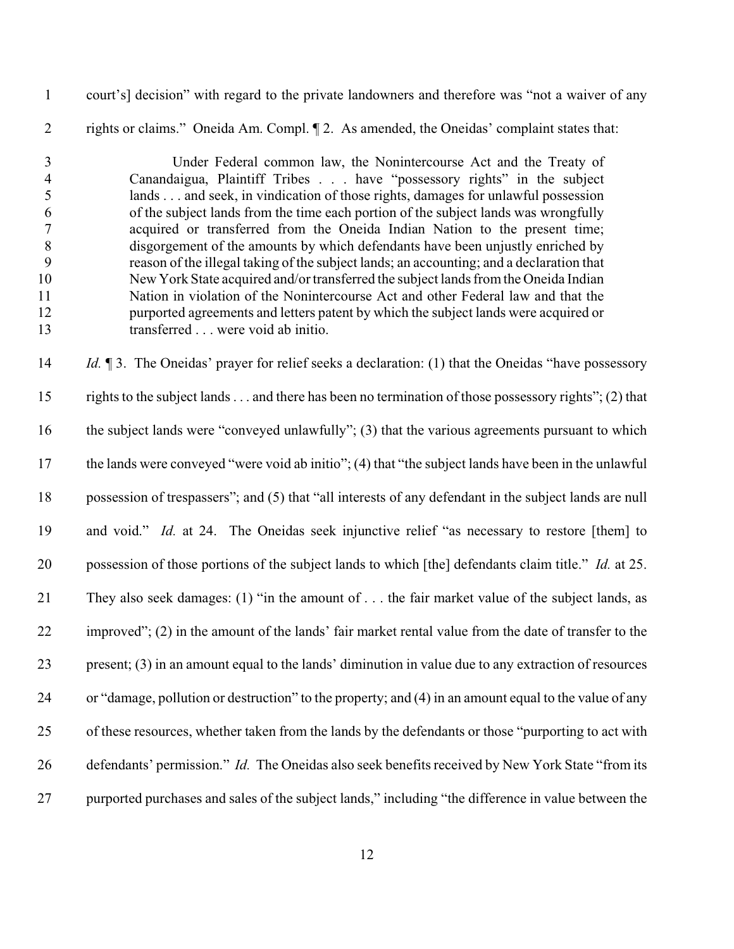- court's] decision" with regard to the private landowners and therefore was "not a waiver of any
- rights or claims." Oneida Am. Compl. ¶ 2. As amended, the Oneidas' complaint states that:

 Under Federal common law, the Nonintercourse Act and the Treaty of Canandaigua, Plaintiff Tribes . . . have "possessory rights" in the subject lands . . . and seek, in vindication of those rights, damages for unlawful possession of the subject lands from the time each portion of the subject lands was wrongfully acquired or transferred from the Oneida Indian Nation to the present time; disgorgement of the amounts by which defendants have been unjustly enriched by reason of the illegal taking of the subject lands; an accounting; and a declaration that New York State acquired and/or transferred the subject lands from the Oneida Indian Nation in violation of the Nonintercourse Act and other Federal law and that the purported agreements and letters patent by which the subject lands were acquired or transferred . . . were void ab initio.

 *Id.* ¶ 3. The Oneidas' prayer for relief seeks a declaration: (1) that the Oneidas "have possessory rights to the subject lands . . . and there has been no termination of those possessory rights"; (2) that the subject lands were "conveyed unlawfully"; (3) that the various agreements pursuant to which the lands were conveyed "were void ab initio"; (4) that "the subject lands have been in the unlawful possession of trespassers"; and (5) that "all interests of any defendant in the subject lands are null and void." *Id.* at 24. The Oneidas seek injunctive relief "as necessary to restore [them] to possession of those portions of the subject lands to which [the] defendants claim title." *Id.* at 25. They also seek damages: (1) "in the amount of . . . the fair market value of the subject lands, as improved"; (2) in the amount of the lands' fair market rental value from the date of transfer to the present; (3) in an amount equal to the lands' diminution in value due to any extraction of resources or "damage, pollution or destruction" to the property; and (4) in an amount equal to the value of any of these resources, whether taken from the lands by the defendants or those "purporting to act with 26 defendants' permission." *Id.* The Oneidas also seek benefits received by New York State "from its purported purchases and sales of the subject lands," including "the difference in value between the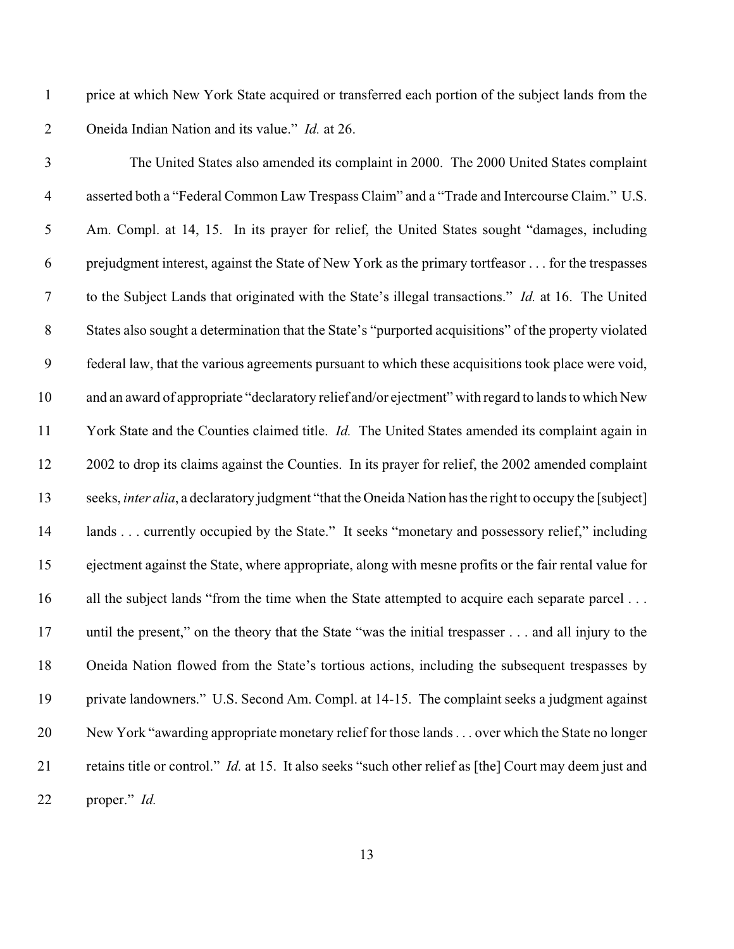price at which New York State acquired or transferred each portion of the subject lands from the Oneida Indian Nation and its value." *Id.* at 26.

| $\mathfrak{Z}$   | The United States also amended its complaint in 2000. The 2000 United States complaint                          |
|------------------|-----------------------------------------------------------------------------------------------------------------|
| $\overline{4}$   | asserted both a "Federal Common Law Trespass Claim" and a "Trade and Intercourse Claim." U.S.                   |
| 5                | Am. Compl. at 14, 15. In its prayer for relief, the United States sought "damages, including                    |
| 6                | prejudgment interest, against the State of New York as the primary tortfeasor for the trespasses                |
| $\boldsymbol{7}$ | to the Subject Lands that originated with the State's illegal transactions." Id. at 16. The United              |
| $8\,$            | States also sought a determination that the State's "purported acquisitions" of the property violated           |
| 9                | federal law, that the various agreements pursuant to which these acquisitions took place were void,             |
| 10               | and an award of appropriate "declaratory relief and/or ejectment" with regard to lands to which New             |
| 11               | York State and the Counties claimed title. <i>Id.</i> The United States amended its complaint again in          |
| 12               | 2002 to drop its claims against the Counties. In its prayer for relief, the 2002 amended complaint              |
| 13               | seeks, <i>inter alia</i> , a declaratory judgment "that the Oneida Nation has the right to occupy the [subject] |
| 14               | lands currently occupied by the State." It seeks "monetary and possessory relief," including                    |
| 15               | ejectment against the State, where appropriate, along with mesne profits or the fair rental value for           |
| 16               | all the subject lands "from the time when the State attempted to acquire each separate parcel                   |
| 17               | until the present," on the theory that the State "was the initial trespasser and all injury to the              |
| 18               | Oneida Nation flowed from the State's tortious actions, including the subsequent trespasses by                  |
| 19               | private landowners." U.S. Second Am. Compl. at 14-15. The complaint seeks a judgment against                    |
| 20               | New York "awarding appropriate monetary relief for those lands over which the State no longer                   |
| 21               | retains title or control." <i>Id.</i> at 15. It also seeks "such other relief as [the] Court may deem just and  |
| 22               | proper." Id.                                                                                                    |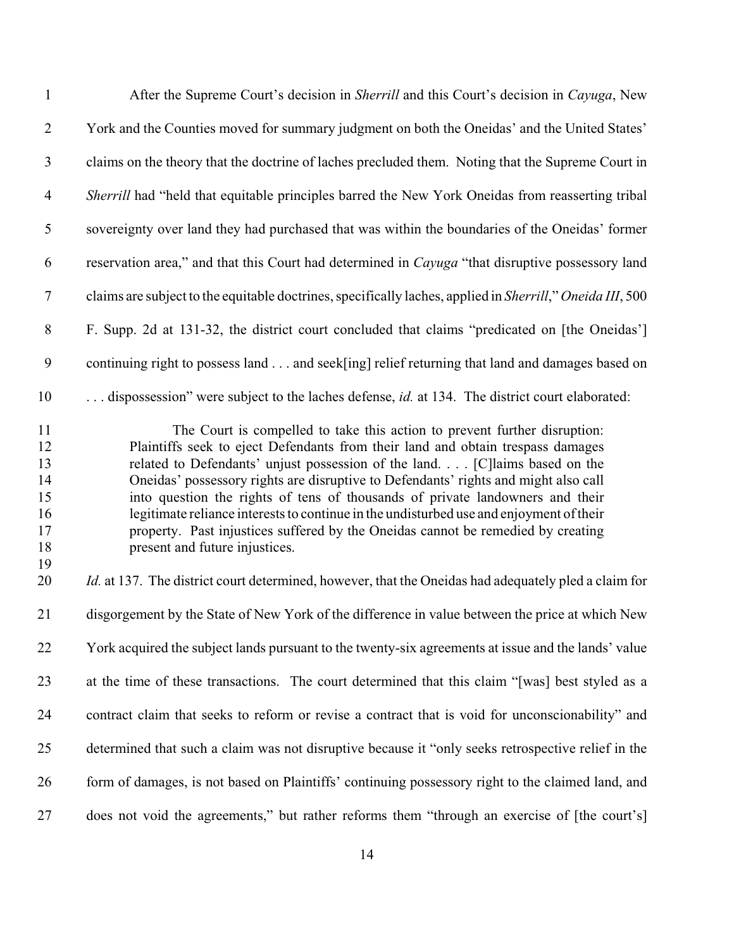| $\mathbf{1}$                                       | After the Supreme Court's decision in Sherrill and this Court's decision in Cayuga, New                                                                                                                                                                                                                                                                                                                                                                                                                                                                                                                                              |
|----------------------------------------------------|--------------------------------------------------------------------------------------------------------------------------------------------------------------------------------------------------------------------------------------------------------------------------------------------------------------------------------------------------------------------------------------------------------------------------------------------------------------------------------------------------------------------------------------------------------------------------------------------------------------------------------------|
| $\overline{2}$                                     | York and the Counties moved for summary judgment on both the Oneidas' and the United States'                                                                                                                                                                                                                                                                                                                                                                                                                                                                                                                                         |
| $\mathfrak{Z}$                                     | claims on the theory that the doctrine of laches precluded them. Noting that the Supreme Court in                                                                                                                                                                                                                                                                                                                                                                                                                                                                                                                                    |
| $\overline{4}$                                     | Sherrill had "held that equitable principles barred the New York Oneidas from reasserting tribal                                                                                                                                                                                                                                                                                                                                                                                                                                                                                                                                     |
| $\mathfrak s$                                      | sovereignty over land they had purchased that was within the boundaries of the Oneidas' former                                                                                                                                                                                                                                                                                                                                                                                                                                                                                                                                       |
| 6                                                  | reservation area," and that this Court had determined in Cayuga "that disruptive possessory land                                                                                                                                                                                                                                                                                                                                                                                                                                                                                                                                     |
| $\boldsymbol{7}$                                   | claims are subject to the equitable doctrines, specifically laches, applied in Sherrill," Oneida III, 500                                                                                                                                                                                                                                                                                                                                                                                                                                                                                                                            |
| $8\,$                                              | F. Supp. 2d at 131-32, the district court concluded that claims "predicated on [the Oneidas']                                                                                                                                                                                                                                                                                                                                                                                                                                                                                                                                        |
| $\boldsymbol{9}$                                   | continuing right to possess land and seek[ing] relief returning that land and damages based on                                                                                                                                                                                                                                                                                                                                                                                                                                                                                                                                       |
| 10                                                 | dispossession" were subject to the laches defense, <i>id.</i> at 134. The district court elaborated:                                                                                                                                                                                                                                                                                                                                                                                                                                                                                                                                 |
| 11<br>12<br>13<br>14<br>15<br>16<br>17<br>18<br>19 | The Court is compelled to take this action to prevent further disruption:<br>Plaintiffs seek to eject Defendants from their land and obtain trespass damages<br>related to Defendants' unjust possession of the land [C] laims based on the<br>Oneidas' possessory rights are disruptive to Defendants' rights and might also call<br>into question the rights of tens of thousands of private landowners and their<br>legitimate reliance interests to continue in the undisturbed use and enjoyment of their<br>property. Past injustices suffered by the Oneidas cannot be remedied by creating<br>present and future injustices. |
| 20                                                 | <i>Id.</i> at 137. The district court determined, however, that the Oneidas had adequately pled a claim for                                                                                                                                                                                                                                                                                                                                                                                                                                                                                                                          |
| 21                                                 | disgorgement by the State of New York of the difference in value between the price at which New                                                                                                                                                                                                                                                                                                                                                                                                                                                                                                                                      |
| 22                                                 | York acquired the subject lands pursuant to the twenty-six agreements at issue and the lands' value                                                                                                                                                                                                                                                                                                                                                                                                                                                                                                                                  |
| 23                                                 | at the time of these transactions. The court determined that this claim "[was] best styled as a                                                                                                                                                                                                                                                                                                                                                                                                                                                                                                                                      |
| 24                                                 | contract claim that seeks to reform or revise a contract that is void for unconscionability" and                                                                                                                                                                                                                                                                                                                                                                                                                                                                                                                                     |
| 25                                                 | determined that such a claim was not disruptive because it "only seeks retrospective relief in the                                                                                                                                                                                                                                                                                                                                                                                                                                                                                                                                   |
| 26                                                 | form of damages, is not based on Plaintiffs' continuing possessory right to the claimed land, and                                                                                                                                                                                                                                                                                                                                                                                                                                                                                                                                    |
| 27                                                 | does not void the agreements," but rather reforms them "through an exercise of [the court's]                                                                                                                                                                                                                                                                                                                                                                                                                                                                                                                                         |
|                                                    |                                                                                                                                                                                                                                                                                                                                                                                                                                                                                                                                                                                                                                      |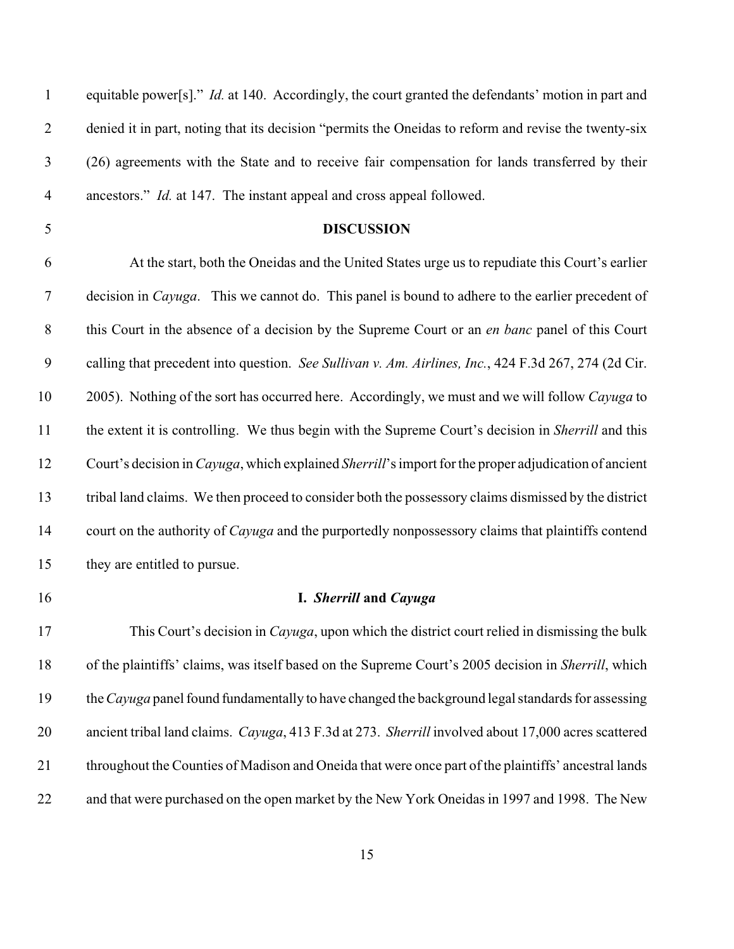| $\mathbf{1}$     | equitable power[s]." <i>Id.</i> at 140. Accordingly, the court granted the defendants' motion in part and            |
|------------------|----------------------------------------------------------------------------------------------------------------------|
| $\overline{2}$   | denied it in part, noting that its decision "permits the Oneidas to reform and revise the twenty-six                 |
| 3                | (26) agreements with the State and to receive fair compensation for lands transferred by their                       |
| $\overline{4}$   | ancestors." <i>Id.</i> at 147. The instant appeal and cross appeal followed.                                         |
| 5                | <b>DISCUSSION</b>                                                                                                    |
| 6                | At the start, both the Oneidas and the United States urge us to repudiate this Court's earlier                       |
| $\overline{7}$   | decision in <i>Cayuga</i> . This we cannot do. This panel is bound to adhere to the earlier precedent of             |
| $\,8\,$          | this Court in the absence of a decision by the Supreme Court or an <i>en banc</i> panel of this Court                |
| $\boldsymbol{9}$ | calling that precedent into question. See Sullivan v. Am. Airlines, Inc., 424 F.3d 267, 274 (2d Cir.                 |
| 10               | 2005). Nothing of the sort has occurred here. Accordingly, we must and we will follow Cayuga to                      |
| 11               | the extent it is controlling. We thus begin with the Supreme Court's decision in Sherrill and this                   |
| 12               | Court's decision in <i>Cayuga</i> , which explained <i>Sherrill</i> 's import for the proper adjudication of ancient |
| 13               | tribal land claims. We then proceed to consider both the possessory claims dismissed by the district                 |
| 14               | court on the authority of <i>Cayuga</i> and the purportedly nonpossessory claims that plaintiffs contend             |
| 15               | they are entitled to pursue.                                                                                         |
| 16               | I. Sherrill and Cayuga                                                                                               |
| 17               | This Court's decision in <i>Cayuga</i> , upon which the district court relied in dismissing the bulk                 |
| 18               | of the plaintiffs' claims, was itself based on the Supreme Court's 2005 decision in Sherrill, which                  |
| 19               | the Cayuga panel found fundamentally to have changed the background legal standards for assessing                    |
| 20               | ancient tribal land claims. Cayuga, 413 F.3d at 273. Sherrill involved about 17,000 acres scattered                  |
| 21               | throughout the Counties of Madison and Oneida that were once part of the plaintiffs' ancestral lands                 |
| 22               | and that were purchased on the open market by the New York Oneidas in 1997 and 1998. The New                         |
|                  |                                                                                                                      |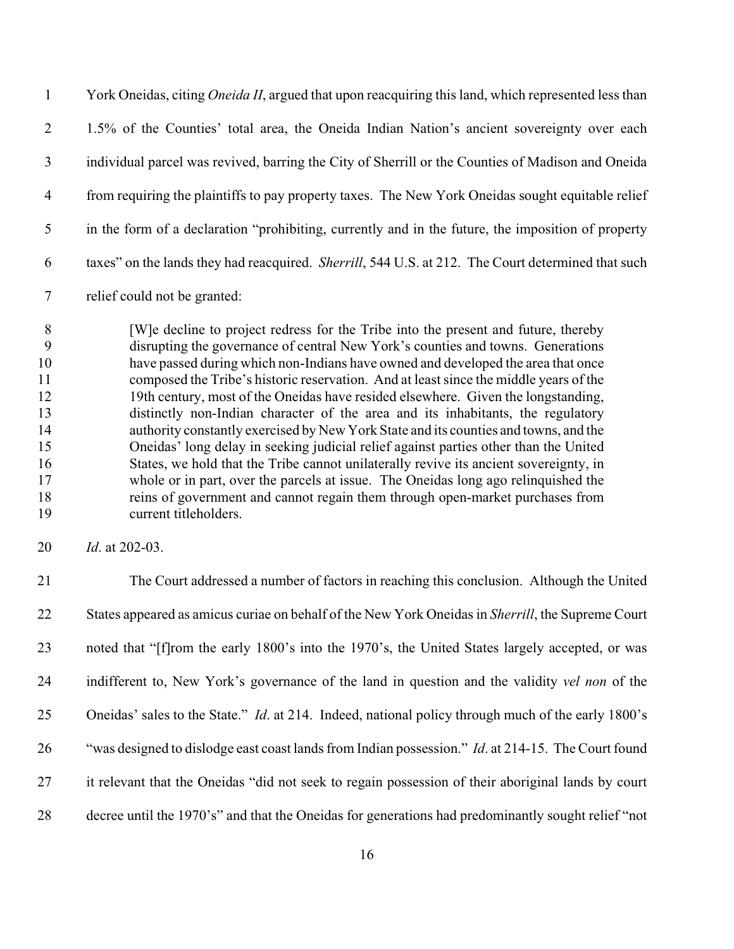York Oneidas, citing *Oneida II*, argued that upon reacquiring this land, which represented less than 1.5% of the Counties' total area, the Oneida Indian Nation's ancient sovereignty over each individual parcel was revived, barring the City of Sherrill or the Counties of Madison and Oneida from requiring the plaintiffs to pay property taxes. The New York Oneidas sought equitable relief in the form of a declaration "prohibiting, currently and in the future, the imposition of property taxes" on the lands they had reacquired. *Sherrill*, 544 U.S. at 212. The Court determined that such

relief could not be granted:

8 [W] e decline to project redress for the Tribe into the present and future, thereby disrupting the governance of central New York's counties and towns. Generations have passed during which non-Indians have owned and developed the area that once composed the Tribe's historic reservation. And at least since the middle years of the 19th century, most of the Oneidas have resided elsewhere. Given the longstanding, distinctly non-Indian character of the area and its inhabitants, the regulatory authority constantly exercised by New York State and its counties and towns, and the Oneidas' long delay in seeking judicial relief against parties other than the United States, we hold that the Tribe cannot unilaterally revive its ancient sovereignty, in whole or in part, over the parcels at issue. The Oneidas long ago relinquished the reins of government and cannot regain them through open-market purchases from current titleholders.

*Id*. at 202-03.

 The Court addressed a number of factors in reaching this conclusion. Although the United States appeared as amicus curiae on behalf of the New York Oneidas in *Sherrill*, the Supreme Court noted that "[f]rom the early 1800's into the 1970's, the United States largely accepted, or was indifferent to, New York's governance of the land in question and the validity *vel non* of the Oneidas' sales to the State." *Id*. at 214. Indeed, national policy through much of the early 1800's "was designed to dislodge east coast lands from Indian possession." *Id*. at 214-15. The Court found it relevant that the Oneidas "did not seek to regain possession of their aboriginal lands by court decree until the 1970's" and that the Oneidas for generations had predominantly sought relief "not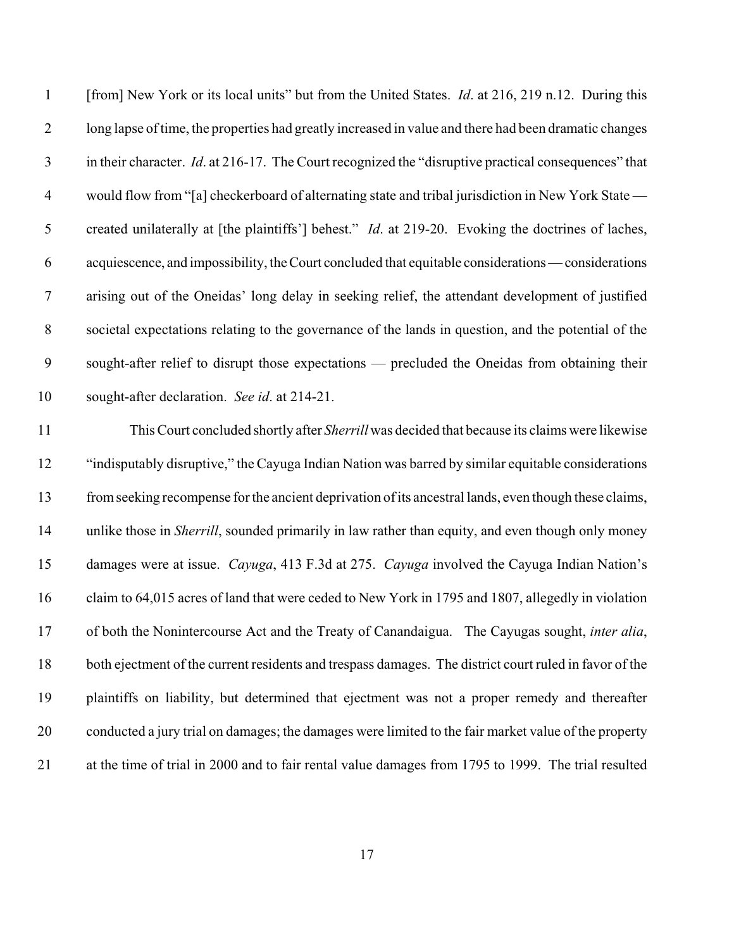| [from] New York or its local units" but from the United States. <i>Id.</i> at 216, 219 n.12. During this    |
|-------------------------------------------------------------------------------------------------------------|
| long lapse of time, the properties had greatly increased in value and there had been dramatic changes       |
| in their character. <i>Id.</i> at 216-17. The Court recognized the "disruptive practical consequences" that |
| would flow from "[a] checkerboard of alternating state and tribal jurisdiction in New York State -          |
| created unilaterally at [the plaintiffs'] behest." <i>Id.</i> at 219-20. Evoking the doctrines of laches,   |
| acquiescence, and impossibility, the Court concluded that equitable considerations — considerations         |
| arising out of the Oneidas' long delay in seeking relief, the attendant development of justified            |
| societal expectations relating to the governance of the lands in question, and the potential of the         |
| sought-after relief to disrupt those expectations — precluded the Oneidas from obtaining their              |
| sought-after declaration. See id. at 214-21.                                                                |
| This Court concluded shortly after Sherrill was decided that because its claims were likewise               |
| "indisputably disruptive," the Cayuga Indian Nation was barred by similar equitable considerations          |
| from seeking recompense for the ancient deprivation of its ancestral lands, even though these claims,       |
| unlike those in <i>Sherrill</i> , sounded primarily in law rather than equity, and even though only money   |
| damages were at issue. Cayuga, 413 F.3d at 275. Cayuga involved the Cayuga Indian Nation's                  |
| claim to 64,015 acres of land that were ceded to New York in 1795 and 1807, allegedly in violation          |
| of both the Nonintercourse Act and the Treaty of Canandaigua. The Cayugas sought, inter alia,               |
| both ejectment of the current residents and trespass damages. The district court ruled in favor of the      |
| plaintiffs on liability, but determined that ejectment was not a proper remedy and thereafter               |
| conducted a jury trial on damages; the damages were limited to the fair market value of the property        |
| at the time of trial in 2000 and to fair rental value damages from 1795 to 1999. The trial resulted         |
|                                                                                                             |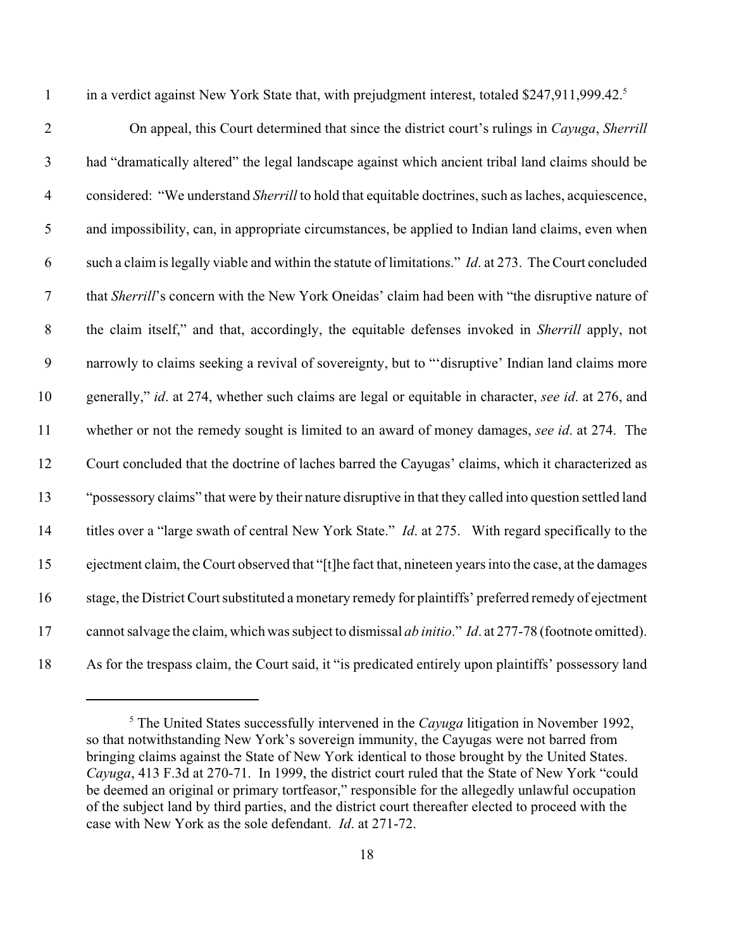1 in a verdict against New York State that, with prejudgment interest, totaled \$247,911,999.42.<sup>5</sup>

 On appeal, this Court determined that since the district court's rulings in *Cayuga*, *Sherrill* had "dramatically altered" the legal landscape against which ancient tribal land claims should be considered: "We understand *Sherrill* to hold that equitable doctrines, such as laches, acquiescence, and impossibility, can, in appropriate circumstances, be applied to Indian land claims, even when such a claim is legally viable and within the statute of limitations." *Id*. at 273. The Court concluded that *Sherrill*'s concern with the New York Oneidas' claim had been with "the disruptive nature of the claim itself," and that, accordingly, the equitable defenses invoked in *Sherrill* apply, not narrowly to claims seeking a revival of sovereignty, but to "'disruptive' Indian land claims more generally," *id*. at 274, whether such claims are legal or equitable in character, *see id*. at 276, and whether or not the remedy sought is limited to an award of money damages, *see id*. at 274. The Court concluded that the doctrine of laches barred the Cayugas' claims, which it characterized as "possessory claims" that were by their nature disruptive in that they called into question settled land titles over a "large swath of central New York State." *Id*. at 275. With regard specifically to the ejectment claim, the Court observed that "[t]he fact that, nineteen years into the case, at the damages stage, the District Court substituted a monetary remedy for plaintiffs' preferred remedy of ejectment cannot salvage the claim, which was subject to dismissal *ab initio*." *Id*. at 277-78 (footnote omitted). As for the trespass claim, the Court said, it "is predicated entirely upon plaintiffs' possessory land

<sup>&</sup>lt;sup>5</sup> The United States successfully intervened in the *Cayuga* litigation in November 1992, so that notwithstanding New York's sovereign immunity, the Cayugas were not barred from bringing claims against the State of New York identical to those brought by the United States. *Cayuga*, 413 F.3d at 270-71. In 1999, the district court ruled that the State of New York "could be deemed an original or primary tortfeasor," responsible for the allegedly unlawful occupation of the subject land by third parties, and the district court thereafter elected to proceed with the case with New York as the sole defendant. *Id*. at 271-72.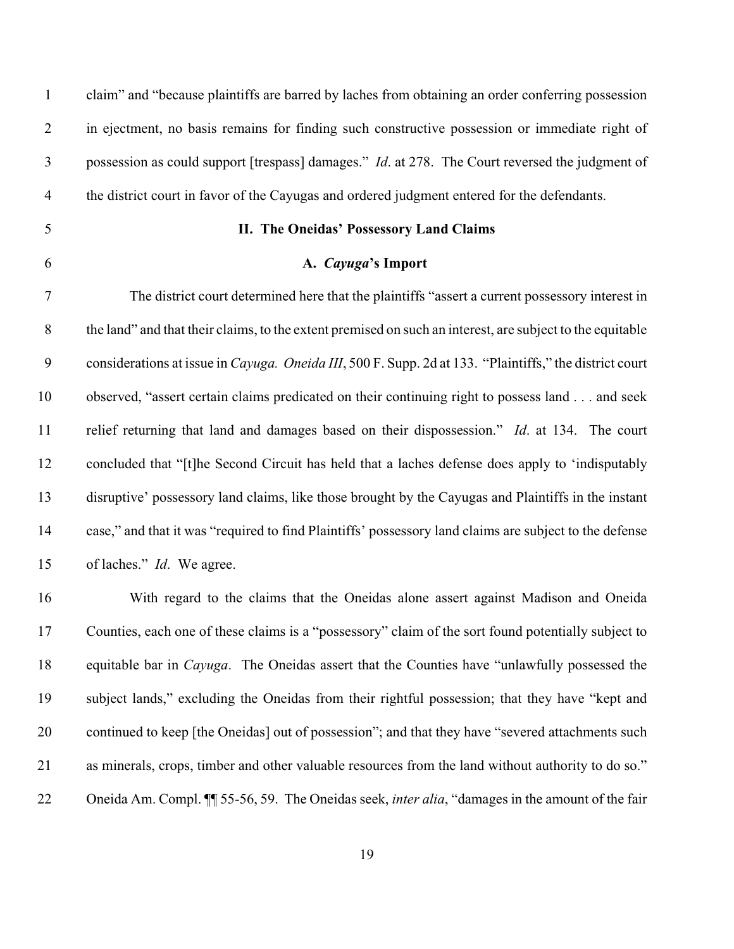| $\mathbf{1}$     | claim" and "because plaintiffs are barred by laches from obtaining an order conferring possession               |
|------------------|-----------------------------------------------------------------------------------------------------------------|
| $\overline{2}$   | in ejectment, no basis remains for finding such constructive possession or immediate right of                   |
| $\mathfrak{Z}$   | possession as could support [trespass] damages." <i>Id.</i> at 278. The Court reversed the judgment of          |
| $\overline{4}$   | the district court in favor of the Cayugas and ordered judgment entered for the defendants.                     |
| 5                | II. The Oneidas' Possessory Land Claims                                                                         |
| 6                | A. Cayuga's Import                                                                                              |
| $\tau$           | The district court determined here that the plaintiffs "assert a current possessory interest in                 |
| $8\,$            | the land" and that their claims, to the extent premised on such an interest, are subject to the equitable       |
| $\boldsymbol{9}$ | considerations at issue in <i>Cayuga. Oneida III</i> , 500 F. Supp. 2d at 133. "Plaintiffs," the district court |
| 10               | observed, "assert certain claims predicated on their continuing right to possess land and seek                  |
| 11               | relief returning that land and damages based on their dispossession." Id. at 134. The court                     |
| 12               | concluded that "[t] he Second Circuit has held that a laches defense does apply to 'indisputably                |
| 13               | disruptive' possessory land claims, like those brought by the Cayugas and Plaintiffs in the instant             |
| 14               | case," and that it was "required to find Plaintiffs' possessory land claims are subject to the defense          |
| 15               | of laches." <i>Id.</i> We agree.                                                                                |
| 16               | With regard to the claims that the Oneidas alone assert against Madison and Oneida                              |
| 17               | Counties, each one of these claims is a "possessory" claim of the sort found potentially subject to             |
| 18               | equitable bar in <i>Cayuga</i> . The Oneidas assert that the Counties have "unlawfully possessed the            |
| 19               | subject lands," excluding the Oneidas from their rightful possession; that they have "kept and                  |
| 20               | continued to keep [the Oneidas] out of possession"; and that they have "severed attachments such                |
| 21               | as minerals, crops, timber and other valuable resources from the land without authority to do so."              |
| 22               | Oneida Am. Compl. II 55-56, 59. The Oneidas seek, <i>inter alia</i> , "damages in the amount of the fair        |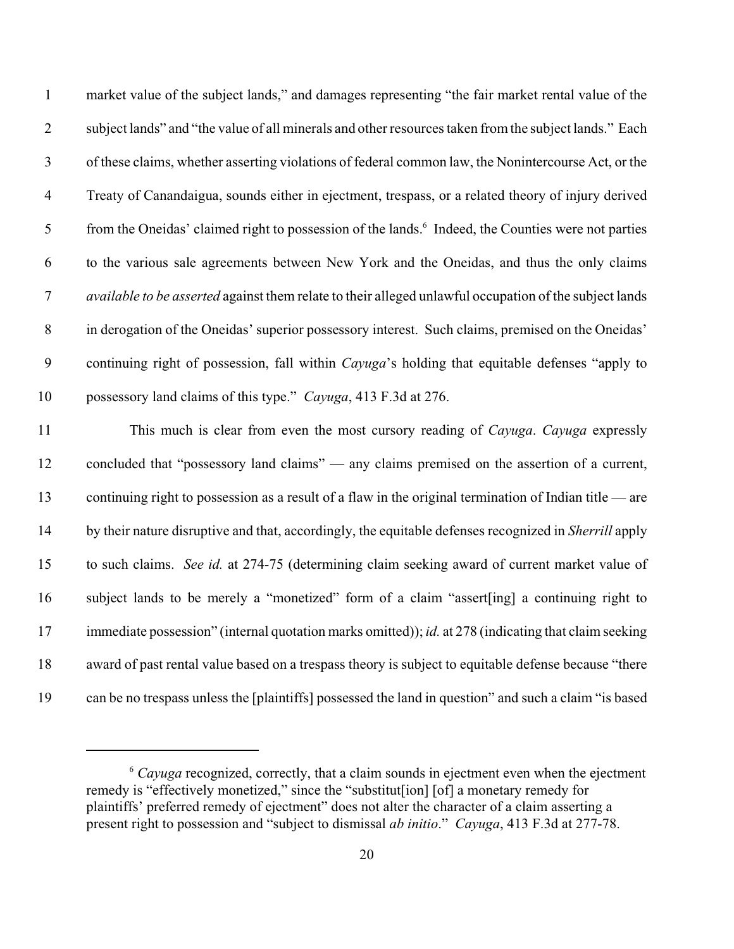| $\mathbf{1}$     | market value of the subject lands," and damages representing "the fair market rental value of the              |
|------------------|----------------------------------------------------------------------------------------------------------------|
| $\overline{2}$   | subject lands" and "the value of all minerals and other resources taken from the subject lands." Each          |
| $\mathfrak{Z}$   | of these claims, whether asserting violations of federal common law, the Nonintercourse Act, or the            |
| $\overline{4}$   | Treaty of Canandaigua, sounds either in ejectment, trespass, or a related theory of injury derived             |
| 5                | from the Oneidas' claimed right to possession of the lands. <sup>6</sup> Indeed, the Counties were not parties |
| 6                | to the various sale agreements between New York and the Oneidas, and thus the only claims                      |
| $\boldsymbol{7}$ | available to be asserted against them relate to their alleged unlawful occupation of the subject lands         |
| $8\,$            | in derogation of the Oneidas' superior possessory interest. Such claims, premised on the Oneidas'              |
| 9                | continuing right of possession, fall within <i>Cayuga</i> 's holding that equitable defenses "apply to         |
| 10               | possessory land claims of this type." Cayuga, 413 F.3d at 276.                                                 |
| 11               | This much is clear from even the most cursory reading of Cayuga. Cayuga expressly                              |
| 12               | concluded that "possessory land claims" — any claims premised on the assertion of a current,                   |
| 13               | continuing right to possession as a result of a flaw in the original termination of Indian title — are         |
| 14               | by their nature disruptive and that, accordingly, the equitable defenses recognized in <i>Sherrill</i> apply   |
| 15               | to such claims. See id. at 274-75 (determining claim seeking award of current market value of                  |
| 16               | subject lands to be merely a "monetized" form of a claim "assert[ing] a continuing right to                    |
| 17               | immediate possession" (internal quotation marks omitted)); id. at 278 (indicating that claim seeking           |

award of past rental value based on a trespass theory is subject to equitable defense because "there

can be no trespass unless the [plaintiffs] possessed the land in question" and such a claim "is based

<sup>&</sup>lt;sup>6</sup> Cayuga recognized, correctly, that a claim sounds in ejectment even when the ejectment remedy is "effectively monetized," since the "substitut[ion] [of] a monetary remedy for plaintiffs' preferred remedy of ejectment" does not alter the character of a claim asserting a present right to possession and "subject to dismissal *ab initio*." *Cayuga*, 413 F.3d at 277-78.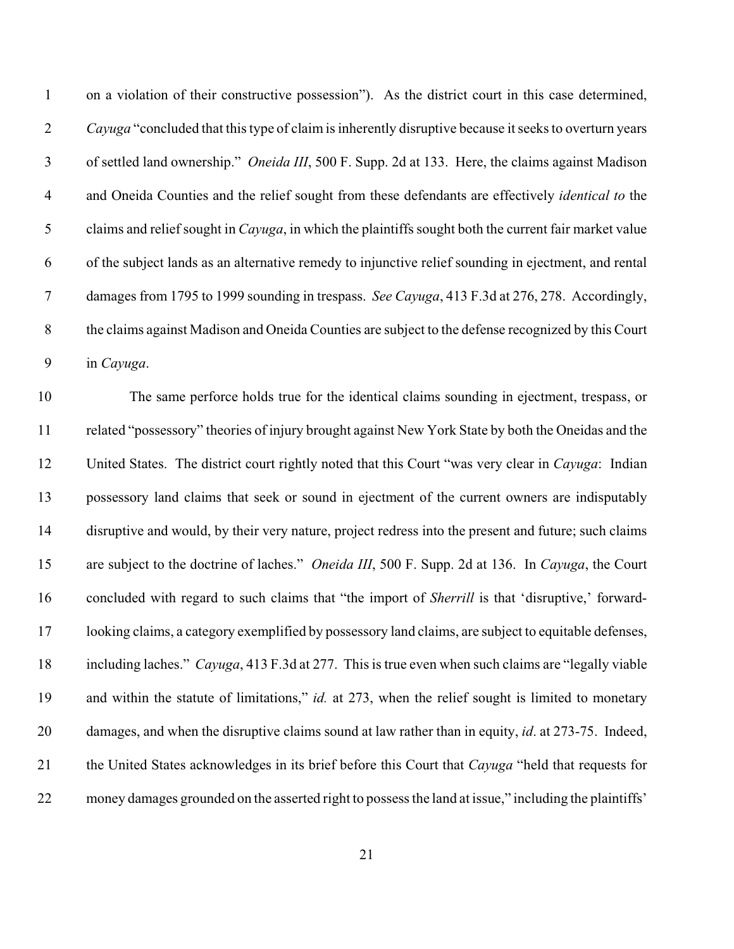on a violation of their constructive possession"). As the district court in this case determined, *Cayuga* "concluded that this type of claim is inherently disruptive because it seeks to overturn years of settled land ownership." *Oneida III*, 500 F. Supp. 2d at 133. Here, the claims against Madison and Oneida Counties and the relief sought from these defendants are effectively *identical to* the claims and relief sought in *Cayuga*, in which the plaintiffs sought both the current fair market value of the subject lands as an alternative remedy to injunctive relief sounding in ejectment, and rental damages from 1795 to 1999 sounding in trespass. *See Cayuga*, 413 F.3d at 276, 278. Accordingly, the claims against Madison and Oneida Counties are subject to the defense recognized by this Court in *Cayuga*.

 The same perforce holds true for the identical claims sounding in ejectment, trespass, or related "possessory" theories of injury brought against New York State by both the Oneidas and the United States. The district court rightly noted that this Court "was very clear in *Cayuga*: Indian possessory land claims that seek or sound in ejectment of the current owners are indisputably disruptive and would, by their very nature, project redress into the present and future; such claims are subject to the doctrine of laches." *Oneida III*, 500 F. Supp. 2d at 136. In *Cayuga*, the Court concluded with regard to such claims that "the import of *Sherrill* is that 'disruptive,' forward- looking claims, a category exemplified by possessory land claims, are subject to equitable defenses, including laches." *Cayuga*, 413 F.3d at 277. This is true even when such claims are "legally viable and within the statute of limitations," *id.* at 273, when the relief sought is limited to monetary damages, and when the disruptive claims sound at law rather than in equity, *id*. at 273-75. Indeed, the United States acknowledges in its brief before this Court that *Cayuga* "held that requests for money damages grounded on the asserted right to possess the land at issue," including the plaintiffs'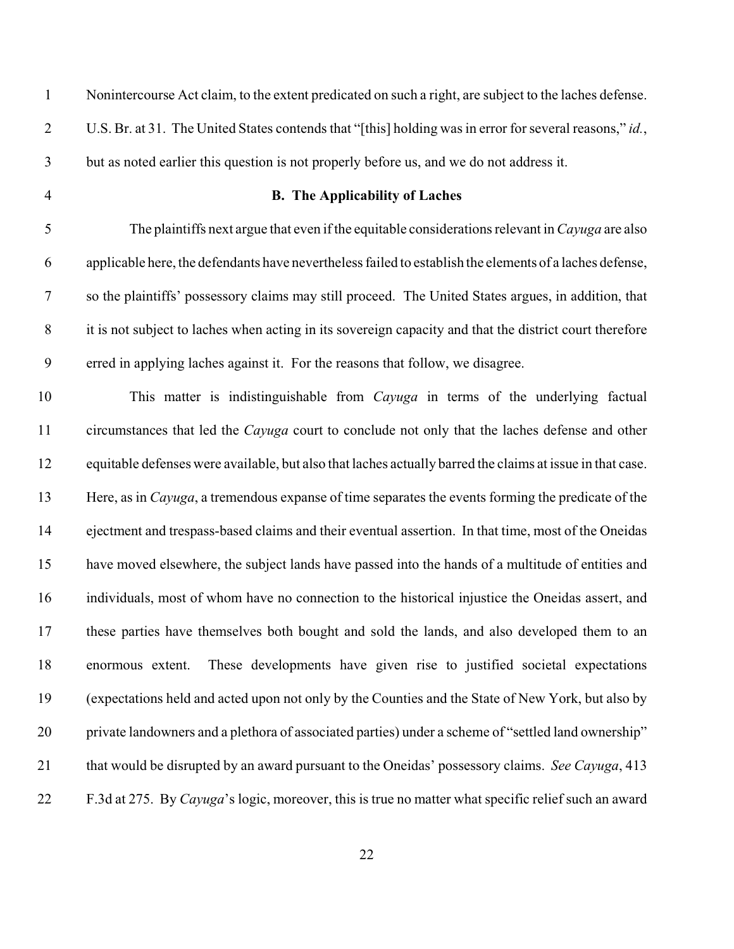| $\mathbf{1}$     | Nonintercourse Act claim, to the extent predicated on such a right, are subject to the laches defense.     |
|------------------|------------------------------------------------------------------------------------------------------------|
| $\overline{2}$   | U.S. Br. at 31. The United States contends that "[this] holding was in error for several reasons," id.,    |
| $\mathfrak{Z}$   | but as noted earlier this question is not properly before us, and we do not address it.                    |
| $\overline{4}$   | <b>B.</b> The Applicability of Laches                                                                      |
| 5                | The plaintiffs next argue that even if the equitable considerations relevant in Cayuga are also            |
| 6                | applicable here, the defendants have nevertheless failed to establish the elements of a laches defense,    |
| $\boldsymbol{7}$ | so the plaintiffs' possessory claims may still proceed. The United States argues, in addition, that        |
| $8\phantom{1}$   | it is not subject to laches when acting in its sovereign capacity and that the district court therefore    |
| 9                | erred in applying laches against it. For the reasons that follow, we disagree.                             |
| 10               | This matter is indistinguishable from <i>Cayuga</i> in terms of the underlying factual                     |
| 11               | circumstances that led the Cayuga court to conclude not only that the laches defense and other             |
| 12               | equitable defenses were available, but also that laches actually barred the claims at issue in that case.  |
| 13               | Here, as in <i>Cayuga</i> , a tremendous expanse of time separates the events forming the predicate of the |
| 14               | ejectment and trespass-based claims and their eventual assertion. In that time, most of the Oneidas        |
| 15               | have moved elsewhere, the subject lands have passed into the hands of a multitude of entities and          |
| 16               | individuals, most of whom have no connection to the historical injustice the Oneidas assert, and           |
| 17               | these parties have themselves both bought and sold the lands, and also developed them to an                |
| 18               | These developments have given rise to justified societal expectations<br>enormous extent.                  |
| 19               | (expectations held and acted upon not only by the Counties and the State of New York, but also by          |
| 20               | private landowners and a plethora of associated parties) under a scheme of "settled land ownership"        |
| 21               | that would be disrupted by an award pursuant to the Oneidas' possessory claims. See Cayuga, 413            |
| 22               | F.3d at 275. By Cayuga's logic, moreover, this is true no matter what specific relief such an award        |
|                  |                                                                                                            |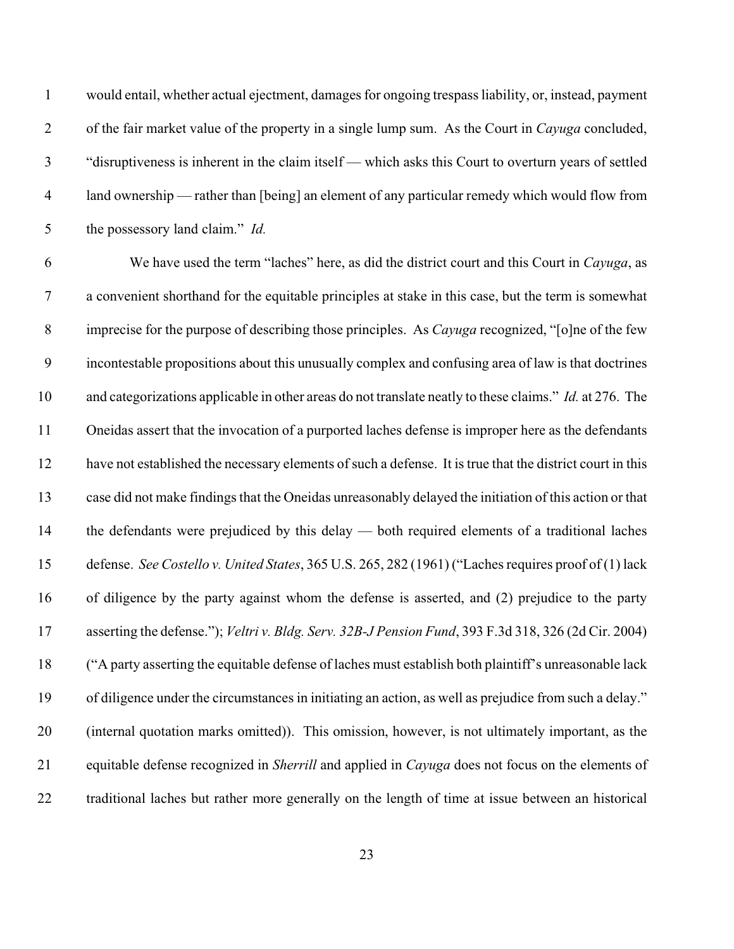would entail, whether actual ejectment, damages for ongoing trespass liability, or, instead, payment of the fair market value of the property in a single lump sum. As the Court in *Cayuga* concluded, "disruptiveness is inherent in the claim itself — which asks this Court to overturn years of settled land ownership — rather than [being] an element of any particular remedy which would flow from the possessory land claim." *Id.*

 We have used the term "laches" here, as did the district court and this Court in *Cayuga*, as a convenient shorthand for the equitable principles at stake in this case, but the term is somewhat imprecise for the purpose of describing those principles. As *Cayuga* recognized, "[o]ne of the few incontestable propositions about this unusually complex and confusing area of law is that doctrines and categorizations applicable in other areas do not translate neatly to these claims." *Id.* at 276. The Oneidas assert that the invocation of a purported laches defense is improper here as the defendants have not established the necessary elements of such a defense. It is true that the district court in this case did not make findings that the Oneidas unreasonably delayed the initiation of this action or that the defendants were prejudiced by this delay — both required elements of a traditional laches defense. *See Costello v. United States*, 365 U.S. 265, 282 (1961) ("Laches requires proof of (1) lack of diligence by the party against whom the defense is asserted, and (2) prejudice to the party asserting the defense."); *Veltri v. Bldg. Serv. 32B-J Pension Fund*, 393 F.3d 318, 326 (2d Cir. 2004) ("A party asserting the equitable defense of laches must establish both plaintiff's unreasonable lack of diligence under the circumstances in initiating an action, as well as prejudice from such a delay." (internal quotation marks omitted)). This omission, however, is not ultimately important, as the equitable defense recognized in *Sherrill* and applied in *Cayuga* does not focus on the elements of traditional laches but rather more generally on the length of time at issue between an historical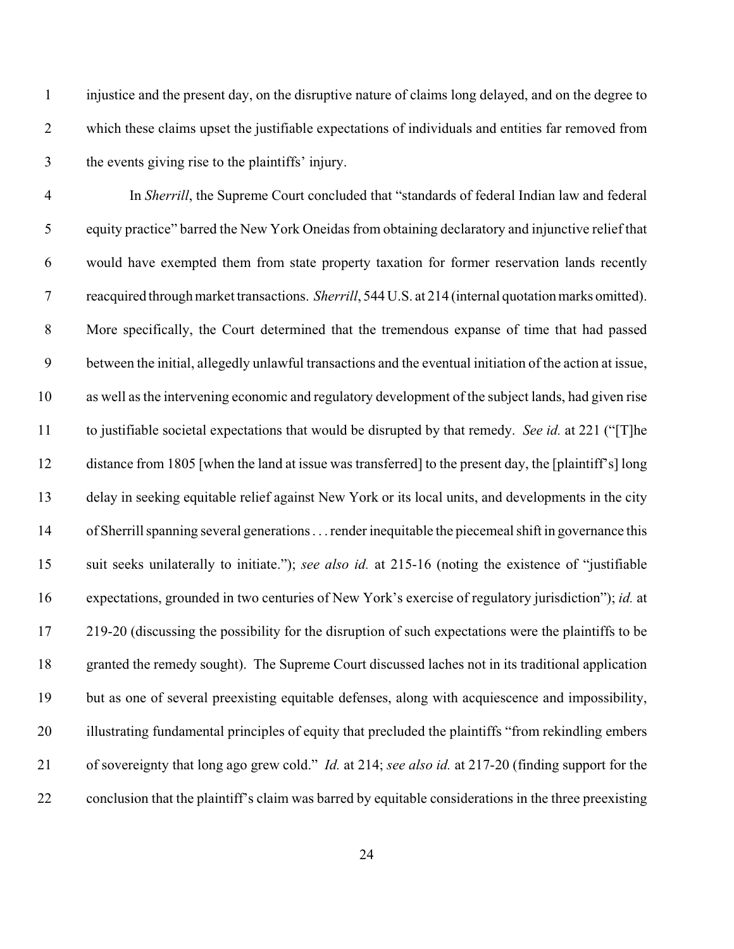injustice and the present day, on the disruptive nature of claims long delayed, and on the degree to which these claims upset the justifiable expectations of individuals and entities far removed from the events giving rise to the plaintiffs' injury.

 In *Sherrill*, the Supreme Court concluded that "standards of federal Indian law and federal equity practice" barred the New York Oneidas from obtaining declaratory and injunctive relief that would have exempted them from state property taxation for former reservation lands recently reacquired through market transactions. *Sherrill*, 544 U.S. at 214 (internal quotation marks omitted). More specifically, the Court determined that the tremendous expanse of time that had passed between the initial, allegedly unlawful transactions and the eventual initiation of the action at issue, as well as the intervening economic and regulatory development of the subject lands, had given rise to justifiable societal expectations that would be disrupted by that remedy. *See id.* at 221 ("[T]he distance from 1805 [when the land at issue was transferred] to the present day, the [plaintiff's] long delay in seeking equitable relief against New York or its local units, and developments in the city of Sherrill spanning several generations . . . render inequitable the piecemeal shift in governance this suit seeks unilaterally to initiate."); *see also id.* at 215-16 (noting the existence of "justifiable expectations, grounded in two centuries of New York's exercise of regulatory jurisdiction"); *id.* at 219-20 (discussing the possibility for the disruption of such expectations were the plaintiffs to be granted the remedy sought). The Supreme Court discussed laches not in its traditional application but as one of several preexisting equitable defenses, along with acquiescence and impossibility, illustrating fundamental principles of equity that precluded the plaintiffs "from rekindling embers of sovereignty that long ago grew cold." *Id.* at 214; *see also id.* at 217-20 (finding support for the conclusion that the plaintiff's claim was barred by equitable considerations in the three preexisting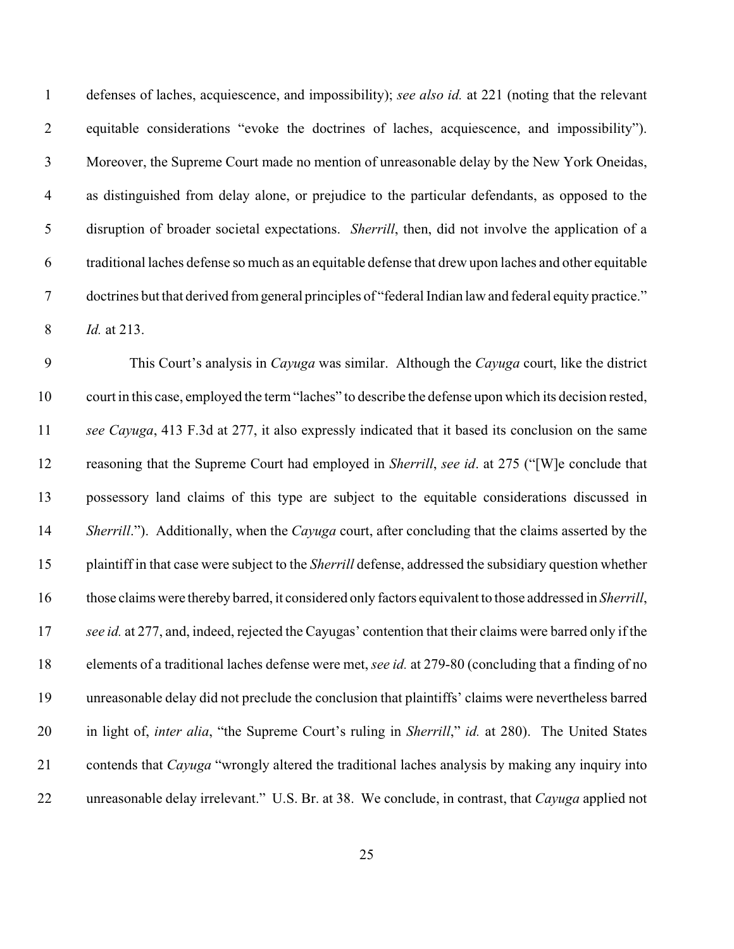defenses of laches, acquiescence, and impossibility); *see also id.* at 221 (noting that the relevant equitable considerations "evoke the doctrines of laches, acquiescence, and impossibility"). Moreover, the Supreme Court made no mention of unreasonable delay by the New York Oneidas, as distinguished from delay alone, or prejudice to the particular defendants, as opposed to the disruption of broader societal expectations. *Sherrill*, then, did not involve the application of a traditional laches defense so much as an equitable defense that drew upon laches and other equitable doctrines but that derived from general principles of "federal Indian law and federal equity practice." *Id.* at 213.

 This Court's analysis in *Cayuga* was similar. Although the *Cayuga* court, like the district court in this case, employed the term "laches" to describe the defense upon which its decision rested, *see Cayuga*, 413 F.3d at 277, it also expressly indicated that it based its conclusion on the same reasoning that the Supreme Court had employed in *Sherrill*, *see id*. at 275 ("[W]e conclude that possessory land claims of this type are subject to the equitable considerations discussed in *Sherrill*."). Additionally, when the *Cayuga* court, after concluding that the claims asserted by the plaintiff in that case were subject to the *Sherrill* defense, addressed the subsidiary question whether those claims were thereby barred, it considered only factors equivalent to those addressed in *Sherrill*, *see id.* at 277, and, indeed, rejected the Cayugas' contention that their claims were barred only if the elements of a traditional laches defense were met, *see id.* at 279-80 (concluding that a finding of no unreasonable delay did not preclude the conclusion that plaintiffs' claims were nevertheless barred in light of, *inter alia*, "the Supreme Court's ruling in *Sherrill*," *id.* at 280). The United States contends that *Cayuga* "wrongly altered the traditional laches analysis by making any inquiry into unreasonable delay irrelevant." U.S. Br. at 38. We conclude, in contrast, that *Cayuga* applied not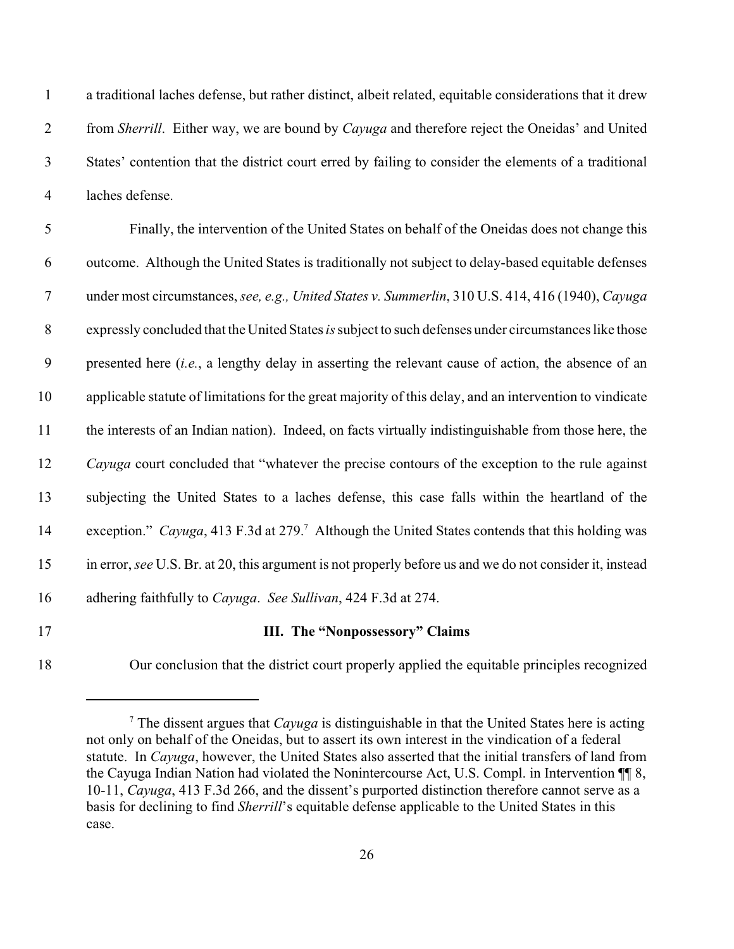a traditional laches defense, but rather distinct, albeit related, equitable considerations that it drew from *Sherrill*. Either way, we are bound by *Cayuga* and therefore reject the Oneidas' and United States' contention that the district court erred by failing to consider the elements of a traditional laches defense.

 Finally, the intervention of the United States on behalf of the Oneidas does not change this outcome. Although the United States is traditionally not subject to delay-based equitable defenses under most circumstances, *see, e.g., United States v. Summerlin*, 310 U.S. 414, 416 (1940), *Cayuga* expressly concluded that the United States *is* subject to such defenses under circumstances like those presented here (*i.e.*, a lengthy delay in asserting the relevant cause of action, the absence of an applicable statute of limitations for the great majority of this delay, and an intervention to vindicate the interests of an Indian nation). Indeed, on facts virtually indistinguishable from those here, the *Cayuga* court concluded that "whatever the precise contours of the exception to the rule against subjecting the United States to a laches defense, this case falls within the heartland of the 14 exception." Cayuga, 413 F.3d at 279.<sup>7</sup> Although the United States contends that this holding was in error, *see* U.S. Br. at 20, this argument is not properly before us and we do not consider it, instead adhering faithfully to *Cayuga*. *See Sullivan*, 424 F.3d at 274.

### **III. The "Nonpossessory" Claims**

Our conclusion that the district court properly applied the equitable principles recognized

 $\frac{7}{7}$  The dissent argues that *Cayuga* is distinguishable in that the United States here is acting not only on behalf of the Oneidas, but to assert its own interest in the vindication of a federal statute. In *Cayuga*, however, the United States also asserted that the initial transfers of land from the Cayuga Indian Nation had violated the Nonintercourse Act, U.S. Compl. in Intervention ¶¶ 8, 10-11, *Cayuga*, 413 F.3d 266, and the dissent's purported distinction therefore cannot serve as a basis for declining to find *Sherrill*'s equitable defense applicable to the United States in this case.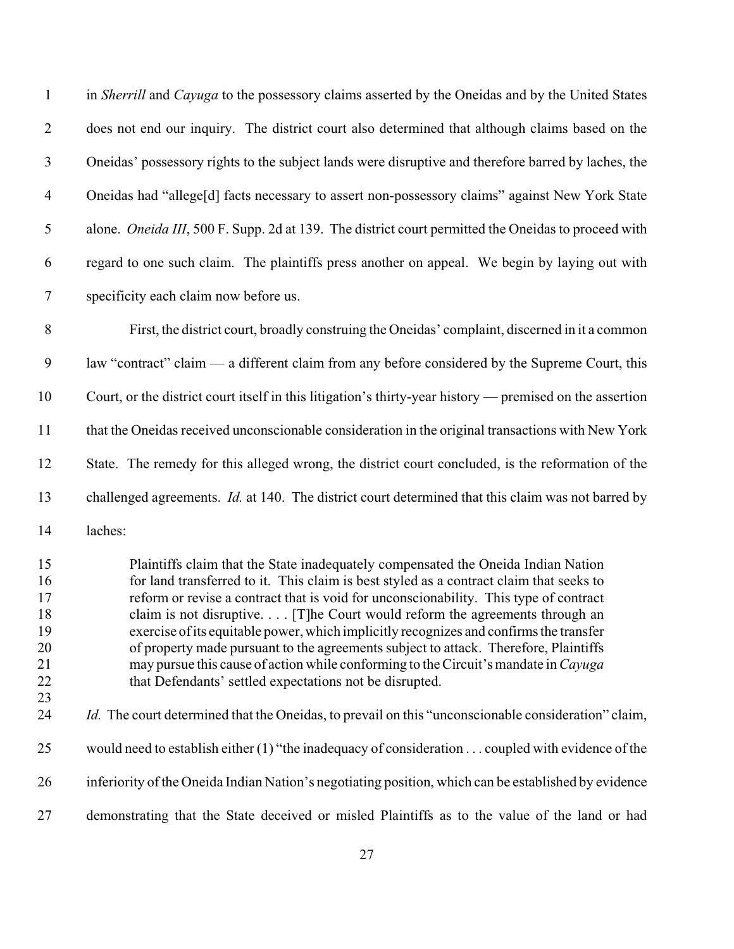| $\mathbf{1}$                                 | in Sherrill and Cayuga to the possessory claims asserted by the Oneidas and by the United States                                                                                                                                                                                                                                                                                                                                                                                                                                                                                                                                                                                          |
|----------------------------------------------|-------------------------------------------------------------------------------------------------------------------------------------------------------------------------------------------------------------------------------------------------------------------------------------------------------------------------------------------------------------------------------------------------------------------------------------------------------------------------------------------------------------------------------------------------------------------------------------------------------------------------------------------------------------------------------------------|
| $\overline{2}$                               | does not end our inquiry. The district court also determined that although claims based on the                                                                                                                                                                                                                                                                                                                                                                                                                                                                                                                                                                                            |
| $\mathfrak{Z}$                               | Oneidas' possessory rights to the subject lands were disruptive and therefore barred by laches, the                                                                                                                                                                                                                                                                                                                                                                                                                                                                                                                                                                                       |
| $\overline{4}$                               | Oneidas had "allege[d] facts necessary to assert non-possessory claims" against New York State                                                                                                                                                                                                                                                                                                                                                                                                                                                                                                                                                                                            |
| $\mathfrak s$                                | alone. Oneida III, 500 F. Supp. 2d at 139. The district court permitted the Oneidas to proceed with                                                                                                                                                                                                                                                                                                                                                                                                                                                                                                                                                                                       |
| 6                                            | regard to one such claim. The plaintiffs press another on appeal. We begin by laying out with                                                                                                                                                                                                                                                                                                                                                                                                                                                                                                                                                                                             |
| $\overline{7}$                               | specificity each claim now before us.                                                                                                                                                                                                                                                                                                                                                                                                                                                                                                                                                                                                                                                     |
| $\,8\,$                                      | First, the district court, broadly construing the Oneidas' complaint, discerned in it a common                                                                                                                                                                                                                                                                                                                                                                                                                                                                                                                                                                                            |
| 9                                            | law "contract" claim — a different claim from any before considered by the Supreme Court, this                                                                                                                                                                                                                                                                                                                                                                                                                                                                                                                                                                                            |
| 10                                           | Court, or the district court itself in this litigation's thirty-year history — premised on the assertion                                                                                                                                                                                                                                                                                                                                                                                                                                                                                                                                                                                  |
| 11                                           | that the Oneidas received unconscionable consideration in the original transactions with New York                                                                                                                                                                                                                                                                                                                                                                                                                                                                                                                                                                                         |
| 12                                           | State. The remedy for this alleged wrong, the district court concluded, is the reformation of the                                                                                                                                                                                                                                                                                                                                                                                                                                                                                                                                                                                         |
| 13                                           | challenged agreements. <i>Id.</i> at 140. The district court determined that this claim was not barred by                                                                                                                                                                                                                                                                                                                                                                                                                                                                                                                                                                                 |
| 14                                           | laches:                                                                                                                                                                                                                                                                                                                                                                                                                                                                                                                                                                                                                                                                                   |
| 15<br>16<br>17<br>18<br>19<br>20<br>21<br>22 | Plaintiffs claim that the State inadequately compensated the Oneida Indian Nation<br>for land transferred to it. This claim is best styled as a contract claim that seeks to<br>reform or revise a contract that is void for unconscionability. This type of contract<br>claim is not disruptive. [T] he Court would reform the agreements through an<br>exercise of its equitable power, which implicitly recognizes and confirms the transfer<br>of property made pursuant to the agreements subject to attack. Therefore, Plaintiffs<br>may pursue this cause of action while conforming to the Circuit's mandate in Cayuga<br>that Defendants' settled expectations not be disrupted. |
| 23<br>24                                     | Id. The court determined that the Oneidas, to prevail on this "unconscionable consideration" claim,                                                                                                                                                                                                                                                                                                                                                                                                                                                                                                                                                                                       |
| 25                                           | would need to establish either (1) "the inadequacy of consideration coupled with evidence of the                                                                                                                                                                                                                                                                                                                                                                                                                                                                                                                                                                                          |
| 26                                           | inferiority of the Oneida Indian Nation's negotiating position, which can be established by evidence                                                                                                                                                                                                                                                                                                                                                                                                                                                                                                                                                                                      |
| 27                                           | demonstrating that the State deceived or misled Plaintiffs as to the value of the land or had                                                                                                                                                                                                                                                                                                                                                                                                                                                                                                                                                                                             |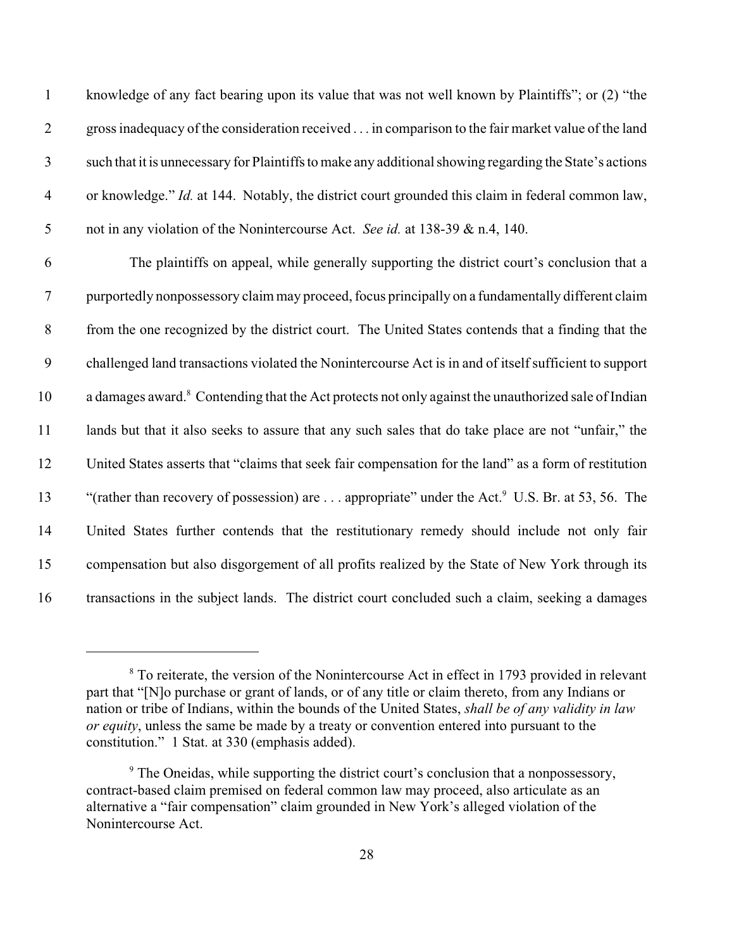knowledge of any fact bearing upon its value that was not well known by Plaintiffs"; or (2) "the gross inadequacy of the consideration received . . . in comparison to the fair market value of the land such that it is unnecessary for Plaintiffs to make any additional showing regarding the State's actions or knowledge." *Id.* at 144. Notably, the district court grounded this claim in federal common law, not in any violation of the Nonintercourse Act. *See id.* at 138-39 & n.4, 140.

 The plaintiffs on appeal, while generally supporting the district court's conclusion that a purportedly nonpossessory claim may proceed, focus principally on a fundamentally different claim from the one recognized by the district court. The United States contends that a finding that the challenged land transactions violated the Nonintercourse Act is in and of itself sufficient to support 10 a damages award.<sup>8</sup> Contending that the Act protects not only against the unauthorized sale of Indian 11 lands but that it also seeks to assure that any such sales that do take place are not "unfair," the United States asserts that "claims that seek fair compensation for the land" as a form of restitution 13 "(rather than recovery of possession) are ... appropriate" under the Act. U.S. Br. at 53, 56. The United States further contends that the restitutionary remedy should include not only fair compensation but also disgorgement of all profits realized by the State of New York through its transactions in the subject lands. The district court concluded such a claim, seeking a damages

<sup>&</sup>lt;sup>8</sup> To reiterate, the version of the Nonintercourse Act in effect in 1793 provided in relevant part that "[N]o purchase or grant of lands, or of any title or claim thereto, from any Indians or nation or tribe of Indians, within the bounds of the United States, *shall be of any validity in law or equity*, unless the same be made by a treaty or convention entered into pursuant to the constitution." 1 Stat. at 330 (emphasis added).

<sup>&</sup>lt;sup>9</sup> The Oneidas, while supporting the district court's conclusion that a nonpossessory, contract-based claim premised on federal common law may proceed, also articulate as an alternative a "fair compensation" claim grounded in New York's alleged violation of the Nonintercourse Act.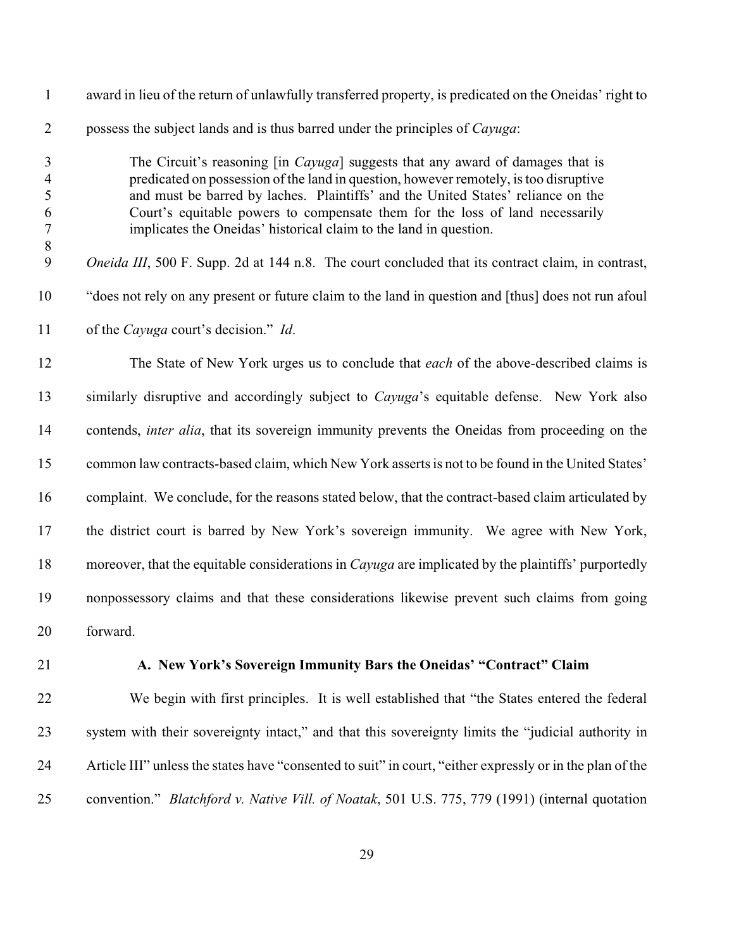| $\mathbf{1}$                                     | award in lieu of the return of unlawfully transferred property, is predicated on the Oneidas' right to                                                                                                                                                                                                                                                                                                                   |
|--------------------------------------------------|--------------------------------------------------------------------------------------------------------------------------------------------------------------------------------------------------------------------------------------------------------------------------------------------------------------------------------------------------------------------------------------------------------------------------|
| $\overline{2}$                                   | possess the subject lands and is thus barred under the principles of <i>Cayuga</i> :                                                                                                                                                                                                                                                                                                                                     |
| 3<br>$\overline{4}$<br>5<br>6<br>$\tau$<br>$8\,$ | The Circuit's reasoning [in <i>Cayuga</i> ] suggests that any award of damages that is<br>predicated on possession of the land in question, however remotely, is too disruptive<br>and must be barred by laches. Plaintiffs' and the United States' reliance on the<br>Court's equitable powers to compensate them for the loss of land necessarily<br>implicates the Oneidas' historical claim to the land in question. |
| 9                                                | <i>Oneida III</i> , 500 F. Supp. 2d at 144 n.8. The court concluded that its contract claim, in contrast,                                                                                                                                                                                                                                                                                                                |
| 10                                               | "does not rely on any present or future claim to the land in question and [thus] does not run afoul                                                                                                                                                                                                                                                                                                                      |
| 11                                               | of the <i>Cayuga</i> court's decision." <i>Id.</i>                                                                                                                                                                                                                                                                                                                                                                       |
| 12                                               | The State of New York urges us to conclude that each of the above-described claims is                                                                                                                                                                                                                                                                                                                                    |
| 13                                               | similarly disruptive and accordingly subject to <i>Cayuga</i> 's equitable defense. New York also                                                                                                                                                                                                                                                                                                                        |
| 14                                               | contends, <i>inter alia</i> , that its sovereign immunity prevents the Oneidas from proceeding on the                                                                                                                                                                                                                                                                                                                    |
| 15                                               | common law contracts-based claim, which New York asserts is not to be found in the United States'                                                                                                                                                                                                                                                                                                                        |
| 16                                               | complaint. We conclude, for the reasons stated below, that the contract-based claim articulated by                                                                                                                                                                                                                                                                                                                       |
| 17                                               | the district court is barred by New York's sovereign immunity. We agree with New York,                                                                                                                                                                                                                                                                                                                                   |
| 18                                               | moreover, that the equitable considerations in <i>Cayuga</i> are implicated by the plaintiffs' purportedly                                                                                                                                                                                                                                                                                                               |
| 19                                               | nonpossessory claims and that these considerations likewise prevent such claims from going                                                                                                                                                                                                                                                                                                                               |
| 20                                               | forward.                                                                                                                                                                                                                                                                                                                                                                                                                 |

# **A. New York's Sovereign Immunity Bars the Oneidas' "Contract" Claim**

 We begin with first principles. It is well established that "the States entered the federal system with their sovereignty intact," and that this sovereignty limits the "judicial authority in Article III" unless the states have "consented to suit" in court, "either expressly or in the plan of the convention." *Blatchford v. Native Vill. of Noatak*, 501 U.S. 775, 779 (1991) (internal quotation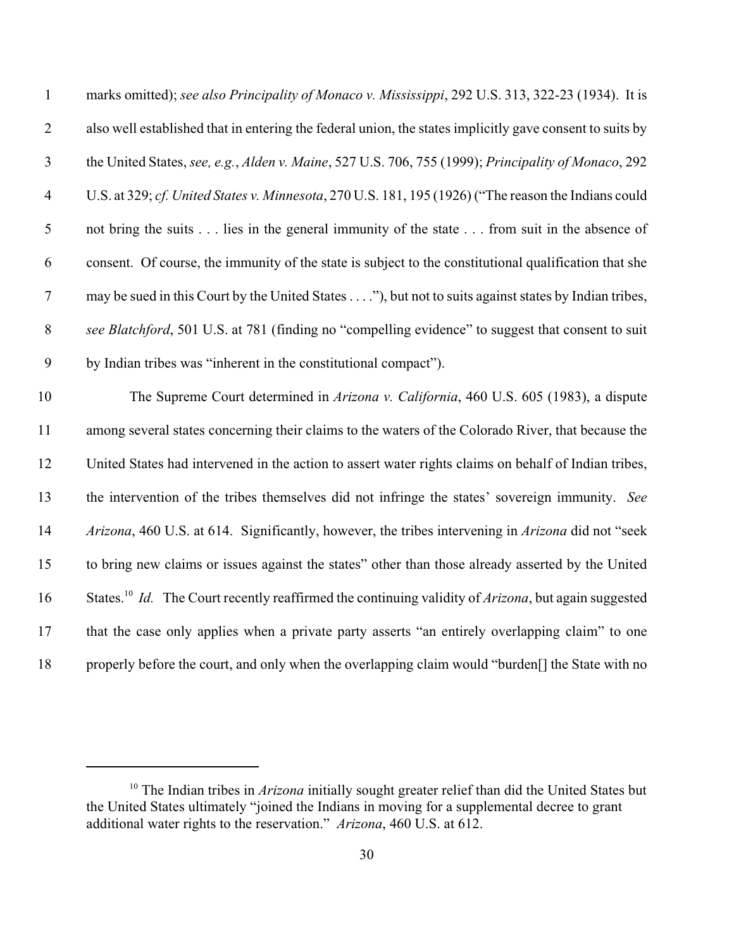| $\mathbf{1}$   | marks omitted); see also Principality of Monaco v. Mississippi, 292 U.S. 313, 322-23 (1934). It is              |
|----------------|-----------------------------------------------------------------------------------------------------------------|
| $\mathbf{2}$   | also well established that in entering the federal union, the states implicitly gave consent to suits by        |
| $\mathfrak{Z}$ | the United States, see, e.g., Alden v. Maine, 527 U.S. 706, 755 (1999); Principality of Monaco, 292             |
| $\overline{4}$ | U.S. at 329; cf. United States v. Minnesota, 270 U.S. 181, 195 (1926) ("The reason the Indians could            |
| $\mathfrak s$  | not bring the suits lies in the general immunity of the state from suit in the absence of                       |
| 6              | consent. Of course, the immunity of the state is subject to the constitutional qualification that she           |
| $\tau$         | may be sued in this Court by the United States"), but not to suits against states by Indian tribes,             |
| $8\,$          | see Blatchford, 501 U.S. at 781 (finding no "compelling evidence" to suggest that consent to suit               |
| 9              | by Indian tribes was "inherent in the constitutional compact").                                                 |
| 10             | The Supreme Court determined in Arizona v. California, 460 U.S. 605 (1983), a dispute                           |
| 11             | among several states concerning their claims to the waters of the Colorado River, that because the              |
| 12             | United States had intervened in the action to assert water rights claims on behalf of Indian tribes,            |
| 13             | the intervention of the tribes themselves did not infringe the states' sovereign immunity. See                  |
| 14             | Arizona, 460 U.S. at 614. Significantly, however, the tribes intervening in Arizona did not "seek               |
| 15             | to bring new claims or issues against the states" other than those already asserted by the United               |
| 16             | States. <sup>10</sup> Id. The Court recently reaffirmed the continuing validity of Arizona, but again suggested |
| $17$           | that the case only applies when a private party asserts "an entirely overlapping claim" to one                  |
| 18             | properly before the court, and only when the overlapping claim would "burden[] the State with no                |

<sup>&</sup>lt;sup>10</sup> The Indian tribes in *Arizona* initially sought greater relief than did the United States but the United States ultimately "joined the Indians in moving for a supplemental decree to grant additional water rights to the reservation." *Arizona*, 460 U.S. at 612.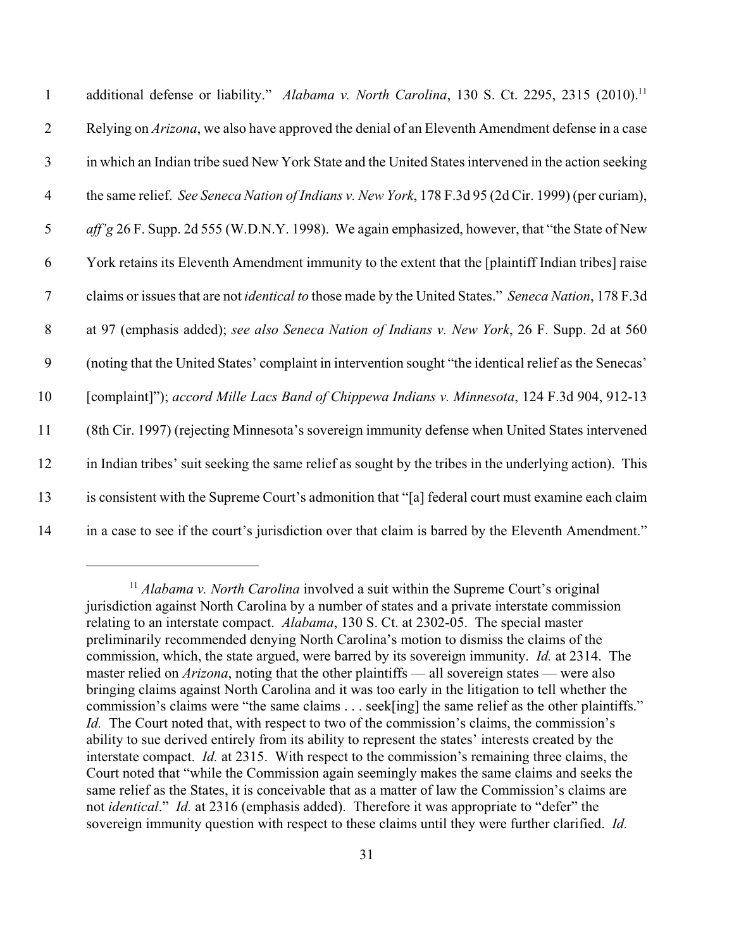| $\mathbf{1}$   | additional defense or liability." Alabama v. North Carolina, 130 S. Ct. 2295, 2315 (2010). <sup>11</sup>    |
|----------------|-------------------------------------------------------------------------------------------------------------|
| $\overline{2}$ | Relying on Arizona, we also have approved the denial of an Eleventh Amendment defense in a case             |
| 3              | in which an Indian tribe sued New York State and the United States intervened in the action seeking         |
| $\overline{4}$ | the same relief. See Seneca Nation of Indians v. New York, 178 F.3d 95 (2d Cir. 1999) (per curiam),         |
| 5              | aff'g 26 F. Supp. 2d 555 (W.D.N.Y. 1998). We again emphasized, however, that "the State of New              |
| 6              | York retains its Eleventh Amendment immunity to the extent that the [plaintiff Indian tribes] raise         |
| $\tau$         | claims or issues that are not <i>identical to</i> those made by the United States." Seneca Nation, 178 F.3d |
| $8\,$          | at 97 (emphasis added); see also Seneca Nation of Indians v. New York, 26 F. Supp. 2d at 560                |
| 9              | (noting that the United States' complaint in intervention sought "the identical relief as the Senecas'      |
| 10             | [complaint]"); accord Mille Lacs Band of Chippewa Indians v. Minnesota, 124 F.3d 904, 912-13                |
| 11             | (8th Cir. 1997) (rejecting Minnesota's sovereign immunity defense when United States intervened             |
| 12             | in Indian tribes' suit seeking the same relief as sought by the tribes in the underlying action). This      |
| 13             | is consistent with the Supreme Court's admonition that "[a] federal court must examine each claim           |
| 14             | in a case to see if the court's jurisdiction over that claim is barred by the Eleventh Amendment."          |

<sup>&</sup>lt;sup>11</sup> Alabama v. North Carolina involved a suit within the Supreme Court's original jurisdiction against North Carolina by a number of states and a private interstate commission relating to an interstate compact. *Alabama*, 130 S. Ct. at 2302-05. The special master preliminarily recommended denying North Carolina's motion to dismiss the claims of the commission, which, the state argued, were barred by its sovereign immunity. *Id.* at 2314. The master relied on *Arizona*, noting that the other plaintiffs — all sovereign states — were also bringing claims against North Carolina and it was too early in the litigation to tell whether the commission's claims were "the same claims . . . seek[ing] the same relief as the other plaintiffs." *Id.* The Court noted that, with respect to two of the commission's claims, the commission's ability to sue derived entirely from its ability to represent the states' interests created by the interstate compact. *Id.* at 2315. With respect to the commission's remaining three claims, the Court noted that "while the Commission again seemingly makes the same claims and seeks the same relief as the States, it is conceivable that as a matter of law the Commission's claims are not *identical*." *Id.* at 2316 (emphasis added). Therefore it was appropriate to "defer" the sovereign immunity question with respect to these claims until they were further clarified. *Id.*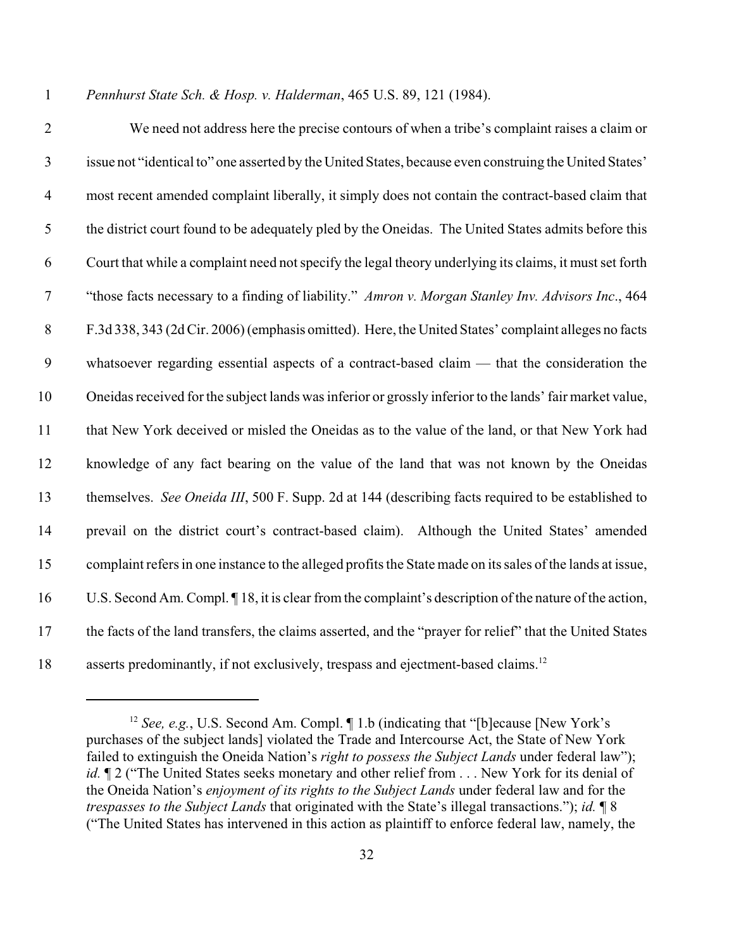*Pennhurst State Sch. & Hosp. v. Halderman*, 465 U.S. 89, 121 (1984).

 We need not address here the precise contours of when a tribe's complaint raises a claim or issue not "identical to" one asserted by the United States, because even construing the United States' most recent amended complaint liberally, it simply does not contain the contract-based claim that the district court found to be adequately pled by the Oneidas. The United States admits before this Court that while a complaint need not specify the legal theory underlying its claims, it must set forth "those facts necessary to a finding of liability." *Amron v. Morgan Stanley Inv. Advisors Inc*., 464 F.3d 338, 343 (2d Cir. 2006) (emphasis omitted). Here, the United States' complaint alleges no facts whatsoever regarding essential aspects of a contract-based claim — that the consideration the Oneidas received for the subject lands was inferior or grossly inferior to the lands' fair market value, that New York deceived or misled the Oneidas as to the value of the land, or that New York had knowledge of any fact bearing on the value of the land that was not known by the Oneidas themselves. *See Oneida III*, 500 F. Supp. 2d at 144 (describing facts required to be established to prevail on the district court's contract-based claim). Although the United States' amended complaint refers in one instance to the alleged profits the State made on its sales of the lands at issue, U.S. Second Am. Compl. ¶ 18, it is clear from the complaint's description of the nature of the action, the facts of the land transfers, the claims asserted, and the "prayer for relief" that the United States 18 asserts predominantly, if not exclusively, trespass and ejectment-based claims.<sup>12</sup>

<sup>&</sup>lt;sup>12</sup> See, e.g., U.S. Second Am. Compl. 1.b (indicating that "[b]ecause [New York's purchases of the subject lands] violated the Trade and Intercourse Act, the State of New York failed to extinguish the Oneida Nation's *right to possess the Subject Lands* under federal law"); *id.*  $\mathbb{I}$  2 ("The United States seeks monetary and other relief from . . . New York for its denial of the Oneida Nation's *enjoyment of its rights to the Subject Lands* under federal law and for the *trespasses to the Subject Lands* that originated with the State's illegal transactions."); *id.* ¶ 8 ("The United States has intervened in this action as plaintiff to enforce federal law, namely, the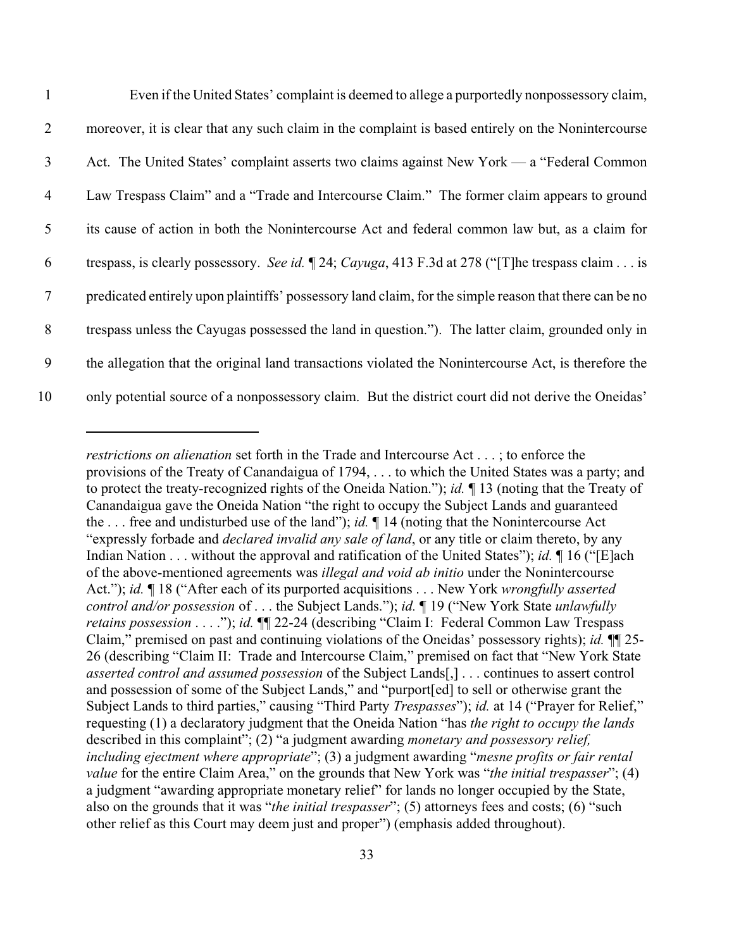| $\overline{1}$  | Even if the United States' complaint is deemed to allege a purportedly nonpossessory claim,            |
|-----------------|--------------------------------------------------------------------------------------------------------|
| 2               | moreover, it is clear that any such claim in the complaint is based entirely on the Nonintercourse     |
| $\mathfrak{Z}$  | Act. The United States' complaint asserts two claims against New York — a "Federal Common              |
| $\overline{4}$  | Law Trespass Claim" and a "Trade and Intercourse Claim." The former claim appears to ground            |
| $5\overline{)}$ | its cause of action in both the Nonintercourse Act and federal common law but, as a claim for          |
| 6               | trespass, is clearly possessory. See id. 1 24; Cayuga, 413 F.3d at 278 ("The trespass claim is         |
| $\tau$          | predicated entirely upon plaintiffs' possessory land claim, for the simple reason that there can be no |
| 8               | trespass unless the Cayugas possessed the land in question."). The latter claim, grounded only in      |
| 9               | the allegation that the original land transactions violated the Nonintercourse Act, is therefore the   |
| 10              | only potential source of a nonpossessory claim. But the district court did not derive the Oneidas'     |

*restrictions on alienation* set forth in the Trade and Intercourse Act . . . ; to enforce the provisions of the Treaty of Canandaigua of 1794, . . . to which the United States was a party; and to protect the treaty-recognized rights of the Oneida Nation."); *id.* ¶ 13 (noting that the Treaty of Canandaigua gave the Oneida Nation "the right to occupy the Subject Lands and guaranteed the . . . free and undisturbed use of the land"); *id.* ¶ 14 (noting that the Nonintercourse Act "expressly forbade and *declared invalid any sale of land*, or any title or claim thereto, by any Indian Nation . . . without the approval and ratification of the United States"); *id.* ¶ 16 ("[E]ach of the above-mentioned agreements was *illegal and void ab initio* under the Nonintercourse Act."); *id.* ¶ 18 ("After each of its purported acquisitions . . . New York *wrongfully asserted control and/or possession* of . . . the Subject Lands."); *id.* ¶ 19 ("New York State *unlawfully retains possession* . . . ."); *id.* ¶¶ 22-24 (describing "Claim I: Federal Common Law Trespass Claim," premised on past and continuing violations of the Oneidas' possessory rights); *id.* ¶¶ 25- 26 (describing "Claim II: Trade and Intercourse Claim," premised on fact that "New York State *asserted control and assumed possession* of the Subject Lands[,] . . . continues to assert control and possession of some of the Subject Lands," and "purport[ed] to sell or otherwise grant the Subject Lands to third parties," causing "Third Party *Trespasses*"); *id.* at 14 ("Prayer for Relief," requesting (1) a declaratory judgment that the Oneida Nation "has *the right to occupy the lands* described in this complaint"; (2) "a judgment awarding *monetary and possessory relief, including ejectment where appropriate*"; (3) a judgment awarding "*mesne profits or fair rental value* for the entire Claim Area," on the grounds that New York was "*the initial trespasser*"; (4) a judgment "awarding appropriate monetary relief" for lands no longer occupied by the State, also on the grounds that it was "*the initial trespasser*"; (5) attorneys fees and costs; (6) "such other relief as this Court may deem just and proper") (emphasis added throughout).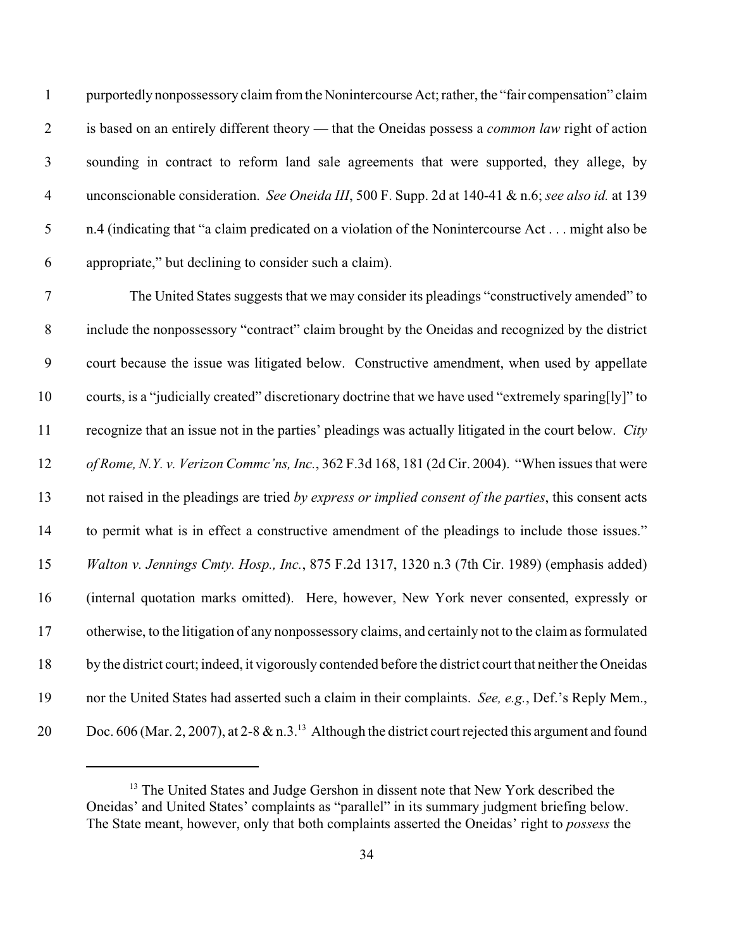purportedly nonpossessory claim from the Nonintercourse Act; rather, the "fair compensation" claim is based on an entirely different theory — that the Oneidas possess a *common law* right of action sounding in contract to reform land sale agreements that were supported, they allege, by unconscionable consideration. *See Oneida III*, 500 F. Supp. 2d at 140-41 & n.6; *see also id.* at 139 n.4 (indicating that "a claim predicated on a violation of the Nonintercourse Act . . . might also be appropriate," but declining to consider such a claim).

 The United States suggests that we may consider its pleadings "constructively amended" to include the nonpossessory "contract" claim brought by the Oneidas and recognized by the district court because the issue was litigated below. Constructive amendment, when used by appellate courts, is a "judicially created" discretionary doctrine that we have used "extremely sparing[ly]" to recognize that an issue not in the parties' pleadings was actually litigated in the court below. *City of Rome, N.Y. v. Verizon Commc'ns, Inc.*, 362 F.3d 168, 181 (2d Cir. 2004). "When issues that were not raised in the pleadings are tried *by express or implied consent of the parties*, this consent acts to permit what is in effect a constructive amendment of the pleadings to include those issues." *Walton v. Jennings Cmty. Hosp., Inc.*, 875 F.2d 1317, 1320 n.3 (7th Cir. 1989) (emphasis added) (internal quotation marks omitted). Here, however, New York never consented, expressly or otherwise, to the litigation of any nonpossessory claims, and certainly not to the claim as formulated by the district court; indeed, it vigorously contended before the district court that neither the Oneidas nor the United States had asserted such a claim in their complaints. *See, e.g.*, Def.'s Reply Mem., 20 Doc. 606 (Mar. 2, 2007), at 2-8  $\&$  n.3.<sup>13</sup> Although the district court rejected this argument and found

 The United States and Judge Gershon in dissent note that New York described the Oneidas' and United States' complaints as "parallel" in its summary judgment briefing below. The State meant, however, only that both complaints asserted the Oneidas' right to *possess* the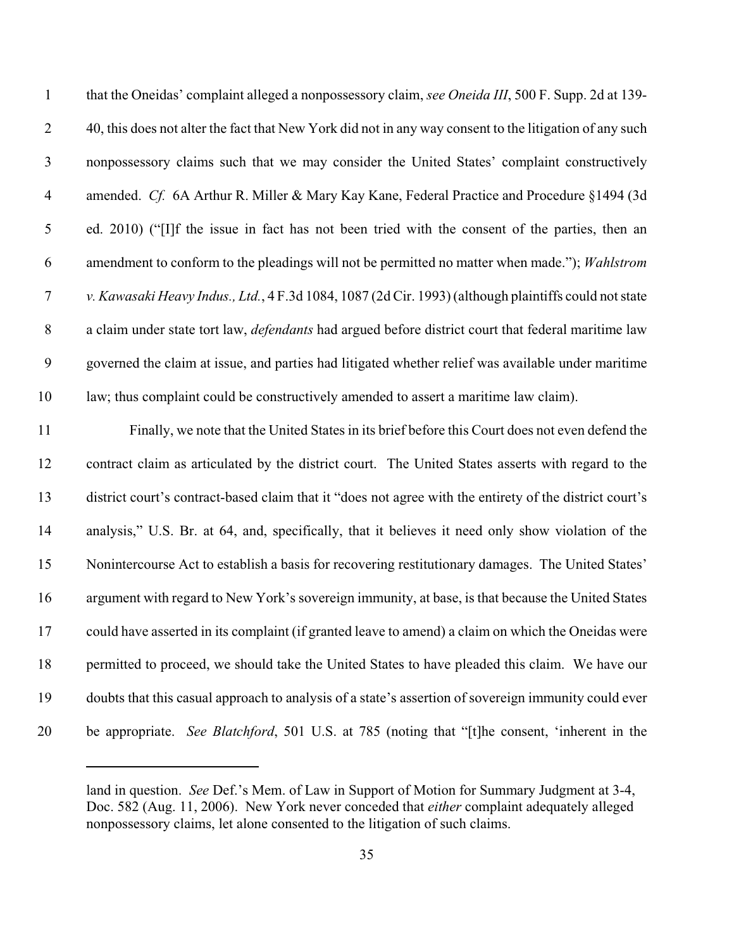| $\mathbf{1}$    | that the Oneidas' complaint alleged a nonpossessory claim, see Oneida III, 500 F. Supp. 2d at 139-         |
|-----------------|------------------------------------------------------------------------------------------------------------|
| $\overline{2}$  | 40, this does not alter the fact that New York did not in any way consent to the litigation of any such    |
| $\mathbf{3}$    | nonpossessory claims such that we may consider the United States' complaint constructively                 |
| $\overline{4}$  | amended. Cf. 6A Arthur R. Miller & Mary Kay Kane, Federal Practice and Procedure §1494 (3d)                |
| $5\overline{)}$ | ed. 2010) ("[I]f the issue in fact has not been tried with the consent of the parties, then an             |
| 6               | amendment to conform to the pleadings will not be permitted no matter when made."); Wahlstrom              |
| $\tau$          | v. Kawasaki Heavy Indus., Ltd., 4 F.3d 1084, 1087 (2d Cir. 1993) (although plaintiffs could not state      |
| 8               | a claim under state tort law, <i>defendants</i> had argued before district court that federal maritime law |
| 9               | governed the claim at issue, and parties had litigated whether relief was available under maritime         |
| 10              | law; thus complaint could be constructively amended to assert a maritime law claim).                       |
|                 |                                                                                                            |

 Finally, we note that the United States in its brief before this Court does not even defend the contract claim as articulated by the district court. The United States asserts with regard to the district court's contract-based claim that it "does not agree with the entirety of the district court's analysis," U.S. Br. at 64, and, specifically, that it believes it need only show violation of the Nonintercourse Act to establish a basis for recovering restitutionary damages. The United States' argument with regard to New York's sovereign immunity, at base, is that because the United States could have asserted in its complaint (if granted leave to amend) a claim on which the Oneidas were 18 permitted to proceed, we should take the United States to have pleaded this claim. We have our doubts that this casual approach to analysis of a state's assertion of sovereign immunity could ever be appropriate. *See Blatchford*, 501 U.S. at 785 (noting that "[t]he consent, 'inherent in the

land in question. *See* Def.'s Mem. of Law in Support of Motion for Summary Judgment at 3-4, Doc. 582 (Aug. 11, 2006). New York never conceded that *either* complaint adequately alleged nonpossessory claims, let alone consented to the litigation of such claims.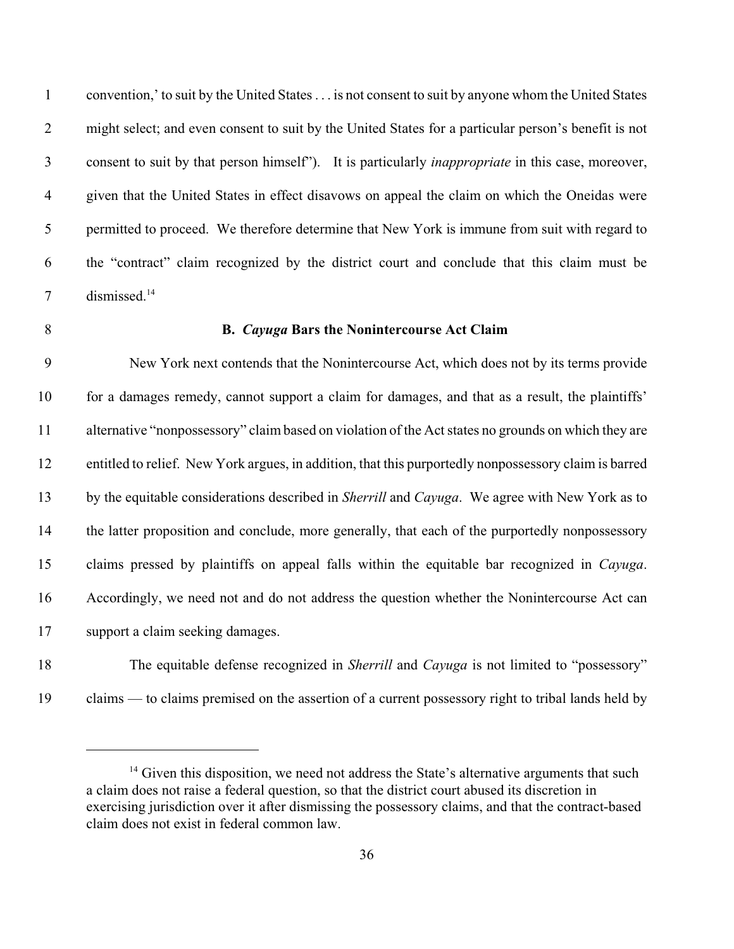convention,' to suit by the United States . . . is not consent to suit by anyone whom the United States might select; and even consent to suit by the United States for a particular person's benefit is not consent to suit by that person himself"). It is particularly *inappropriate* in this case, moreover, given that the United States in effect disavows on appeal the claim on which the Oneidas were 5 permitted to proceed. We therefore determine that New York is immune from suit with regard to the "contract" claim recognized by the district court and conclude that this claim must be 7 dismissed.<sup>14</sup>

### **B.** *Cayuga* **Bars the Nonintercourse Act Claim**

 New York next contends that the Nonintercourse Act, which does not by its terms provide for a damages remedy, cannot support a claim for damages, and that as a result, the plaintiffs' alternative "nonpossessory" claim based on violation of the Act states no grounds on which they are entitled to relief. New York argues, in addition, that this purportedly nonpossessory claim is barred by the equitable considerations described in *Sherrill* and *Cayuga*. We agree with New York as to the latter proposition and conclude, more generally, that each of the purportedly nonpossessory claims pressed by plaintiffs on appeal falls within the equitable bar recognized in *Cayuga*. Accordingly, we need not and do not address the question whether the Nonintercourse Act can support a claim seeking damages.

 The equitable defense recognized in *Sherrill* and *Cayuga* is not limited to "possessory" claims — to claims premised on the assertion of a current possessory right to tribal lands held by

 $<sup>14</sup>$  Given this disposition, we need not address the State's alternative arguments that such</sup> a claim does not raise a federal question, so that the district court abused its discretion in exercising jurisdiction over it after dismissing the possessory claims, and that the contract-based claim does not exist in federal common law.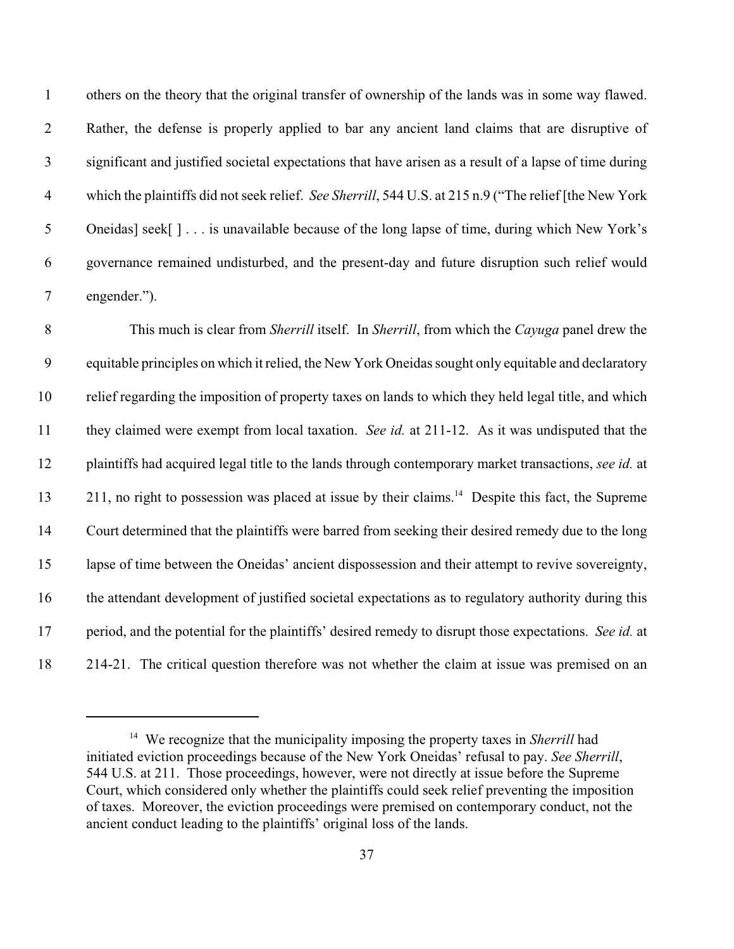others on the theory that the original transfer of ownership of the lands was in some way flawed. Rather, the defense is properly applied to bar any ancient land claims that are disruptive of significant and justified societal expectations that have arisen as a result of a lapse of time during which the plaintiffs did not seek relief. *See Sherrill*, 544 U.S. at 215 n.9 ("The relief [the New York Oneidas] seek[ ] . . . is unavailable because of the long lapse of time, during which New York's governance remained undisturbed, and the present-day and future disruption such relief would engender.").

 This much is clear from *Sherrill* itself. In *Sherrill*, from which the *Cayuga* panel drew the equitable principles on which it relied, the New York Oneidas sought only equitable and declaratory relief regarding the imposition of property taxes on lands to which they held legal title, and which they claimed were exempt from local taxation. *See id.* at 211-12. As it was undisputed that the plaintiffs had acquired legal title to the lands through contemporary market transactions, *see id.* at 13 211, no right to possession was placed at issue by their claims.<sup>14</sup> Despite this fact, the Supreme Court determined that the plaintiffs were barred from seeking their desired remedy due to the long lapse of time between the Oneidas' ancient dispossession and their attempt to revive sovereignty, the attendant development of justified societal expectations as to regulatory authority during this period, and the potential for the plaintiffs' desired remedy to disrupt those expectations. *See id.* at 214-21. The critical question therefore was not whether the claim at issue was premised on an

<sup>&</sup>lt;sup>14</sup> We recognize that the municipality imposing the property taxes in *Sherrill* had initiated eviction proceedings because of the New York Oneidas' refusal to pay. *See Sherrill*, 544 U.S. at 211. Those proceedings, however, were not directly at issue before the Supreme Court, which considered only whether the plaintiffs could seek relief preventing the imposition of taxes. Moreover, the eviction proceedings were premised on contemporary conduct, not the ancient conduct leading to the plaintiffs' original loss of the lands.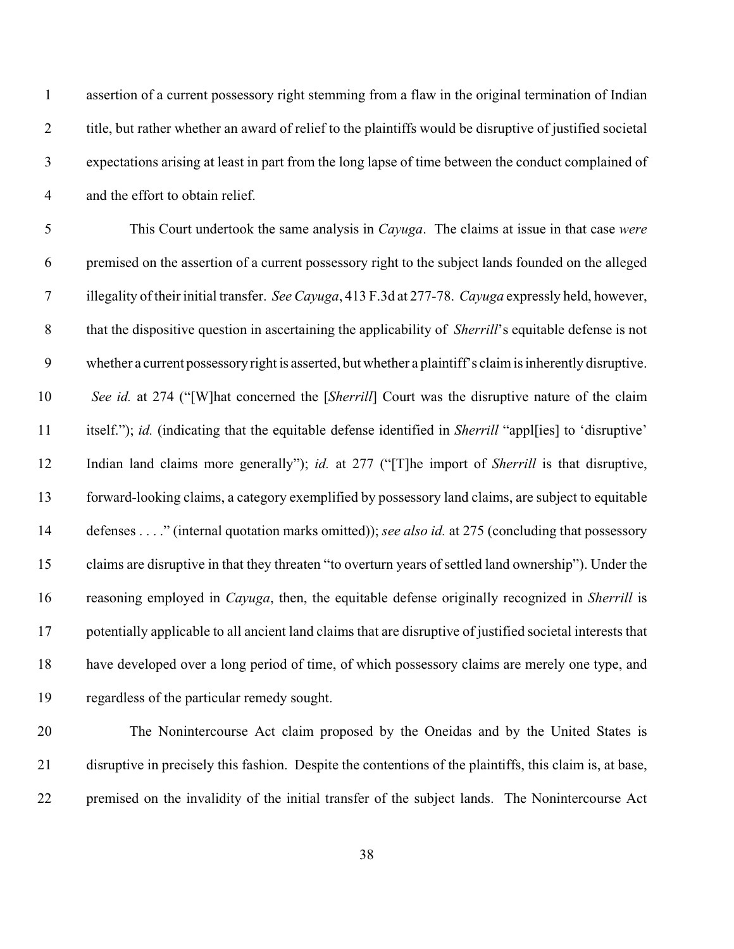| $\mathbf{1}$     | assertion of a current possessory right stemming from a flaw in the original termination of Indian            |
|------------------|---------------------------------------------------------------------------------------------------------------|
| $\mathbf{2}$     | title, but rather whether an award of relief to the plaintiffs would be disruptive of justified societal      |
| $\mathfrak{Z}$   | expectations arising at least in part from the long lapse of time between the conduct complained of           |
| $\overline{4}$   | and the effort to obtain relief.                                                                              |
| $\mathfrak{S}$   | This Court undertook the same analysis in <i>Cayuga</i> . The claims at issue in that case were               |
| 6                | premised on the assertion of a current possessory right to the subject lands founded on the alleged           |
| $\overline{7}$   | illegality of their initial transfer. See Cayuga, 413 F.3d at 277-78. Cayuga expressly held, however,         |
| $8\,$            | that the dispositive question in ascertaining the applicability of <i>Sherrill's</i> equitable defense is not |
| $\boldsymbol{9}$ | whether a current possessory right is asserted, but whether a plaintiff's claim is inherently disruptive.     |
| 10               | See id. at 274 ("[W]hat concerned the [Sherrill] Court was the disruptive nature of the claim                 |
| 11               | itself."); id. (indicating that the equitable defense identified in Sherrill "appl[ies] to 'disruptive'       |
| 12               | Indian land claims more generally"); id. at 277 ("[T]he import of Sherrill is that disruptive,                |
| 13               | forward-looking claims, a category exemplified by possessory land claims, are subject to equitable            |
| 14               | defenses" (internal quotation marks omitted)); see also id. at 275 (concluding that possessory                |
| 15               | claims are disruptive in that they threaten "to overturn years of settled land ownership"). Under the         |
| 16               | reasoning employed in <i>Cayuga</i> , then, the equitable defense originally recognized in <i>Sherrill</i> is |
| 17               | potentially applicable to all ancient land claims that are disruptive of justified societal interests that    |
| 18               | have developed over a long period of time, of which possessory claims are merely one type, and                |
| 19               | regardless of the particular remedy sought.                                                                   |
| 20               | The Nonintercourse Act claim proposed by the Oneidas and by the United States is                              |
|                  |                                                                                                               |

premised on the invalidity of the initial transfer of the subject lands. The Nonintercourse Act

disruptive in precisely this fashion. Despite the contentions of the plaintiffs, this claim is, at base,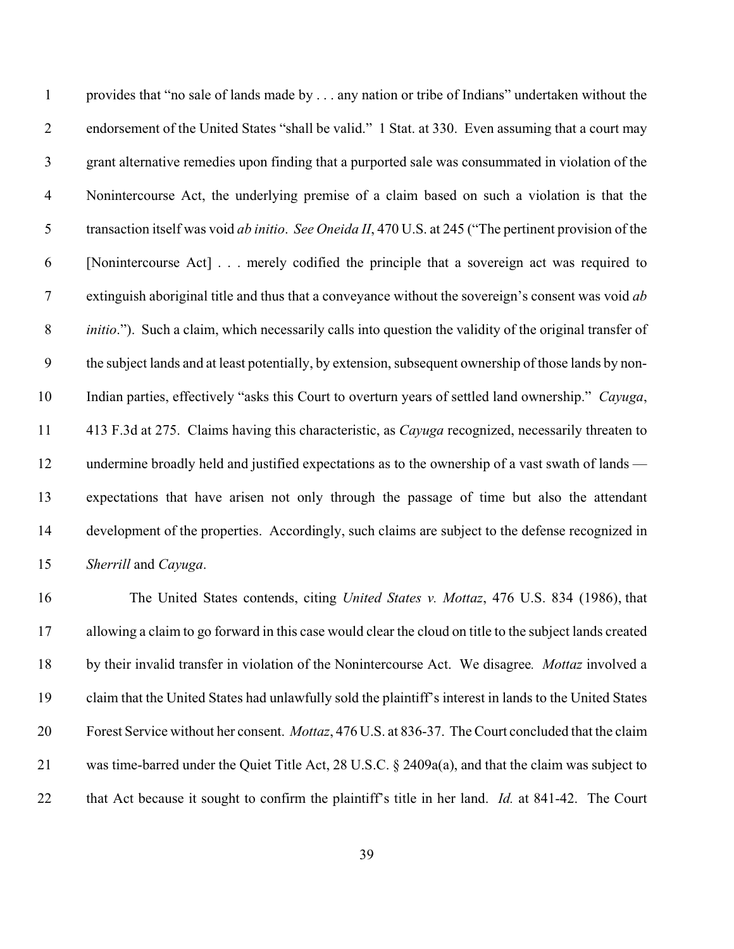provides that "no sale of lands made by . . . any nation or tribe of Indians" undertaken without the endorsement of the United States "shall be valid." 1 Stat. at 330. Even assuming that a court may grant alternative remedies upon finding that a purported sale was consummated in violation of the Nonintercourse Act, the underlying premise of a claim based on such a violation is that the transaction itself was void *ab initio*. *See Oneida II*, 470 U.S. at 245 ("The pertinent provision of the [Nonintercourse Act] . . . merely codified the principle that a sovereign act was required to extinguish aboriginal title and thus that a conveyance without the sovereign's consent was void *ab initio*."). Such a claim, which necessarily calls into question the validity of the original transfer of the subject lands and at least potentially, by extension, subsequent ownership of those lands by non- Indian parties, effectively "asks this Court to overturn years of settled land ownership." *Cayuga*, 413 F.3d at 275. Claims having this characteristic, as *Cayuga* recognized, necessarily threaten to 12 undermine broadly held and justified expectations as to the ownership of a vast swath of lands — expectations that have arisen not only through the passage of time but also the attendant development of the properties. Accordingly, such claims are subject to the defense recognized in *Sherrill* and *Cayuga*.

 The United States contends, citing *United States v. Mottaz*, 476 U.S. 834 (1986), that allowing a claim to go forward in this case would clear the cloud on title to the subject lands created by their invalid transfer in violation of the Nonintercourse Act. We disagree*. Mottaz* involved a claim that the United States had unlawfully sold the plaintiff's interest in lands to the United States Forest Service without her consent. *Mottaz*, 476 U.S. at 836-37. The Court concluded that the claim was time-barred under the Quiet Title Act, 28 U.S.C. § 2409a(a), and that the claim was subject to that Act because it sought to confirm the plaintiff's title in her land. *Id.* at 841-42. The Court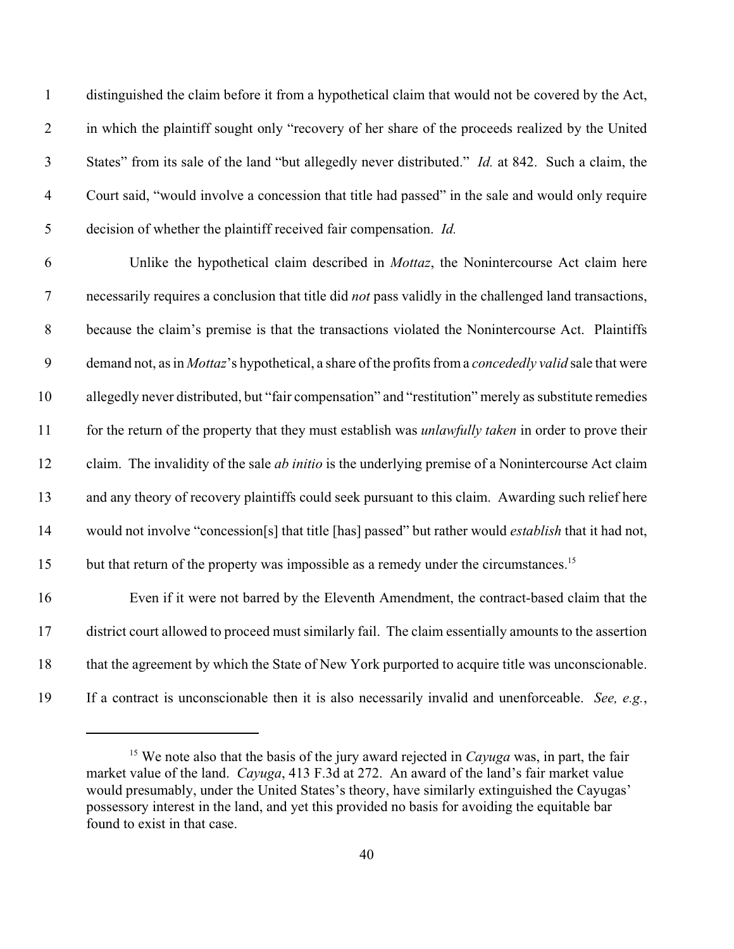distinguished the claim before it from a hypothetical claim that would not be covered by the Act, in which the plaintiff sought only "recovery of her share of the proceeds realized by the United States" from its sale of the land "but allegedly never distributed." *Id.* at 842. Such a claim, the Court said, "would involve a concession that title had passed" in the sale and would only require decision of whether the plaintiff received fair compensation. *Id.*

 Unlike the hypothetical claim described in *Mottaz*, the Nonintercourse Act claim here necessarily requires a conclusion that title did *not* pass validly in the challenged land transactions, because the claim's premise is that the transactions violated the Nonintercourse Act. Plaintiffs demand not, as in *Mottaz*'s hypothetical, a share of the profits from a *concededly valid* sale that were allegedly never distributed, but "fair compensation" and "restitution" merely as substitute remedies for the return of the property that they must establish was *unlawfully taken* in order to prove their claim. The invalidity of the sale *ab initio* is the underlying premise of a Nonintercourse Act claim and any theory of recovery plaintiffs could seek pursuant to this claim. Awarding such relief here would not involve "concession[s] that title [has] passed" but rather would *establish* that it had not, 15 but that return of the property was impossible as a remedy under the circumstances.<sup>15</sup> Even if it were not barred by the Eleventh Amendment, the contract-based claim that the district court allowed to proceed must similarly fail. The claim essentially amounts to the assertion that the agreement by which the State of New York purported to acquire title was unconscionable.

If a contract is unconscionable then it is also necessarily invalid and unenforceable. *See, e.g.*,

<sup>&</sup>lt;sup>15</sup> We note also that the basis of the jury award rejected in *Cayuga* was, in part, the fair market value of the land. *Cayuga*, 413 F.3d at 272. An award of the land's fair market value would presumably, under the United States's theory, have similarly extinguished the Cayugas' possessory interest in the land, and yet this provided no basis for avoiding the equitable bar found to exist in that case.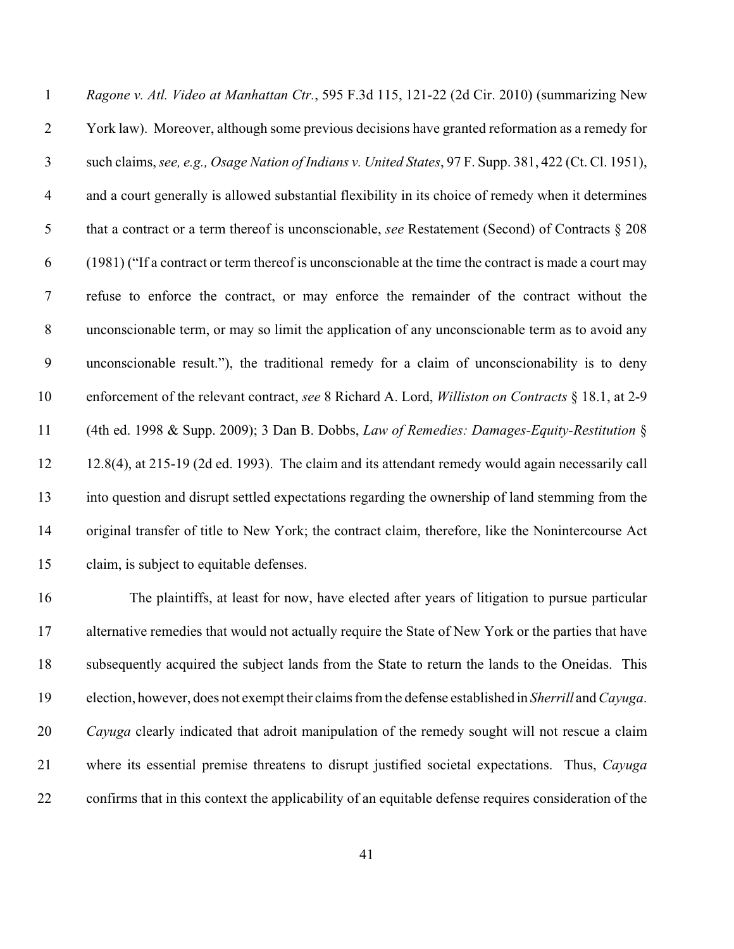*Ragone v. Atl. Video at Manhattan Ctr.*, 595 F.3d 115, 121-22 (2d Cir. 2010) (summarizing New York law). Moreover, although some previous decisions have granted reformation as a remedy for such claims, *see, e.g., Osage Nation of Indians v. United States*, 97 F. Supp. 381, 422 (Ct. Cl. 1951), and a court generally is allowed substantial flexibility in its choice of remedy when it determines that a contract or a term thereof is unconscionable, *see* Restatement (Second) of Contracts § 208 (1981) ("If a contract or term thereof is unconscionable at the time the contract is made a court may refuse to enforce the contract, or may enforce the remainder of the contract without the unconscionable term, or may so limit the application of any unconscionable term as to avoid any unconscionable result."), the traditional remedy for a claim of unconscionability is to deny enforcement of the relevant contract, *see* 8 Richard A. Lord, *Williston on Contracts* § 18.1, at 2-9 (4th ed. 1998 & Supp. 2009); 3 Dan B. Dobbs, *Law of Remedies: Damages-Equity-Restitution* § 12.8(4), at 215-19 (2d ed. 1993). The claim and its attendant remedy would again necessarily call into question and disrupt settled expectations regarding the ownership of land stemming from the original transfer of title to New York; the contract claim, therefore, like the Nonintercourse Act claim, is subject to equitable defenses.

 The plaintiffs, at least for now, have elected after years of litigation to pursue particular alternative remedies that would not actually require the State of New York or the parties that have subsequently acquired the subject lands from the State to return the lands to the Oneidas. This election, however, does not exempt their claims from the defense established in *Sherrill* and *Cayuga*. *Cayuga* clearly indicated that adroit manipulation of the remedy sought will not rescue a claim where its essential premise threatens to disrupt justified societal expectations. Thus, *Cayuga* confirms that in this context the applicability of an equitable defense requires consideration of the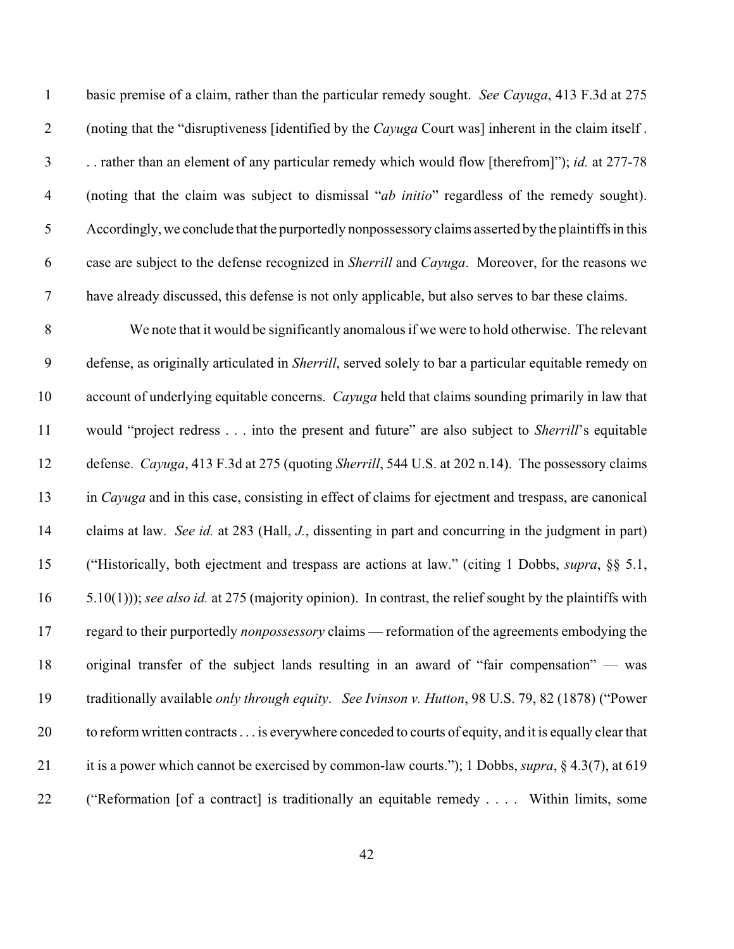basic premise of a claim, rather than the particular remedy sought. *See Cayuga*, 413 F.3d at 275 (noting that the "disruptiveness [identified by the *Cayuga* Court was] inherent in the claim itself . . . rather than an element of any particular remedy which would flow [therefrom]"); *id.* at 277-78 (noting that the claim was subject to dismissal "*ab initio*" regardless of the remedy sought). Accordingly, we conclude that the purportedly nonpossessory claims asserted by the plaintiffs in this case are subject to the defense recognized in *Sherrill* and *Cayuga*. Moreover, for the reasons we have already discussed, this defense is not only applicable, but also serves to bar these claims.

 We note that it would be significantly anomalous if we were to hold otherwise. The relevant defense, as originally articulated in *Sherrill*, served solely to bar a particular equitable remedy on account of underlying equitable concerns. *Cayuga* held that claims sounding primarily in law that would "project redress . . . into the present and future" are also subject to *Sherrill*'s equitable defense. *Cayuga*, 413 F.3d at 275 (quoting *Sherrill*, 544 U.S. at 202 n.14). The possessory claims in *Cayuga* and in this case, consisting in effect of claims for ejectment and trespass, are canonical claims at law. *See id.* at 283 (Hall, *J.*, dissenting in part and concurring in the judgment in part) ("Historically, both ejectment and trespass are actions at law." (citing 1 Dobbs, *supra*, §§ 5.1, 5.10(1))); *see also id.* at 275 (majority opinion). In contrast, the relief sought by the plaintiffs with regard to their purportedly *nonpossessory* claims — reformation of the agreements embodying the original transfer of the subject lands resulting in an award of "fair compensation" — was traditionally available *only through equity*. *See Ivinson v. Hutton*, 98 U.S. 79, 82 (1878) ("Power to reform written contracts . . . is everywhere conceded to courts of equity, and it is equally clear that it is a power which cannot be exercised by common-law courts."); 1 Dobbs, *supra*, § 4.3(7), at 619 ("Reformation [of a contract] is traditionally an equitable remedy . . . . Within limits, some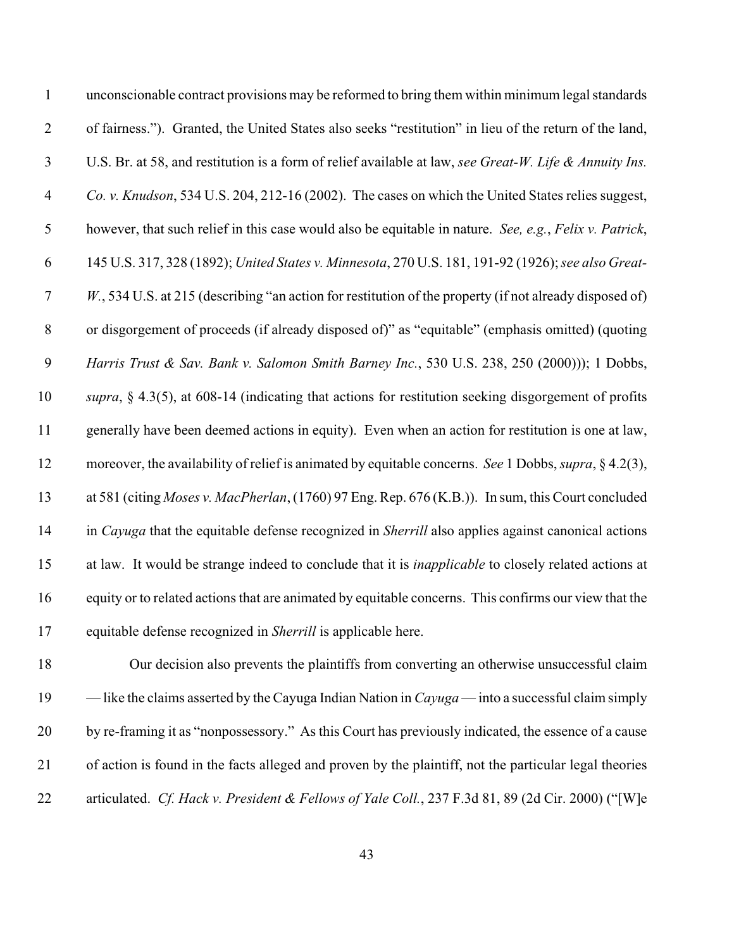| $\mathbf{1}$     | unconscionable contract provisions may be reformed to bring them within minimum legal standards             |
|------------------|-------------------------------------------------------------------------------------------------------------|
| $\mathbf{2}$     | of fairness."). Granted, the United States also seeks "restitution" in lieu of the return of the land,      |
| $\mathfrak{Z}$   | U.S. Br. at 58, and restitution is a form of relief available at law, see Great-W. Life & Annuity Ins.      |
| $\overline{4}$   | Co. v. Knudson, 534 U.S. 204, 212-16 (2002). The cases on which the United States relies suggest,           |
| 5                | however, that such relief in this case would also be equitable in nature. See, e.g., Felix v. Patrick,      |
| 6                | 145 U.S. 317, 328 (1892); United States v. Minnesota, 270 U.S. 181, 191-92 (1926); see also Great-          |
| $\tau$           | W., 534 U.S. at 215 (describing "an action for restitution of the property (if not already disposed of)     |
| $8\,$            | or disgorgement of proceeds (if already disposed of)" as "equitable" (emphasis omitted) (quoting            |
| $\boldsymbol{9}$ | Harris Trust & Sav. Bank v. Salomon Smith Barney Inc., 530 U.S. 238, 250 (2000))); 1 Dobbs,                 |
| 10               | supra, $\S$ 4.3(5), at 608-14 (indicating that actions for restitution seeking disgorgement of profits      |
| 11               | generally have been deemed actions in equity). Even when an action for restitution is one at law,           |
| 12               | moreover, the availability of relief is animated by equitable concerns. See 1 Dobbs, supra, §4.2(3),        |
| 13               | at 581 (citing Moses v. MacPherlan, (1760) 97 Eng. Rep. 676 (K.B.)). In sum, this Court concluded           |
| 14               | in Cayuga that the equitable defense recognized in Sherrill also applies against canonical actions          |
| 15               | at law. It would be strange indeed to conclude that it is <i>inapplicable</i> to closely related actions at |
| 16               | equity or to related actions that are animated by equitable concerns. This confirms our view that the       |
| 17               | equitable defense recognized in Sherrill is applicable here.                                                |
|                  |                                                                                                             |

 Our decision also prevents the plaintiffs from converting an otherwise unsuccessful claim — like the claims asserted by the Cayuga Indian Nation in *Cayuga* — into a successful claim simply by re-framing it as "nonpossessory." As this Court has previously indicated, the essence of a cause of action is found in the facts alleged and proven by the plaintiff, not the particular legal theories articulated. *Cf. Hack v. President & Fellows of Yale Coll.*, 237 F.3d 81, 89 (2d Cir. 2000) ("[W]e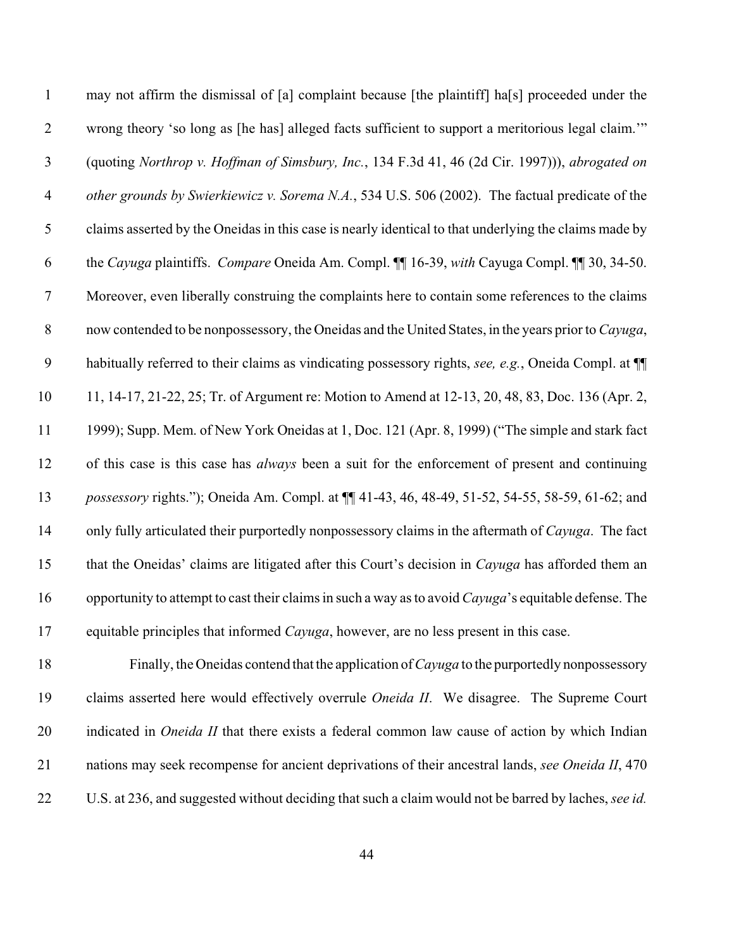| $\mathbf{1}$   | may not affirm the dismissal of [a] complaint because [the plaintiff] ha[s] proceeded under the       |
|----------------|-------------------------------------------------------------------------------------------------------|
| $\overline{2}$ | wrong theory 'so long as [he has] alleged facts sufficient to support a meritorious legal claim."     |
| $\mathfrak{Z}$ | (quoting Northrop v. Hoffman of Simsbury, Inc., 134 F.3d 41, 46 (2d Cir. 1997))), abrogated on        |
| $\overline{4}$ | other grounds by Swierkiewicz v. Sorema N.A., 534 U.S. 506 (2002). The factual predicate of the       |
| 5              | claims asserted by the Oneidas in this case is nearly identical to that underlying the claims made by |
| 6              | the Cayuga plaintiffs. Compare Oneida Am. Compl. [1] 16-39, with Cayuga Compl. [1] 30, 34-50.         |
| $\tau$         | Moreover, even liberally construing the complaints here to contain some references to the claims      |
| $8\,$          | now contended to be nonpossessory, the Oneidas and the United States, in the years prior to Cayuga,   |
| 9              | habitually referred to their claims as vindicating possessory rights, see, e.g., Oneida Compl. at ¶   |
| 10             | 11, 14-17, 21-22, 25; Tr. of Argument re: Motion to Amend at 12-13, 20, 48, 83, Doc. 136 (Apr. 2,     |
| 11             | 1999); Supp. Mem. of New York Oneidas at 1, Doc. 121 (Apr. 8, 1999) ("The simple and stark fact       |
| 12             | of this case is this case has <i>always</i> been a suit for the enforcement of present and continuing |
| 13             | possessory rights."); Oneida Am. Compl. at $\P$ 41-43, 46, 48-49, 51-52, 54-55, 58-59, 61-62; and     |
| 14             | only fully articulated their purportedly nonpossessory claims in the aftermath of Cayuga. The fact    |
| 15             | that the Oneidas' claims are litigated after this Court's decision in Cayuga has afforded them an     |
| 16             | opportunity to attempt to cast their claims in such a way as to avoid Cayuga's equitable defense. The |
| 17             | equitable principles that informed <i>Cayuga</i> , however, are no less present in this case.         |

 Finally, the Oneidas contend that the application of *Cayuga* to the purportedly nonpossessory claims asserted here would effectively overrule *Oneida II*. We disagree. The Supreme Court indicated in *Oneida II* that there exists a federal common law cause of action by which Indian nations may seek recompense for ancient deprivations of their ancestral lands, *see Oneida II*, 470 U.S. at 236, and suggested without deciding that such a claim would not be barred by laches, *see id.*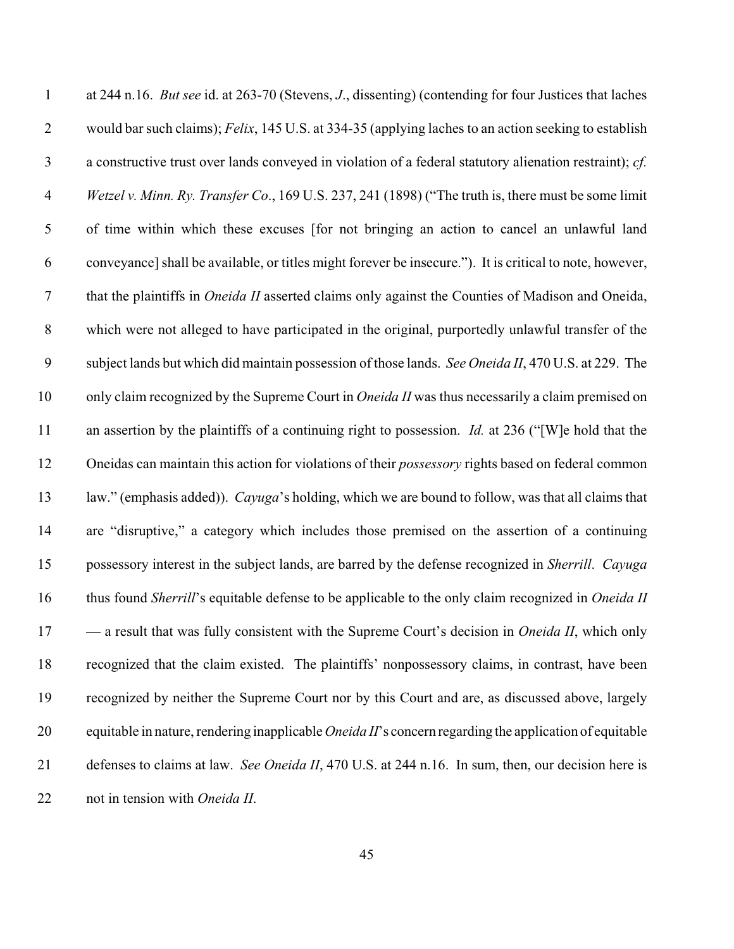| $\mathbf{1}$     | at 244 n.16. But see id. at 263-70 (Stevens, J., dissenting) (contending for four Justices that laches         |
|------------------|----------------------------------------------------------------------------------------------------------------|
| $\overline{2}$   | would bar such claims); Felix, 145 U.S. at 334-35 (applying laches to an action seeking to establish           |
| $\mathfrak{Z}$   | a constructive trust over lands conveyed in violation of a federal statutory alienation restraint); cf.        |
| $\overline{4}$   | Wetzel v. Minn. Ry. Transfer Co., 169 U.S. 237, 241 (1898) ("The truth is, there must be some limit            |
| $\mathfrak{S}$   | of time within which these excuses [for not bringing an action to cancel an unlawful land                      |
| 6                | conveyance] shall be available, or titles might forever be insecure."). It is critical to note, however,       |
| $\tau$           | that the plaintiffs in <i>Oneida II</i> asserted claims only against the Counties of Madison and Oneida,       |
| $8\,$            | which were not alleged to have participated in the original, purportedly unlawful transfer of the              |
| $\boldsymbol{9}$ | subject lands but which did maintain possession of those lands. See Oneida II, 470 U.S. at 229. The            |
| 10               | only claim recognized by the Supreme Court in <i>Oneida II</i> was thus necessarily a claim premised on        |
| 11               | an assertion by the plaintiffs of a continuing right to possession. <i>Id.</i> at 236 ("[W]e hold that the     |
| 12               | Oneidas can maintain this action for violations of their <i>possessory</i> rights based on federal common      |
| 13               | law." (emphasis added)). Cayuga's holding, which we are bound to follow, was that all claims that              |
| 14               | are "disruptive," a category which includes those premised on the assertion of a continuing                    |
| 15               | possessory interest in the subject lands, are barred by the defense recognized in Sherrill. Cayuga             |
| 16               | thus found Sherrill's equitable defense to be applicable to the only claim recognized in Oneida II             |
| 17               | - a result that was fully consistent with the Supreme Court's decision in <i>Oneida II</i> , which only        |
| 18               | recognized that the claim existed. The plaintiffs' nonpossessory claims, in contrast, have been                |
| 19               | recognized by neither the Supreme Court nor by this Court and are, as discussed above, largely                 |
| 20               | equitable in nature, rendering inapplicable <i>Oneida II</i> 's concern regarding the application of equitable |
| 21               | defenses to claims at law. See Oneida II, 470 U.S. at 244 n.16. In sum, then, our decision here is             |
| 22               | not in tension with Oneida II.                                                                                 |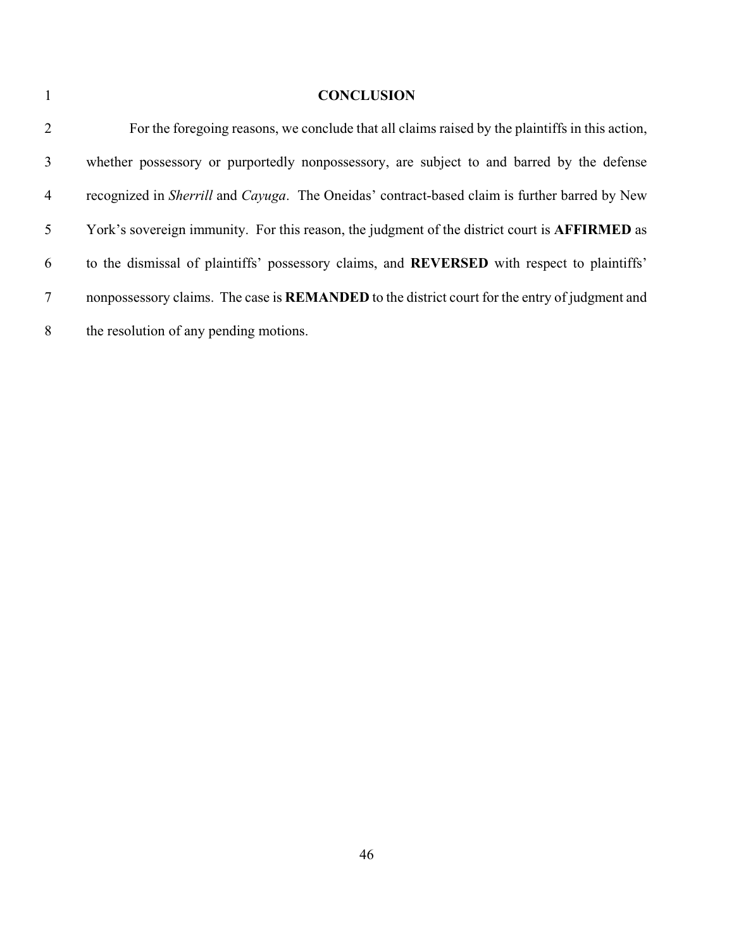## **CONCLUSION**

| 2              | For the foregoing reasons, we conclude that all claims raised by the plaintiffs in this action,       |
|----------------|-------------------------------------------------------------------------------------------------------|
| 3              | whether possessory or purportedly nonpossessory, are subject to and barred by the defense             |
| $\overline{4}$ | recognized in Sherrill and Cayuga. The Oneidas' contract-based claim is further barred by New         |
| 5              | York's sovereign immunity. For this reason, the judgment of the district court is <b>AFFIRMED</b> as  |
| 6              | to the dismissal of plaintiffs' possessory claims, and <b>REVERSED</b> with respect to plaintiffs'    |
| 7              | nonpossessory claims. The case is <b>REMANDED</b> to the district court for the entry of judgment and |
| 8              | the resolution of any pending motions.                                                                |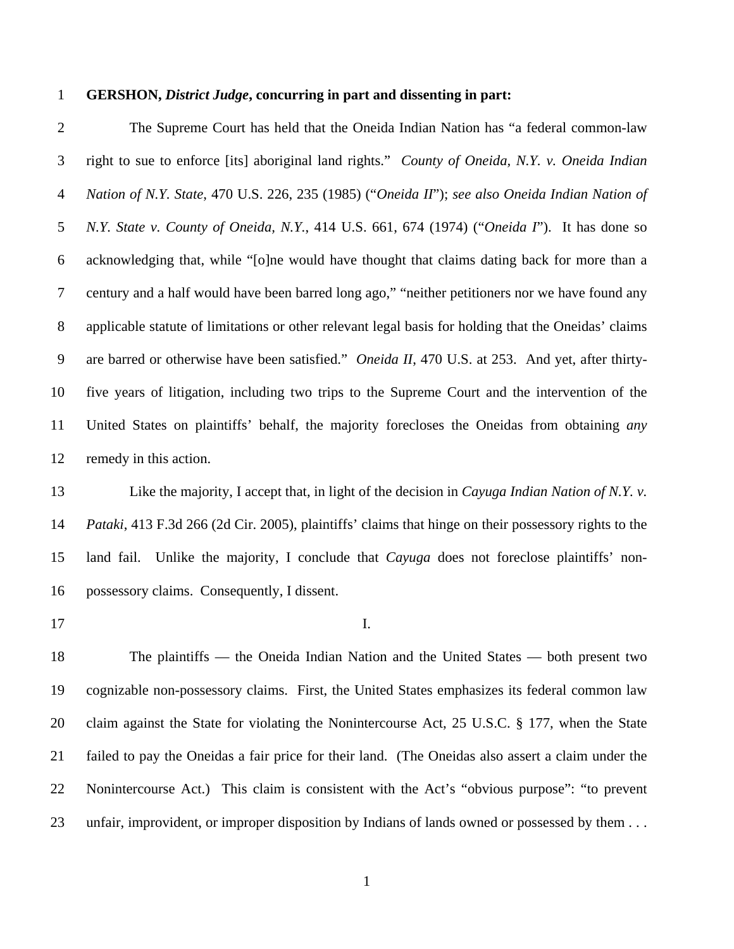#### 1 **GERSHON,** *District Judge***, concurring in part and dissenting in part:**

2 The Supreme Court has held that the Oneida Indian Nation has "a federal common-law 3 right to sue to enforce [its] aboriginal land rights." *County of Oneida, N.Y. v. Oneida Indian*  4 *Nation of N.Y. State*, 470 U.S. 226, 235 (1985) ("*Oneida II*"); *see also Oneida Indian Nation of*  5 *N.Y. State v. County of Oneida, N.Y.*, 414 U.S. 661, 674 (1974) ("*Oneida I*"). It has done so 6 acknowledging that, while "[o]ne would have thought that claims dating back for more than a 7 century and a half would have been barred long ago," "neither petitioners nor we have found any 8 applicable statute of limitations or other relevant legal basis for holding that the Oneidas' claims 9 are barred or otherwise have been satisfied." *Oneida II*, 470 U.S. at 253. And yet, after thirty-10 five years of litigation, including two trips to the Supreme Court and the intervention of the 11 United States on plaintiffs' behalf, the majority forecloses the Oneidas from obtaining *any* 12 remedy in this action.

13 Like the majority, I accept that, in light of the decision in *Cayuga Indian Nation of N.Y. v.*  14 *Pataki*, 413 F.3d 266 (2d Cir. 2005), plaintiffs' claims that hinge on their possessory rights to the 15 land fail. Unlike the majority, I conclude that *Cayuga* does not foreclose plaintiffs' non-16 possessory claims. Consequently, I dissent.

17 I.

18 The plaintiffs — the Oneida Indian Nation and the United States — both present two 19 cognizable non-possessory claims. First, the United States emphasizes its federal common law 20 claim against the State for violating the Nonintercourse Act, 25 U.S.C. § 177, when the State 21 failed to pay the Oneidas a fair price for their land. (The Oneidas also assert a claim under the 22 Nonintercourse Act.) This claim is consistent with the Act's "obvious purpose": "to prevent 23 unfair, improvident, or improper disposition by Indians of lands owned or possessed by them . . .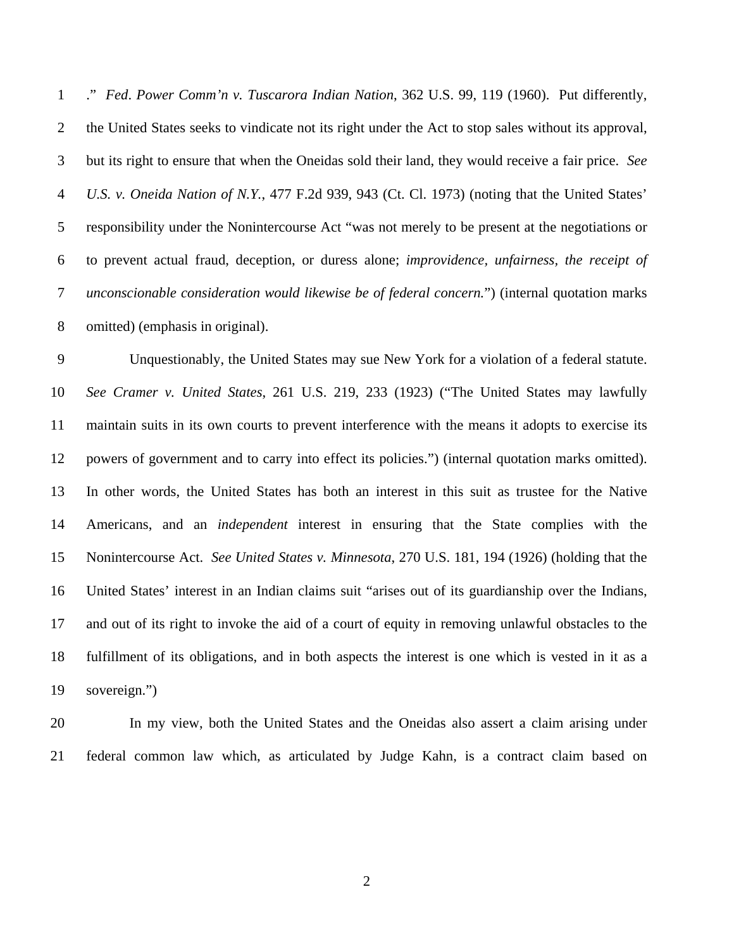1 ." *Fed*. *Power Comm'n v. Tuscarora Indian Nation*, 362 U.S. 99, 119 (1960).Put differently, 2 the United States seeks to vindicate not its right under the Act to stop sales without its approval, 3 but its right to ensure that when the Oneidas sold their land, they would receive a fair price. *See*  4 *U.S. v. Oneida Nation of N.Y.*, 477 F.2d 939, 943 (Ct. Cl. 1973) (noting that the United States' 5 responsibility under the Nonintercourse Act "was not merely to be present at the negotiations or 6 to prevent actual fraud, deception, or duress alone; *improvidence, unfairness, the receipt of*  7 *unconscionable consideration would likewise be of federal concern.*") (internal quotation marks 8 omitted) (emphasis in original).

9 Unquestionably, the United States may sue New York for a violation of a federal statute. 10 *See Cramer v. United States*, 261 U.S. 219, 233 (1923) ("The United States may lawfully 11 maintain suits in its own courts to prevent interference with the means it adopts to exercise its 12 powers of government and to carry into effect its policies.") (internal quotation marks omitted). 13 In other words, the United States has both an interest in this suit as trustee for the Native 14 Americans, and an *independent* interest in ensuring that the State complies with the 15 Nonintercourse Act. *See United States v. Minnesota*, 270 U.S. 181, 194 (1926) (holding that the 16 United States' interest in an Indian claims suit "arises out of its guardianship over the Indians, 17 and out of its right to invoke the aid of a court of equity in removing unlawful obstacles to the 18 fulfillment of its obligations, and in both aspects the interest is one which is vested in it as a 19 sovereign.")

20 In my view, both the United States and the Oneidas also assert a claim arising under 21 federal common law which, as articulated by Judge Kahn, is a contract claim based on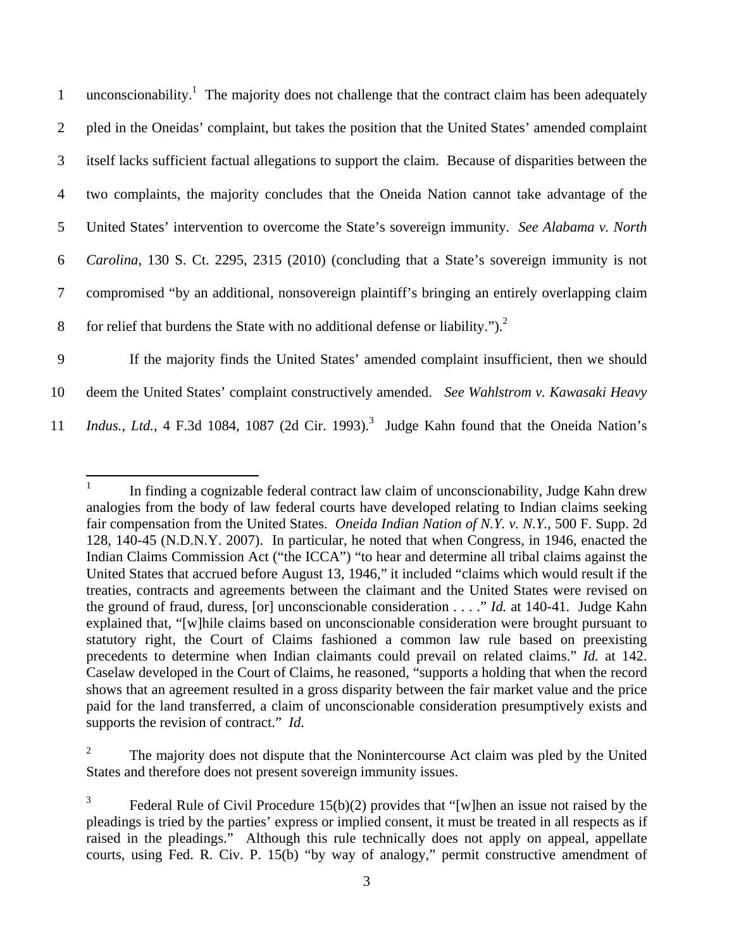1 unconscionability.<sup>1</sup> The majority does not challenge that the contract claim has been adequately 2 pled in the Oneidas' complaint, but takes the position that the United States' amended complaint 3 itself lacks sufficient factual allegations to support the claim. Because of disparities between the 4 two complaints, the majority concludes that the Oneida Nation cannot take advantage of the 5 United States' intervention to overcome the State's sovereign immunity. *See Alabama v. North*  6 *Carolina*, 130 S. Ct. 2295, 2315 (2010) (concluding that a State's sovereign immunity is not 7 compromised "by an additional, nonsovereign plaintiff's bringing an entirely overlapping claim 8 for relief that burdens the State with no additional defense or liability." $)^2$ 9 If the majority finds the United States' amended complaint insufficient, then we should

10 deem the United States' complaint constructively amended. *See Wahlstrom v. Kawasaki Heavy* 

11 *Indus., Ltd.*, 4 F.3d 1084, 1087 (2d Cir. 1993).<sup>3</sup> Judge Kahn found that the Oneida Nation's

 $\frac{1}{1}$  In finding a cognizable federal contract law claim of unconscionability, Judge Kahn drew analogies from the body of law federal courts have developed relating to Indian claims seeking fair compensation from the United States. *Oneida Indian Nation of N.Y. v. N.Y.*, 500 F. Supp. 2d 128, 140-45 (N.D.N.Y. 2007). In particular, he noted that when Congress, in 1946, enacted the Indian Claims Commission Act ("the ICCA") "to hear and determine all tribal claims against the United States that accrued before August 13, 1946," it included "claims which would result if the treaties, contracts and agreements between the claimant and the United States were revised on the ground of fraud, duress, [or] unconscionable consideration . . . ." *Id.* at 140-41. Judge Kahn explained that, "[w]hile claims based on unconscionable consideration were brought pursuant to statutory right, the Court of Claims fashioned a common law rule based on preexisting precedents to determine when Indian claimants could prevail on related claims." *Id.* at 142. Caselaw developed in the Court of Claims, he reasoned, "supports a holding that when the record shows that an agreement resulted in a gross disparity between the fair market value and the price paid for the land transferred, a claim of unconscionable consideration presumptively exists and supports the revision of contract." *Id*.

<sup>2</sup> The majority does not dispute that the Nonintercourse Act claim was pled by the United States and therefore does not present sovereign immunity issues.

<sup>3</sup> Federal Rule of Civil Procedure 15(b)(2) provides that "[w]hen an issue not raised by the pleadings is tried by the parties' express or implied consent, it must be treated in all respects as if raised in the pleadings." Although this rule technically does not apply on appeal, appellate courts, using Fed. R. Civ. P. 15(b) "by way of analogy," permit constructive amendment of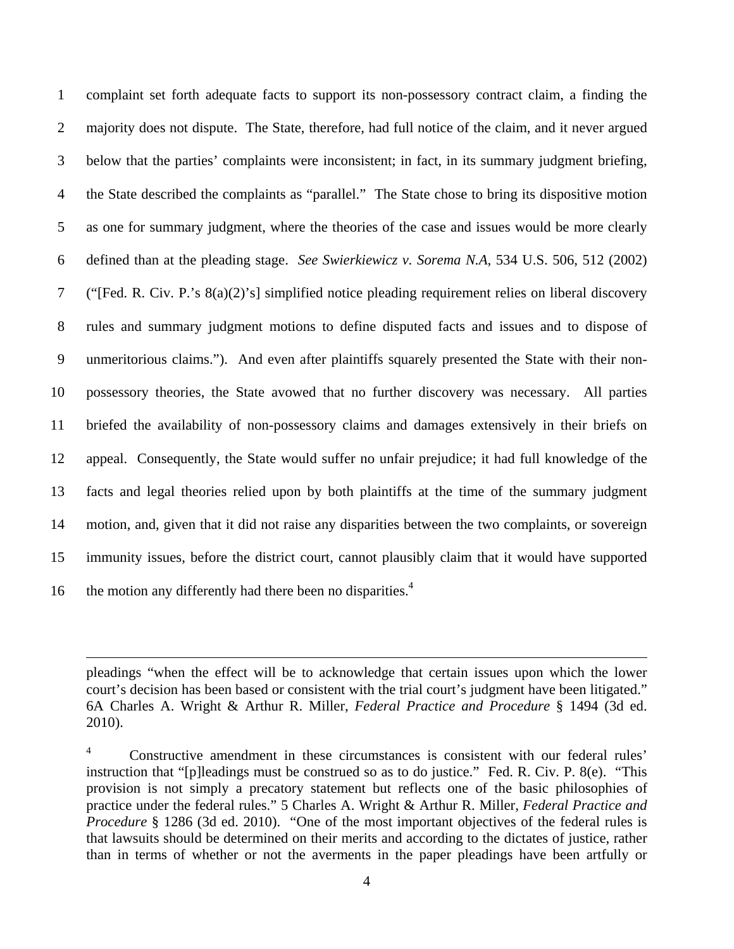1 complaint set forth adequate facts to support its non-possessory contract claim, a finding the 2 majority does not dispute. The State, therefore, had full notice of the claim, and it never argued 3 below that the parties' complaints were inconsistent; in fact, in its summary judgment briefing, 4 the State described the complaints as "parallel." The State chose to bring its dispositive motion 5 as one for summary judgment, where the theories of the case and issues would be more clearly 6 defined than at the pleading stage. *See Swierkiewicz v. Sorema N.A*, 534 U.S. 506, 512 (2002) 7 ("[Fed. R. Civ. P.'s 8(a)(2)'s] simplified notice pleading requirement relies on liberal discovery 8 rules and summary judgment motions to define disputed facts and issues and to dispose of 9 unmeritorious claims."). And even after plaintiffs squarely presented the State with their non-10 possessory theories, the State avowed that no further discovery was necessary. All parties 11 briefed the availability of non-possessory claims and damages extensively in their briefs on 12 appeal. Consequently, the State would suffer no unfair prejudice; it had full knowledge of the 13 facts and legal theories relied upon by both plaintiffs at the time of the summary judgment 14 motion, and, given that it did not raise any disparities between the two complaints, or sovereign 15 immunity issues, before the district court, cannot plausibly claim that it would have supported 16 the motion any differently had there been no disparities. $4\overline{6}$ 

pleadings "when the effect will be to acknowledge that certain issues upon which the lower court's decision has been based or consistent with the trial court's judgment have been litigated." 6A Charles A. Wright & Arthur R. Miller, *Federal Practice and Procedure* § 1494 (3d ed. 2010).

 $\overline{a}$ 

<sup>4</sup> Constructive amendment in these circumstances is consistent with our federal rules' instruction that "[p]leadings must be construed so as to do justice." Fed. R. Civ. P. 8(e). "This provision is not simply a precatory statement but reflects one of the basic philosophies of practice under the federal rules." 5 Charles A. Wright & Arthur R. Miller, *Federal Practice and Procedure* § 1286 (3d ed. 2010). "One of the most important objectives of the federal rules is that lawsuits should be determined on their merits and according to the dictates of justice, rather than in terms of whether or not the averments in the paper pleadings have been artfully or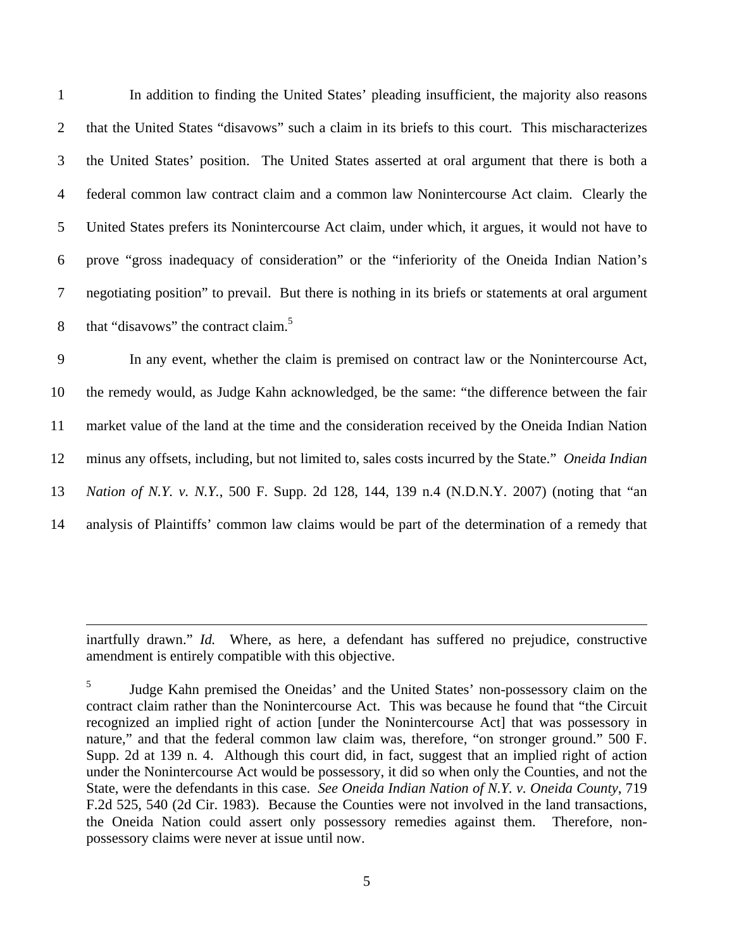1 In addition to finding the United States' pleading insufficient, the majority also reasons 2 that the United States "disavows" such a claim in its briefs to this court. This mischaracterizes 3 the United States' position. The United States asserted at oral argument that there is both a 4 federal common law contract claim and a common law Nonintercourse Act claim. Clearly the 5 United States prefers its Nonintercourse Act claim, under which, it argues, it would not have to 6 prove "gross inadequacy of consideration" or the "inferiority of the Oneida Indian Nation's 7 negotiating position" to prevail. But there is nothing in its briefs or statements at oral argument 8 that "disavows" the contract claim.<sup>5</sup>

9 In any event, whether the claim is premised on contract law or the Nonintercourse Act, 10 the remedy would, as Judge Kahn acknowledged, be the same: "the difference between the fair 11 market value of the land at the time and the consideration received by the Oneida Indian Nation 12 minus any offsets, including, but not limited to, sales costs incurred by the State." *Oneida Indian*  13 *Nation of N.Y. v. N.Y.*, 500 F. Supp. 2d 128, 144, 139 n.4 (N.D.N.Y. 2007) (noting that "an 14 analysis of Plaintiffs' common law claims would be part of the determination of a remedy that

inartfully drawn." *Id.* Where, as here, a defendant has suffered no prejudice, constructive amendment is entirely compatible with this objective.

 $\overline{a}$ 

<sup>5</sup> Judge Kahn premised the Oneidas' and the United States' non-possessory claim on the contract claim rather than the Nonintercourse Act. This was because he found that "the Circuit recognized an implied right of action [under the Nonintercourse Act] that was possessory in nature," and that the federal common law claim was, therefore, "on stronger ground." 500 F. Supp. 2d at 139 n. 4. Although this court did, in fact, suggest that an implied right of action under the Nonintercourse Act would be possessory, it did so when only the Counties, and not the State, were the defendants in this case. *See Oneida Indian Nation of N.Y. v. Oneida County*, 719 F.2d 525, 540 (2d Cir. 1983). Because the Counties were not involved in the land transactions, the Oneida Nation could assert only possessory remedies against them. Therefore, nonpossessory claims were never at issue until now.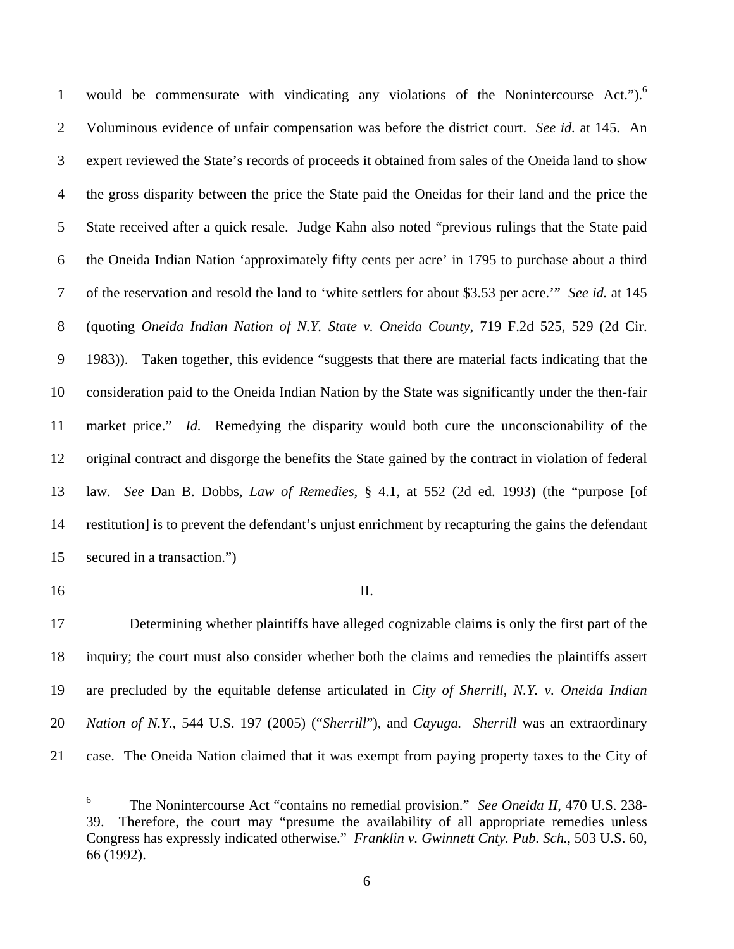1 would be commensurate with vindicating any violations of the Nonintercourse Act.").<sup>6</sup> 2 Voluminous evidence of unfair compensation was before the district court. *See id.* at 145. An 3 expert reviewed the State's records of proceeds it obtained from sales of the Oneida land to show 4 the gross disparity between the price the State paid the Oneidas for their land and the price the 5 State received after a quick resale. Judge Kahn also noted "previous rulings that the State paid 6 the Oneida Indian Nation 'approximately fifty cents per acre' in 1795 to purchase about a third 7 of the reservation and resold the land to 'white settlers for about \$3.53 per acre.'" *See id.* at 145 8 (quoting *Oneida Indian Nation of N.Y. State v. Oneida County*, 719 F.2d 525, 529 (2d Cir. 9 1983)). Taken together, this evidence "suggests that there are material facts indicating that the 10 consideration paid to the Oneida Indian Nation by the State was significantly under the then-fair 11 market price." *Id.* Remedying the disparity would both cure the unconscionability of the 12 original contract and disgorge the benefits the State gained by the contract in violation of federal 13 law. *See* Dan B. Dobbs, *Law of Remedies*, § 4.1, at 552 (2d ed. 1993) (the "purpose [of 14 restitution] is to prevent the defendant's unjust enrichment by recapturing the gains the defendant 15 secured in a transaction.")

16 II.

17 Determining whether plaintiffs have alleged cognizable claims is only the first part of the 18 inquiry; the court must also consider whether both the claims and remedies the plaintiffs assert 19 are precluded by the equitable defense articulated in *City of Sherrill, N.Y. v. Oneida Indian*  20 *Nation of N.Y.*, 544 U.S. 197 (2005) ("*Sherrill*"), and *Cayuga. Sherrill* was an extraordinary 21 case. The Oneida Nation claimed that it was exempt from paying property taxes to the City of

 $\frac{1}{6}$  The Nonintercourse Act "contains no remedial provision." *See Oneida II*, 470 U.S. 238- 39. Therefore, the court may "presume the availability of all appropriate remedies unless Congress has expressly indicated otherwise." *Franklin v. Gwinnett Cnty. Pub. Sch.*, 503 U.S. 60, 66 (1992).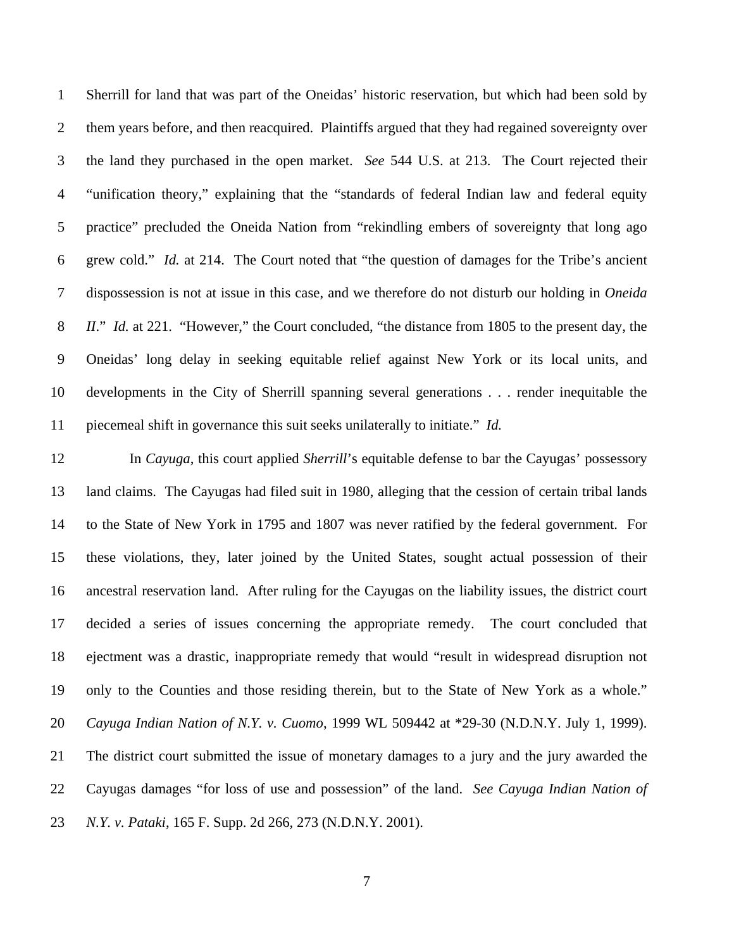1 Sherrill for land that was part of the Oneidas' historic reservation, but which had been sold by 2 them years before, and then reacquired. Plaintiffs argued that they had regained sovereignty over 3 the land they purchased in the open market. *See* 544 U.S. at 213. The Court rejected their 4 "unification theory," explaining that the "standards of federal Indian law and federal equity 5 practice" precluded the Oneida Nation from "rekindling embers of sovereignty that long ago 6 grew cold." *Id.* at 214. The Court noted that "the question of damages for the Tribe's ancient 7 dispossession is not at issue in this case, and we therefore do not disturb our holding in *Oneida*  8 *II*." *Id.* at 221. "However," the Court concluded, "the distance from 1805 to the present day, the 9 Oneidas' long delay in seeking equitable relief against New York or its local units, and 10 developments in the City of Sherrill spanning several generations . . . render inequitable the 11 piecemeal shift in governance this suit seeks unilaterally to initiate." *Id.*

12 In *Cayuga*, this court applied *Sherrill*'s equitable defense to bar the Cayugas' possessory 13 land claims. The Cayugas had filed suit in 1980, alleging that the cession of certain tribal lands 14 to the State of New York in 1795 and 1807 was never ratified by the federal government. For 15 these violations, they, later joined by the United States, sought actual possession of their 16 ancestral reservation land. After ruling for the Cayugas on the liability issues, the district court 17 decided a series of issues concerning the appropriate remedy. The court concluded that 18 ejectment was a drastic, inappropriate remedy that would "result in widespread disruption not 19 only to the Counties and those residing therein, but to the State of New York as a whole." 20 *Cayuga Indian Nation of N.Y. v. Cuomo*, 1999 WL 509442 at \*29-30 (N.D.N.Y. July 1, 1999). 21 The district court submitted the issue of monetary damages to a jury and the jury awarded the 22 Cayugas damages "for loss of use and possession" of the land. *See Cayuga Indian Nation of*  23 *N.Y. v. Pataki*, 165 F. Supp. 2d 266, 273 (N.D.N.Y. 2001).

7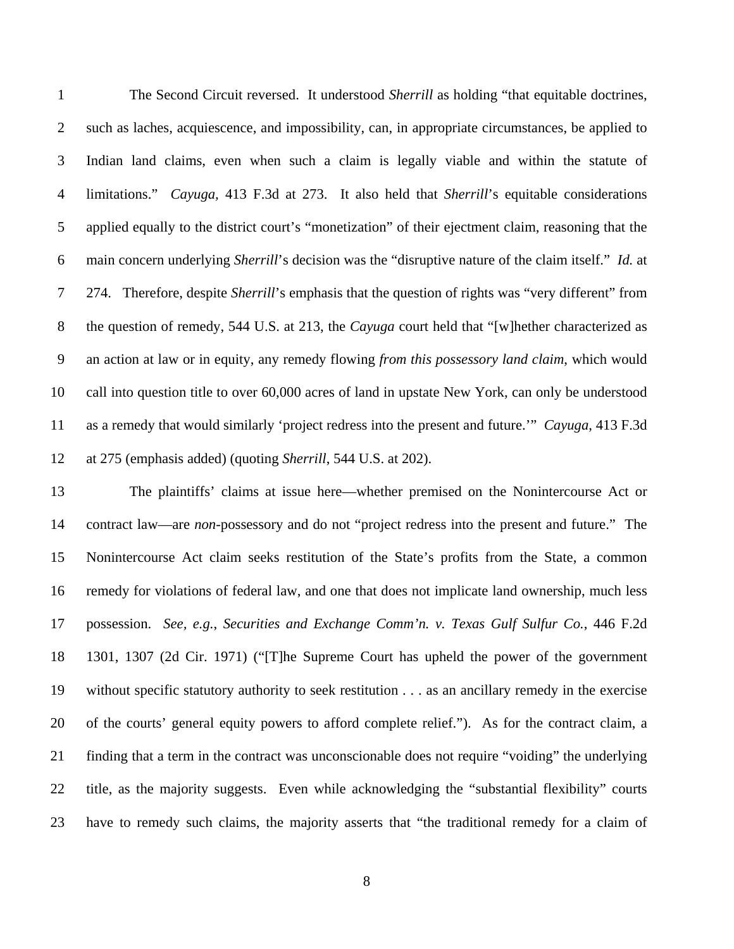1 The Second Circuit reversed. It understood *Sherrill* as holding "that equitable doctrines, 2 such as laches, acquiescence, and impossibility, can, in appropriate circumstances, be applied to 3 Indian land claims, even when such a claim is legally viable and within the statute of 4 limitations." *Cayuga,* 413 F.3d at 273. It also held that *Sherrill*'s equitable considerations 5 applied equally to the district court's "monetization" of their ejectment claim, reasoning that the 6 main concern underlying *Sherrill*'s decision was the "disruptive nature of the claim itself." *Id.* at 7 274. Therefore, despite *Sherrill*'s emphasis that the question of rights was "very different" from 8 the question of remedy, 544 U.S. at 213, the *Cayuga* court held that "[w]hether characterized as 9 an action at law or in equity, any remedy flowing *from this possessory land claim*, which would 10 call into question title to over 60,000 acres of land in upstate New York, can only be understood 11 as a remedy that would similarly 'project redress into the present and future.'" *Cayuga*, 413 F.3d 12 at 275 (emphasis added) (quoting *Sherrill*, 544 U.S. at 202).

13 The plaintiffs' claims at issue here—whether premised on the Nonintercourse Act or 14 contract law—are *non*-possessory and do not "project redress into the present and future." The 15 Nonintercourse Act claim seeks restitution of the State's profits from the State, a common 16 remedy for violations of federal law, and one that does not implicate land ownership, much less 17 possession. *See, e.g.*, *Securities and Exchange Comm'n. v. Texas Gulf Sulfur Co.*, 446 F.2d 18 1301, 1307 (2d Cir. 1971) ("[T]he Supreme Court has upheld the power of the government 19 without specific statutory authority to seek restitution . . . as an ancillary remedy in the exercise 20 of the courts' general equity powers to afford complete relief."). As for the contract claim, a 21 finding that a term in the contract was unconscionable does not require "voiding" the underlying 22 title, as the majority suggests. Even while acknowledging the "substantial flexibility" courts 23 have to remedy such claims, the majority asserts that "the traditional remedy for a claim of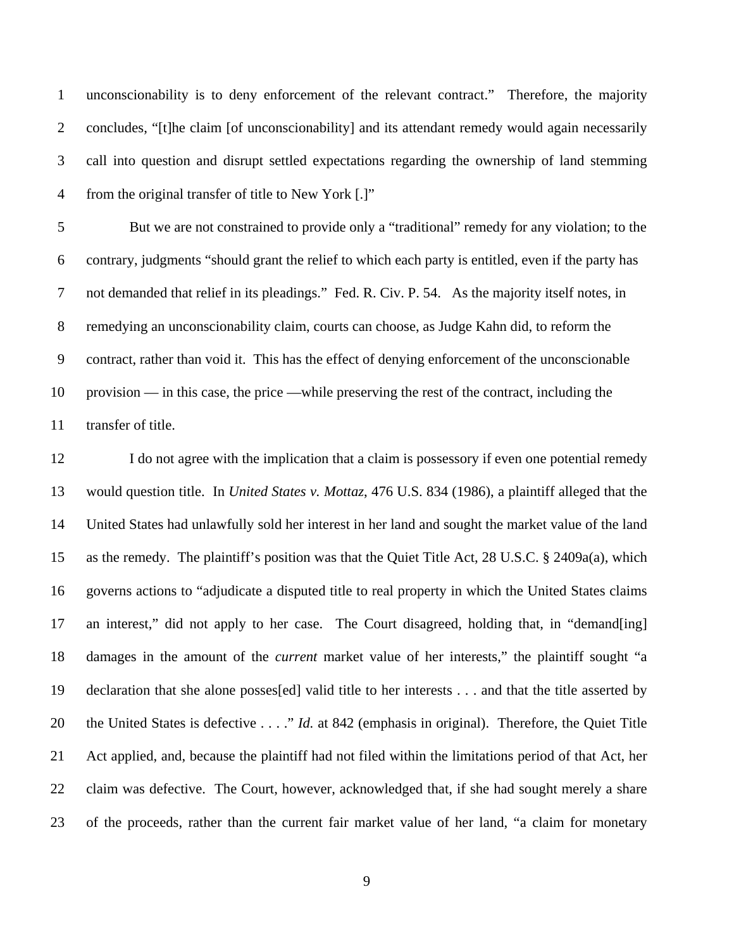1 unconscionability is to deny enforcement of the relevant contract." Therefore, the majority 2 concludes, "[t]he claim [of unconscionability] and its attendant remedy would again necessarily 3 call into question and disrupt settled expectations regarding the ownership of land stemming 4 from the original transfer of title to New York [.]"

5 But we are not constrained to provide only a "traditional" remedy for any violation; to the 6 contrary, judgments "should grant the relief to which each party is entitled, even if the party has 7 not demanded that relief in its pleadings." Fed. R. Civ. P. 54. As the majority itself notes, in 8 remedying an unconscionability claim, courts can choose, as Judge Kahn did, to reform the 9 contract, rather than void it. This has the effect of denying enforcement of the unconscionable 10 provision — in this case, the price —while preserving the rest of the contract, including the 11 transfer of title.

12 I do not agree with the implication that a claim is possessory if even one potential remedy 13 would question title. In *United States v. Mottaz*, 476 U.S. 834 (1986), a plaintiff alleged that the 14 United States had unlawfully sold her interest in her land and sought the market value of the land 15 as the remedy. The plaintiff's position was that the Quiet Title Act, 28 U.S.C. § 2409a(a), which 16 governs actions to "adjudicate a disputed title to real property in which the United States claims 17 an interest," did not apply to her case. The Court disagreed, holding that, in "demand[ing] 18 damages in the amount of the *current* market value of her interests," the plaintiff sought "a 19 declaration that she alone posses[ed] valid title to her interests . . . and that the title asserted by 20 the United States is defective . . . ." *Id.* at 842 (emphasis in original). Therefore, the Quiet Title 21 Act applied, and, because the plaintiff had not filed within the limitations period of that Act, her 22 claim was defective. The Court, however, acknowledged that, if she had sought merely a share 23 of the proceeds, rather than the current fair market value of her land, "a claim for monetary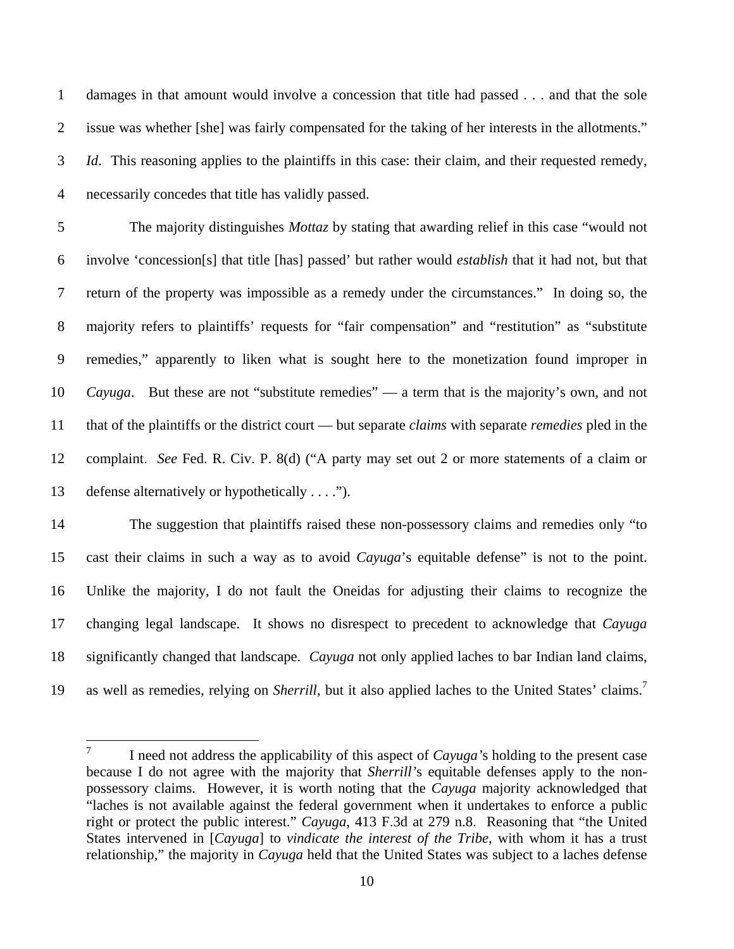1 damages in that amount would involve a concession that title had passed . . . and that the sole 2 issue was whether [she] was fairly compensated for the taking of her interests in the allotments." 3 *Id*. This reasoning applies to the plaintiffs in this case: their claim, and their requested remedy, 4 necessarily concedes that title has validly passed.

5 The majority distinguishes *Mottaz* by stating that awarding relief in this case "would not 6 involve 'concession[s] that title [has] passed' but rather would *establish* that it had not, but that 7 return of the property was impossible as a remedy under the circumstances." In doing so, the 8 majority refers to plaintiffs' requests for "fair compensation" and "restitution" as "substitute 9 remedies," apparently to liken what is sought here to the monetization found improper in 10 *Cayuga*. But these are not "substitute remedies" — a term that is the majority's own, and not 11 that of the plaintiffs or the district court — but separate *claims* with separate *remedies* pled in the 12 complaint. *See* Fed. R. Civ. P. 8(d) ("A party may set out 2 or more statements of a claim or 13 defense alternatively or hypothetically . . . .").

14 The suggestion that plaintiffs raised these non-possessory claims and remedies only "to 15 cast their claims in such a way as to avoid *Cayuga*'s equitable defense" is not to the point. 16 Unlike the majority, I do not fault the Oneidas for adjusting their claims to recognize the 17 changing legal landscape. It shows no disrespect to precedent to acknowledge that *Cayuga* 18 significantly changed that landscape. *Cayuga* not only applied laches to bar Indian land claims, 19 as well as remedies, relying on *Sherrill*, but it also applied laches to the United States' claims.<sup>7</sup>

<sup>—&</sup>lt;br>7 I need not address the applicability of this aspect of *Cayuga'*s holding to the present case because I do not agree with the majority that *Sherrill'*s equitable defenses apply to the nonpossessory claims. However, it is worth noting that the *Cayuga* majority acknowledged that "laches is not available against the federal government when it undertakes to enforce a public right or protect the public interest." *Cayuga*, 413 F.3d at 279 n.8. Reasoning that "the United States intervened in [*Cayuga*] to *vindicate the interest of the Tribe*, with whom it has a trust relationship," the majority in *Cayuga* held that the United States was subject to a laches defense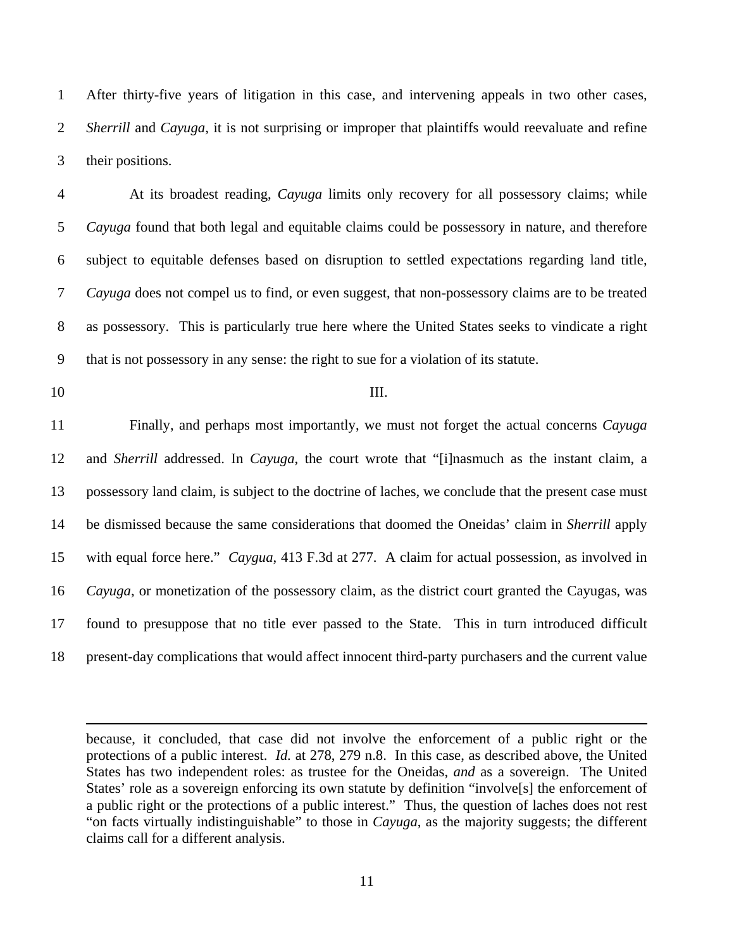1 After thirty-five years of litigation in this case, and intervening appeals in two other cases, 2 *Sherrill* and *Cayuga*, it is not surprising or improper that plaintiffs would reevaluate and refine 3 their positions.

4 At its broadest reading, *Cayuga* limits only recovery for all possessory claims; while 5 *Cayuga* found that both legal and equitable claims could be possessory in nature, and therefore 6 subject to equitable defenses based on disruption to settled expectations regarding land title, 7 *Cayuga* does not compel us to find, or even suggest, that non-possessory claims are to be treated 8 as possessory. This is particularly true here where the United States seeks to vindicate a right 9 that is not possessory in any sense: the right to sue for a violation of its statute.

1

10 III.

11 Finally, and perhaps most importantly, we must not forget the actual concerns *Cayuga* 12 and *Sherrill* addressed. In *Cayuga*, the court wrote that "[i]nasmuch as the instant claim, a 13 possessory land claim, is subject to the doctrine of laches, we conclude that the present case must 14 be dismissed because the same considerations that doomed the Oneidas' claim in *Sherrill* apply 15 with equal force here." *Caygua*, 413 F.3d at 277. A claim for actual possession, as involved in 16 *Cayuga*, or monetization of the possessory claim, as the district court granted the Cayugas, was 17 found to presuppose that no title ever passed to the State. This in turn introduced difficult 18 present-day complications that would affect innocent third-party purchasers and the current value

because, it concluded, that case did not involve the enforcement of a public right or the protections of a public interest. *Id.* at 278, 279 n.8. In this case, as described above, the United States has two independent roles: as trustee for the Oneidas, *and* as a sovereign. The United States' role as a sovereign enforcing its own statute by definition "involve[s] the enforcement of a public right or the protections of a public interest." Thus, the question of laches does not rest "on facts virtually indistinguishable" to those in *Cayuga*, as the majority suggests; the different claims call for a different analysis.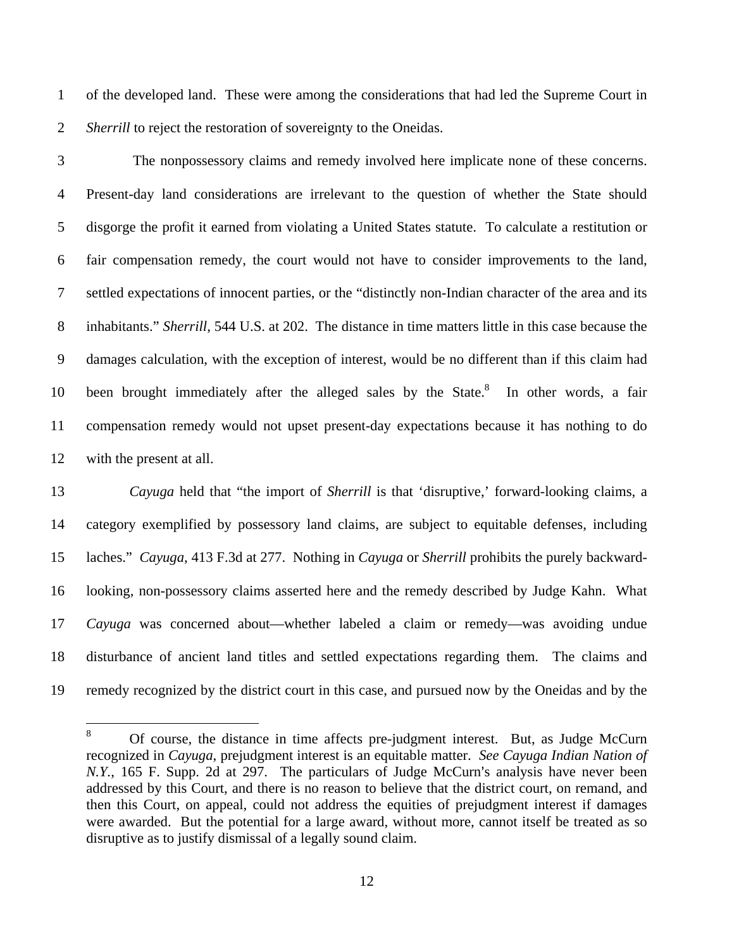1 of the developed land. These were among the considerations that had led the Supreme Court in 2 *Sherrill* to reject the restoration of sovereignty to the Oneidas.

3 The nonpossessory claims and remedy involved here implicate none of these concerns. 4 Present-day land considerations are irrelevant to the question of whether the State should 5 disgorge the profit it earned from violating a United States statute. To calculate a restitution or 6 fair compensation remedy, the court would not have to consider improvements to the land, 7 settled expectations of innocent parties, or the "distinctly non-Indian character of the area and its 8 inhabitants." *Sherrill*, 544 U.S. at 202. The distance in time matters little in this case because the 9 damages calculation, with the exception of interest, would be no different than if this claim had 10 been brought immediately after the alleged sales by the State. $8\text{ In other words, a fair}$ 11 compensation remedy would not upset present-day expectations because it has nothing to do 12 with the present at all.

13 *Cayuga* held that "the import of *Sherrill* is that 'disruptive,' forward-looking claims, a 14 category exemplified by possessory land claims, are subject to equitable defenses, including 15 laches." *Cayuga*, 413 F.3d at 277. Nothing in *Cayuga* or *Sherrill* prohibits the purely backward-16 looking, non-possessory claims asserted here and the remedy described by Judge Kahn. What 17 *Cayuga* was concerned about—whether labeled a claim or remedy—was avoiding undue 18 disturbance of ancient land titles and settled expectations regarding them. The claims and 19 remedy recognized by the district court in this case, and pursued now by the Oneidas and by the

 $\frac{1}{8}$  Of course, the distance in time affects pre-judgment interest. But, as Judge McCurn recognized in *Cayuga*, prejudgment interest is an equitable matter. *See Cayuga Indian Nation of N.Y.*, 165 F. Supp. 2d at 297. The particulars of Judge McCurn's analysis have never been addressed by this Court, and there is no reason to believe that the district court, on remand, and then this Court, on appeal, could not address the equities of prejudgment interest if damages were awarded. But the potential for a large award, without more, cannot itself be treated as so disruptive as to justify dismissal of a legally sound claim.